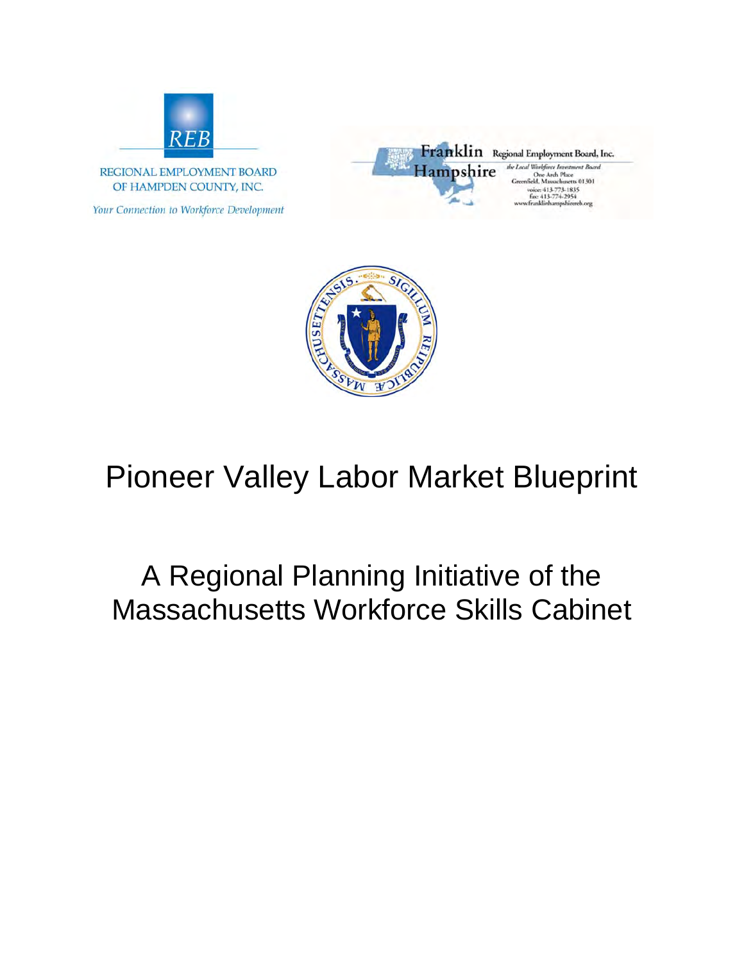

REGIONAL EMPLOYMENT BOARD OF HAMPDEN COUNTY, INC.

Your Connection to Workforce Development





# Pioneer Valley Labor Market Blueprint

# A Regional Planning Initiative of the Massachusetts Workforce Skills Cabinet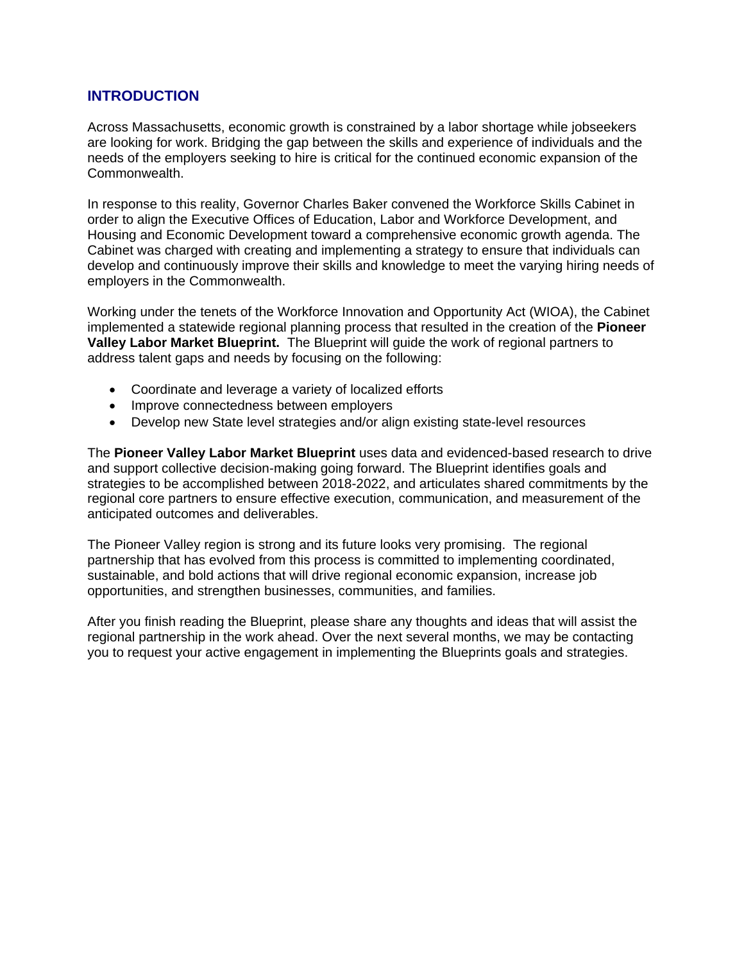#### **INTRODUCTION**

Across Massachusetts, economic growth is constrained by a labor shortage while jobseekers are looking for work. Bridging the gap between the skills and experience of individuals and the needs of the employers seeking to hire is critical for the continued economic expansion of the Commonwealth.

In response to this reality, Governor Charles Baker convened the Workforce Skills Cabinet in order to align the Executive Offices of Education, Labor and Workforce Development, and Housing and Economic Development toward a comprehensive economic growth agenda. The Cabinet was charged with creating and implementing a strategy to ensure that individuals can develop and continuously improve their skills and knowledge to meet the varying hiring needs of employers in the Commonwealth.

Working under the tenets of the Workforce Innovation and Opportunity Act (WIOA), the Cabinet implemented a statewide regional planning process that resulted in the creation of the **Pioneer Valley Labor Market Blueprint.** The Blueprint will guide the work of regional partners to address talent gaps and needs by focusing on the following:

- Coordinate and leverage a variety of localized efforts
- Improve connectedness between employers
- Develop new State level strategies and/or align existing state-level resources

The **Pioneer Valley Labor Market Blueprint** uses data and evidenced-based research to drive and support collective decision-making going forward. The Blueprint identifies goals and strategies to be accomplished between 2018-2022, and articulates shared commitments by the regional core partners to ensure effective execution, communication, and measurement of the anticipated outcomes and deliverables.

The Pioneer Valley region is strong and its future looks very promising. The regional partnership that has evolved from this process is committed to implementing coordinated, sustainable, and bold actions that will drive regional economic expansion, increase job opportunities, and strengthen businesses, communities, and families.

After you finish reading the Blueprint, please share any thoughts and ideas that will assist the regional partnership in the work ahead. Over the next several months, we may be contacting you to request your active engagement in implementing the Blueprints goals and strategies.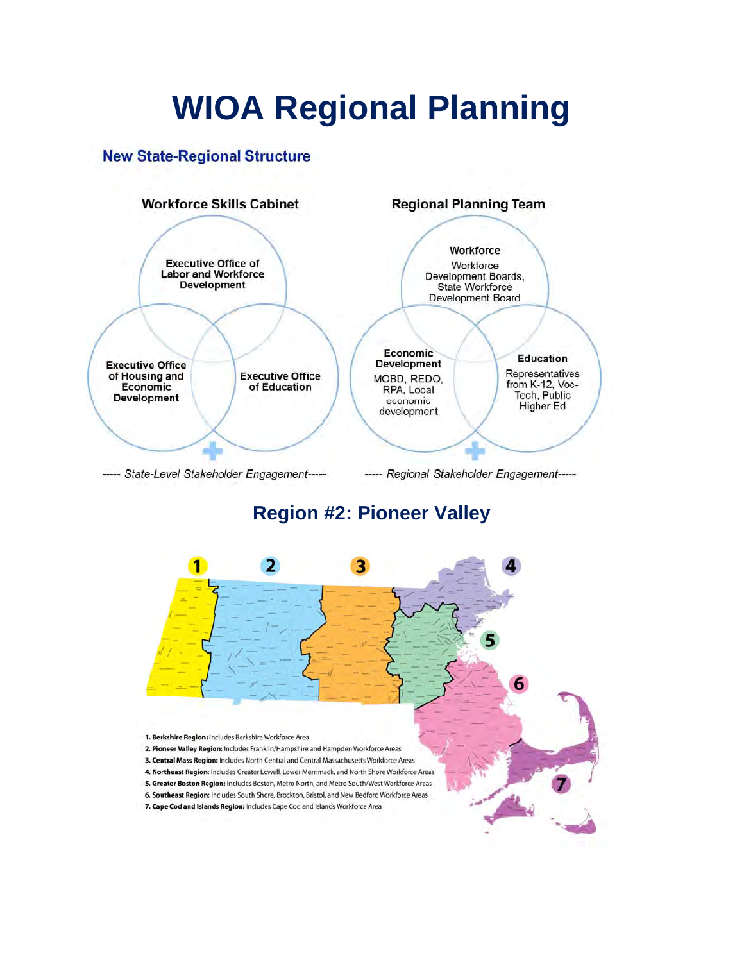# **WIOA Regional Planning**

### **New State-Regional Structure**



# **Region #2: Pioneer Valley**

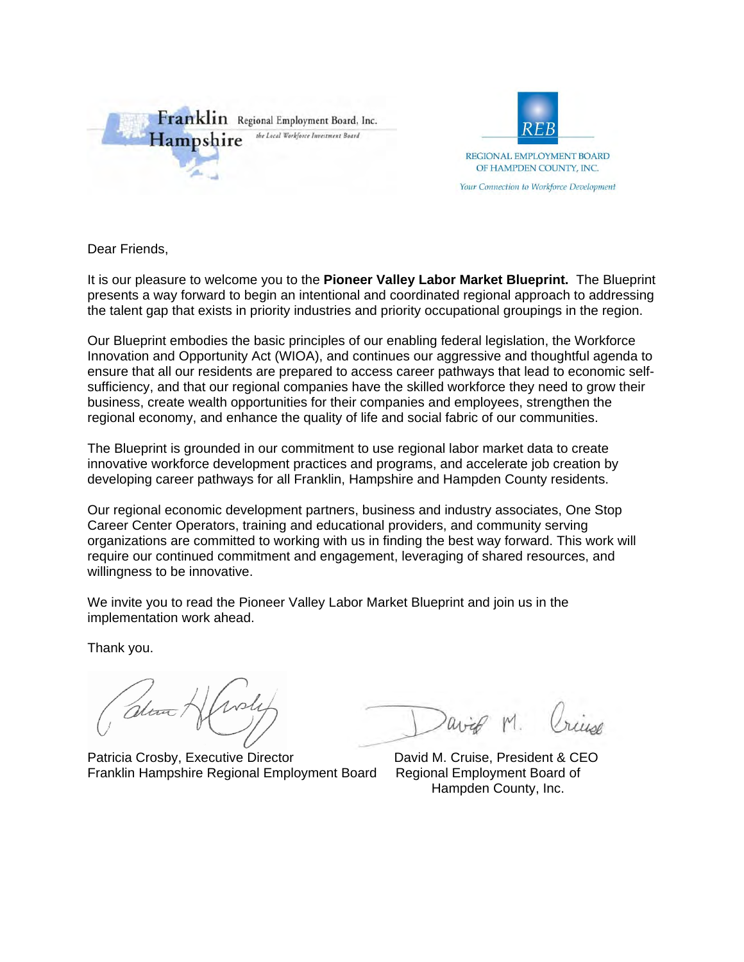



Dear Friends,

It is our pleasure to welcome you to the **Pioneer Valley Labor Market Blueprint.** The Blueprint presents a way forward to begin an intentional and coordinated regional approach to addressing the talent gap that exists in priority industries and priority occupational groupings in the region.

Our Blueprint embodies the basic principles of our enabling federal legislation, the Workforce Innovation and Opportunity Act (WIOA), and continues our aggressive and thoughtful agenda to ensure that all our residents are prepared to access career pathways that lead to economic selfsufficiency, and that our regional companies have the skilled workforce they need to grow their business, create wealth opportunities for their companies and employees, strengthen the regional economy, and enhance the quality of life and social fabric of our communities.

The Blueprint is grounded in our commitment to use regional labor market data to create innovative workforce development practices and programs, and accelerate job creation by developing career pathways for all Franklin, Hampshire and Hampden County residents.

Our regional economic development partners, business and industry associates, One Stop Career Center Operators, training and educational providers, and community serving organizations are committed to working with us in finding the best way forward. This work will require our continued commitment and engagement, leveraging of shared resources, and willingness to be innovative.

We invite you to read the Pioneer Valley Labor Market Blueprint and join us in the implementation work ahead.

Thank you.

alina /

Patricia Crosby, Executive Director **David M. Cruise, President & CEO** Franklin Hampshire Regional Employment Board Regional Employment Board of

Hampden County, Inc.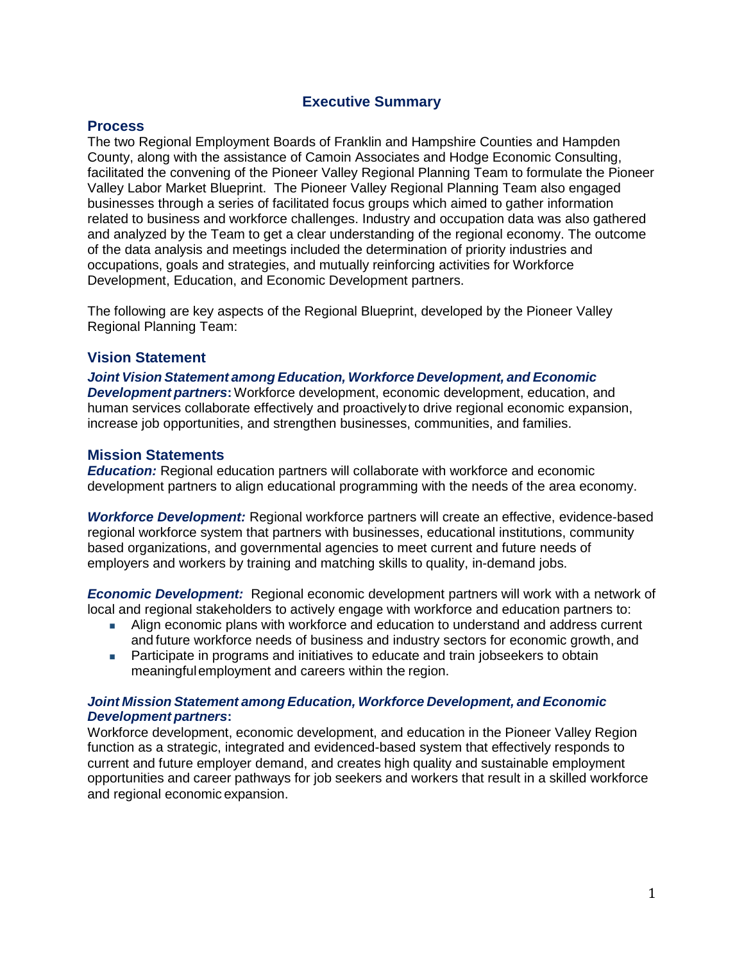#### **Executive Summary**

#### **Process**

The two Regional Employment Boards of Franklin and Hampshire Counties and Hampden County, along with the assistance of Camoin Associates and Hodge Economic Consulting, facilitated the convening of the Pioneer Valley Regional Planning Team to formulate the Pioneer Valley Labor Market Blueprint. The Pioneer Valley Regional Planning Team also engaged businesses through a series of facilitated focus groups which aimed to gather information related to business and workforce challenges. Industry and occupation data was also gathered and analyzed by the Team to get a clear understanding of the regional economy. The outcome of the data analysis and meetings included the determination of priority industries and occupations, goals and strategies, and mutually reinforcing activities for Workforce Development, Education, and Economic Development partners.

The following are key aspects of the Regional Blueprint, developed by the Pioneer Valley Regional Planning Team:

#### **Vision Statement**

*Joint Vision Statement among Education, Workforce Development, and Economic Development partners***:** Workforce development, economic development, education, and human services collaborate effectively and proactively to drive regional economic expansion, increase job opportunities, and strengthen businesses, communities, and families.

#### **Mission Statements**

*Education:* Regional education partners will collaborate with workforce and economic development partners to align educational programming with the needs of the area economy.

*Workforce Development:* Regional workforce partners will create an effective, evidence-based regional workforce system that partners with businesses, educational institutions, community based organizations, and governmental agencies to meet current and future needs of employers and workers by training and matching skills to quality, in-demand jobs.

*Economic Development:* Regional economic development partners will work with a network of local and regional stakeholders to actively engage with workforce and education partners to:

- Align economic plans with workforce and education to understand and address current and future workforce needs of business and industry sectors for economic growth, and
- **Participate in programs and initiatives to educate and train jobseekers to obtain** meaningful employment and careers within the region.

#### *Joint Mission Statement among Education, Workforce Development, and Economic Development partners***:**

Workforce development, economic development, and education in the Pioneer Valley Region function as a strategic, integrated and evidenced-based system that effectively responds to current and future employer demand, and creates high quality and sustainable employment opportunities and career pathways for job seekers and workers that result in a skilled workforce and regional economic expansion.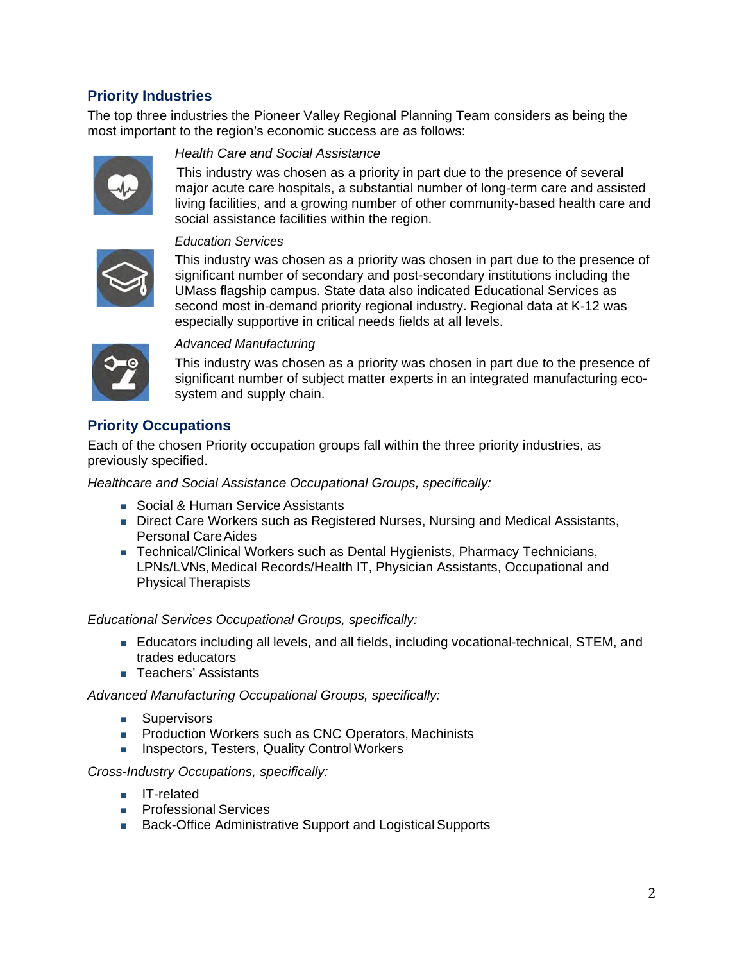### **Priority Industries**

The top three industries the Pioneer Valley Regional Planning Team considers as being the most important to the region's economic success are as follows:



#### *Health Care and Social Assistance*

This industry was chosen as a priority in part due to the presence of several major acute care hospitals, a substantial number of long-term care and assisted living facilities, and a growing number of other community-based health care and social assistance facilities within the region.



#### *Education Services*

This industry was chosen as a priority was chosen in part due to the presence of significant number of secondary and post-secondary institutions including the UMass flagship campus. State data also indicated Educational Services as second most in-demand priority regional industry. Regional data at K-12 was especially supportive in critical needs fields at all levels.



#### *Advanced Manufacturing*

This industry was chosen as a priority was chosen in part due to the presence of significant number of subject matter experts in an integrated manufacturing ecosystem and supply chain.

### **Priority Occupations**

Each of the chosen Priority occupation groups fall within the three priority industries, as previously specified.

*Healthcare and Social Assistance Occupational Groups, specifically:* 

- Social & Human Service Assistants
- **Direct Care Workers such as Registered Nurses, Nursing and Medical Assistants,** Personal Care Aides
- Technical/Clinical Workers such as Dental Hygienists, Pharmacy Technicians, LPNs/LVNs, Medical Records/Health IT, Physician Assistants, Occupational and Physical Therapists

#### *Educational Services Occupational Groups, specifically:*

- Educators including all levels, and all fields, including vocational-technical, STEM, and trades educators
- **Teachers' Assistants**

*Advanced Manufacturing Occupational Groups, specifically:* 

- **Supervisors**
- **Production Workers such as CNC Operators, Machinists**
- **Inspectors, Testers, Quality Control Workers**

#### *Cross-Industry Occupations, specifically:*

- **IT-related**
- **Professional Services**
- Back-Office Administrative Support and Logistical Supports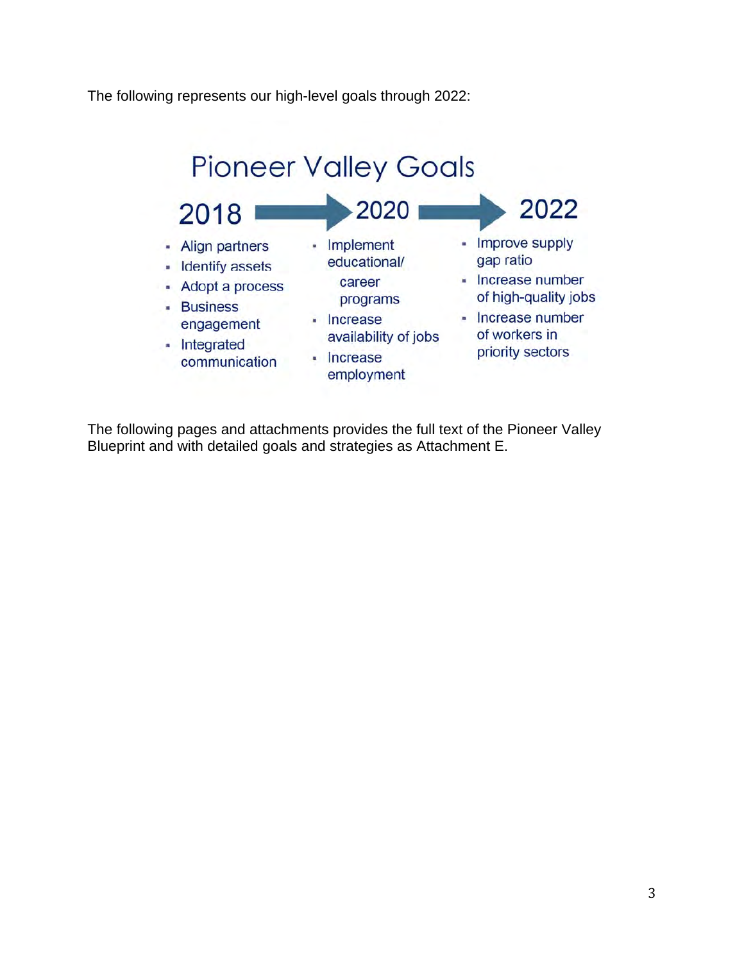The following represents our high-level goals through 2022:



The following pages and attachments provides the full text of the Pioneer Valley Blueprint and with detailed goals and strategies as Attachment E.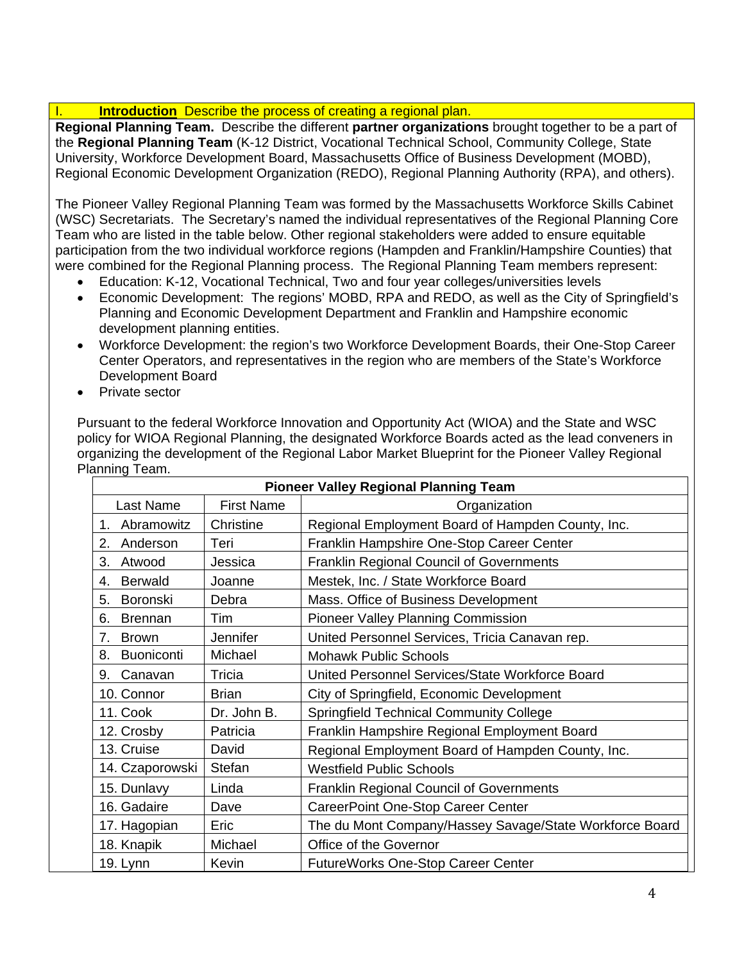#### **Introduction** Describe the process of creating a regional plan.

**Regional Planning Team.** Describe the different **partner organizations** brought together to be a part of the **Regional Planning Team** (K-12 District, Vocational Technical School, Community College, State University, Workforce Development Board, Massachusetts Office of Business Development (MOBD), Regional Economic Development Organization (REDO), Regional Planning Authority (RPA), and others).

The Pioneer Valley Regional Planning Team was formed by the Massachusetts Workforce Skills Cabinet (WSC) Secretariats. The Secretary's named the individual representatives of the Regional Planning Core Team who are listed in the table below. Other regional stakeholders were added to ensure equitable participation from the two individual workforce regions (Hampden and Franklin/Hampshire Counties) that were combined for the Regional Planning process. The Regional Planning Team members represent:

- Education: K-12, Vocational Technical, Two and four year colleges/universities levels
- Economic Development: The regions' MOBD, RPA and REDO, as well as the City of Springfield's Planning and Economic Development Department and Franklin and Hampshire economic development planning entities.
- Workforce Development: the region's two Workforce Development Boards, their One-Stop Career Center Operators, and representatives in the region who are members of the State's Workforce Development Board
- Private sector

Pursuant to the federal Workforce Innovation and Opportunity Act (WIOA) and the State and WSC policy for WIOA Regional Planning, the designated Workforce Boards acted as the lead conveners in organizing the development of the Regional Labor Market Blueprint for the Pioneer Valley Regional Planning Team.

|                         | <b>Pioneer Valley Regional Planning Team</b> |                                                         |  |  |  |  |  |  |  |  |
|-------------------------|----------------------------------------------|---------------------------------------------------------|--|--|--|--|--|--|--|--|
| Last Name               | <b>First Name</b>                            | Organization                                            |  |  |  |  |  |  |  |  |
| Abramowitz<br>1.        | Christine                                    | Regional Employment Board of Hampden County, Inc.       |  |  |  |  |  |  |  |  |
| Anderson<br>2.          | Teri                                         | Franklin Hampshire One-Stop Career Center               |  |  |  |  |  |  |  |  |
| 3.<br>Atwood            | Jessica                                      | <b>Franklin Regional Council of Governments</b>         |  |  |  |  |  |  |  |  |
| <b>Berwald</b><br>4.    | Joanne                                       | Mestek, Inc. / State Workforce Board                    |  |  |  |  |  |  |  |  |
| 5.<br><b>Boronski</b>   | Debra                                        | Mass. Office of Business Development                    |  |  |  |  |  |  |  |  |
| 6.<br><b>Brennan</b>    | Tim                                          | <b>Pioneer Valley Planning Commission</b>               |  |  |  |  |  |  |  |  |
| 7.<br><b>Brown</b>      | Jennifer                                     | United Personnel Services, Tricia Canavan rep.          |  |  |  |  |  |  |  |  |
| <b>Buoniconti</b><br>8. | Michael                                      | <b>Mohawk Public Schools</b>                            |  |  |  |  |  |  |  |  |
| Canavan<br>9.           | Tricia                                       | United Personnel Services/State Workforce Board         |  |  |  |  |  |  |  |  |
| 10. Connor              | <b>Brian</b>                                 | City of Springfield, Economic Development               |  |  |  |  |  |  |  |  |
| 11. Cook                | Dr. John B.                                  | <b>Springfield Technical Community College</b>          |  |  |  |  |  |  |  |  |
| 12. Crosby              | Patricia                                     | Franklin Hampshire Regional Employment Board            |  |  |  |  |  |  |  |  |
| 13. Cruise              | David                                        | Regional Employment Board of Hampden County, Inc.       |  |  |  |  |  |  |  |  |
| 14. Czaporowski         | Stefan                                       | <b>Westfield Public Schools</b>                         |  |  |  |  |  |  |  |  |
| 15. Dunlavy<br>Linda    |                                              | <b>Franklin Regional Council of Governments</b>         |  |  |  |  |  |  |  |  |
| 16. Gadaire             | Dave                                         | CareerPoint One-Stop Career Center                      |  |  |  |  |  |  |  |  |
| 17. Hagopian            | Eric                                         | The du Mont Company/Hassey Savage/State Workforce Board |  |  |  |  |  |  |  |  |
| 18. Knapik              | Michael                                      | Office of the Governor                                  |  |  |  |  |  |  |  |  |
| 19. Lynn                | Kevin                                        | FutureWorks One-Stop Career Center                      |  |  |  |  |  |  |  |  |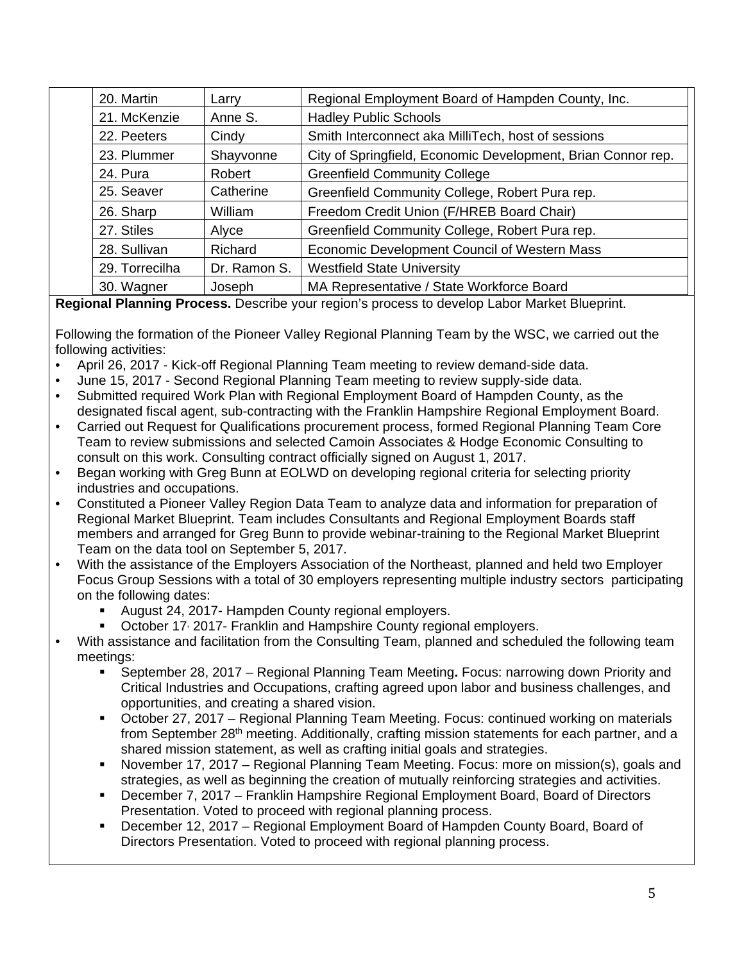| 20. Martin     | Larry        | Regional Employment Board of Hampden County, Inc.            |  |  |  |  |  |
|----------------|--------------|--------------------------------------------------------------|--|--|--|--|--|
| 21. McKenzie   | Anne S.      | <b>Hadley Public Schools</b>                                 |  |  |  |  |  |
| 22. Peeters    | Cindy        | Smith Interconnect aka MilliTech, host of sessions           |  |  |  |  |  |
| 23. Plummer    | Shayvonne    | City of Springfield, Economic Development, Brian Connor rep. |  |  |  |  |  |
| 24. Pura       | Robert       | <b>Greenfield Community College</b>                          |  |  |  |  |  |
| 25. Seaver     | Catherine    | Greenfield Community College, Robert Pura rep.               |  |  |  |  |  |
| 26. Sharp      | William      | Freedom Credit Union (F/HREB Board Chair)                    |  |  |  |  |  |
| 27. Stiles     | Alyce        | Greenfield Community College, Robert Pura rep.               |  |  |  |  |  |
| 28. Sullivan   | Richard      | Economic Development Council of Western Mass                 |  |  |  |  |  |
| 29. Torrecilha | Dr. Ramon S. | <b>Westfield State University</b>                            |  |  |  |  |  |
| 30. Wagner     | Joseph       | MA Representative / State Workforce Board                    |  |  |  |  |  |

**Regional Planning Process.** Describe your region's process to develop Labor Market Blueprint.

Following the formation of the Pioneer Valley Regional Planning Team by the WSC, we carried out the following activities:

- April 26, 2017 Kick-off Regional Planning Team meeting to review demand-side data.
- June 15, 2017 Second Regional Planning Team meeting to review supply-side data.
- Submitted required Work Plan with Regional Employment Board of Hampden County, as the designated fiscal agent, sub-contracting with the Franklin Hampshire Regional Employment Board.
- Carried out Request for Qualifications procurement process, formed Regional Planning Team Core Team to review submissions and selected Camoin Associates & Hodge Economic Consulting to consult on this work. Consulting contract officially signed on August 1, 2017.
- Began working with Greg Bunn at EOLWD on developing regional criteria for selecting priority industries and occupations.
- Constituted a Pioneer Valley Region Data Team to analyze data and information for preparation of Regional Market Blueprint. Team includes Consultants and Regional Employment Boards staff members and arranged for Greg Bunn to provide webinar-training to the Regional Market Blueprint Team on the data tool on September 5, 2017.
- With the assistance of the Employers Association of the Northeast, planned and held two Employer Focus Group Sessions with a total of 30 employers representing multiple industry sectors participating on the following dates:
	- August 24, 2017- Hampden County regional employers.
	- **Diam 2017-** Franklin and Hampshire County regional employers.
- With assistance and facilitation from the Consulting Team, planned and scheduled the following team meetings:
	- September 28, 2017 Regional Planning Team Meeting**.** Focus: narrowing down Priority and Critical Industries and Occupations, crafting agreed upon labor and business challenges, and opportunities, and creating a shared vision.
	- October 27, 2017 Regional Planning Team Meeting. Focus: continued working on materials from September 28<sup>th</sup> meeting. Additionally, crafting mission statements for each partner, and a shared mission statement, as well as crafting initial goals and strategies.
	- November 17, 2017 Regional Planning Team Meeting. Focus: more on mission(s), goals and strategies, as well as beginning the creation of mutually reinforcing strategies and activities.
	- December 7, 2017 Franklin Hampshire Regional Employment Board, Board of Directors Presentation. Voted to proceed with regional planning process.
	- December 12, 2017 Regional Employment Board of Hampden County Board, Board of Directors Presentation. Voted to proceed with regional planning process.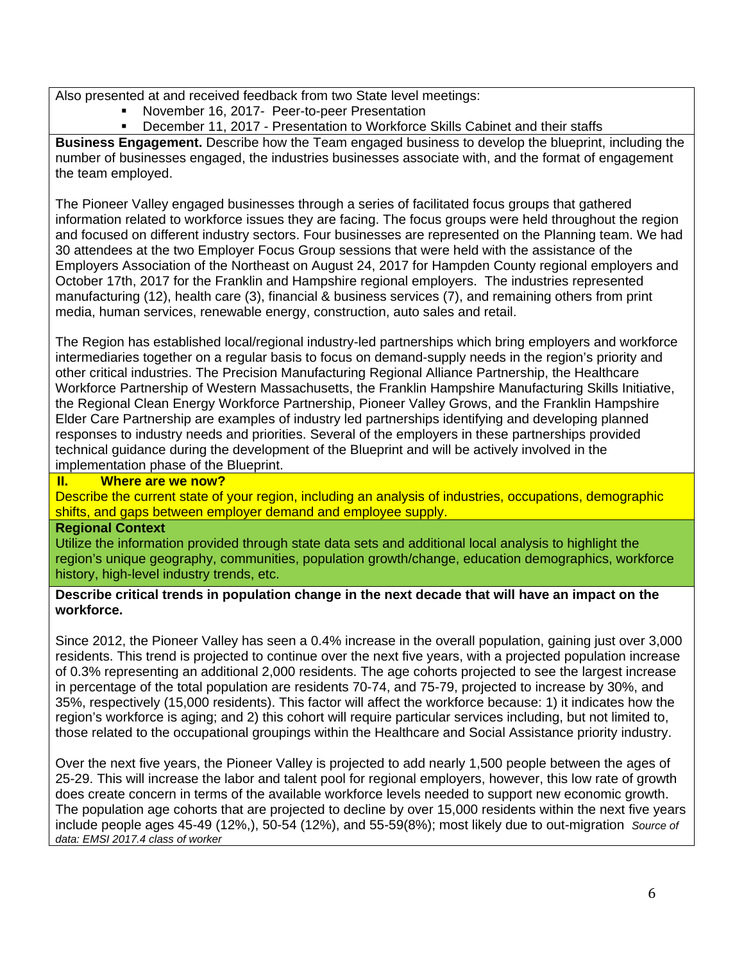Also presented at and received feedback from two State level meetings:

- November 16, 2017- Peer-to-peer Presentation
- December 11, 2017 Presentation to Workforce Skills Cabinet and their staffs

**Business Engagement.** Describe how the Team engaged business to develop the blueprint, including the number of businesses engaged, the industries businesses associate with, and the format of engagement the team employed.

The Pioneer Valley engaged businesses through a series of facilitated focus groups that gathered information related to workforce issues they are facing. The focus groups were held throughout the region and focused on different industry sectors. Four businesses are represented on the Planning team. We had 30 attendees at the two Employer Focus Group sessions that were held with the assistance of the Employers Association of the Northeast on August 24, 2017 for Hampden County regional employers and October 17th, 2017 for the Franklin and Hampshire regional employers. The industries represented manufacturing (12), health care (3), financial & business services (7), and remaining others from print media, human services, renewable energy, construction, auto sales and retail.

The Region has established local/regional industry-led partnerships which bring employers and workforce intermediaries together on a regular basis to focus on demand-supply needs in the region's priority and other critical industries. The Precision Manufacturing Regional Alliance Partnership, the Healthcare Workforce Partnership of Western Massachusetts, the Franklin Hampshire Manufacturing Skills Initiative, the Regional Clean Energy Workforce Partnership, Pioneer Valley Grows, and the Franklin Hampshire Elder Care Partnership are examples of industry led partnerships identifying and developing planned responses to industry needs and priorities. Several of the employers in these partnerships provided technical guidance during the development of the Blueprint and will be actively involved in the implementation phase of the Blueprint.

#### **II. Where are we now?**

Describe the current state of your region, including an analysis of industries, occupations, demographic shifts, and gaps between employer demand and employee supply.

#### **Regional Context**

Utilize the information provided through state data sets and additional local analysis to highlight the region's unique geography, communities, population growth/change, education demographics, workforce history, high-level industry trends, etc.

#### **Describe critical trends in population change in the next decade that will have an impact on the workforce.**

Since 2012, the Pioneer Valley has seen a 0.4% increase in the overall population, gaining just over 3,000 residents. This trend is projected to continue over the next five years, with a projected population increase of 0.3% representing an additional 2,000 residents. The age cohorts projected to see the largest increase in percentage of the total population are residents 70-74, and 75-79, projected to increase by 30%, and 35%, respectively (15,000 residents). This factor will affect the workforce because: 1) it indicates how the region's workforce is aging; and 2) this cohort will require particular services including, but not limited to, those related to the occupational groupings within the Healthcare and Social Assistance priority industry.

Over the next five years, the Pioneer Valley is projected to add nearly 1,500 people between the ages of 25-29. This will increase the labor and talent pool for regional employers, however, this low rate of growth does create concern in terms of the available workforce levels needed to support new economic growth. The population age cohorts that are projected to decline by over 15,000 residents within the next five years include people ages 45-49 (12%,), 50-54 (12%), and 55-59(8%); most likely due to out-migration *Source of data: EMSI 2017.4 class of worker*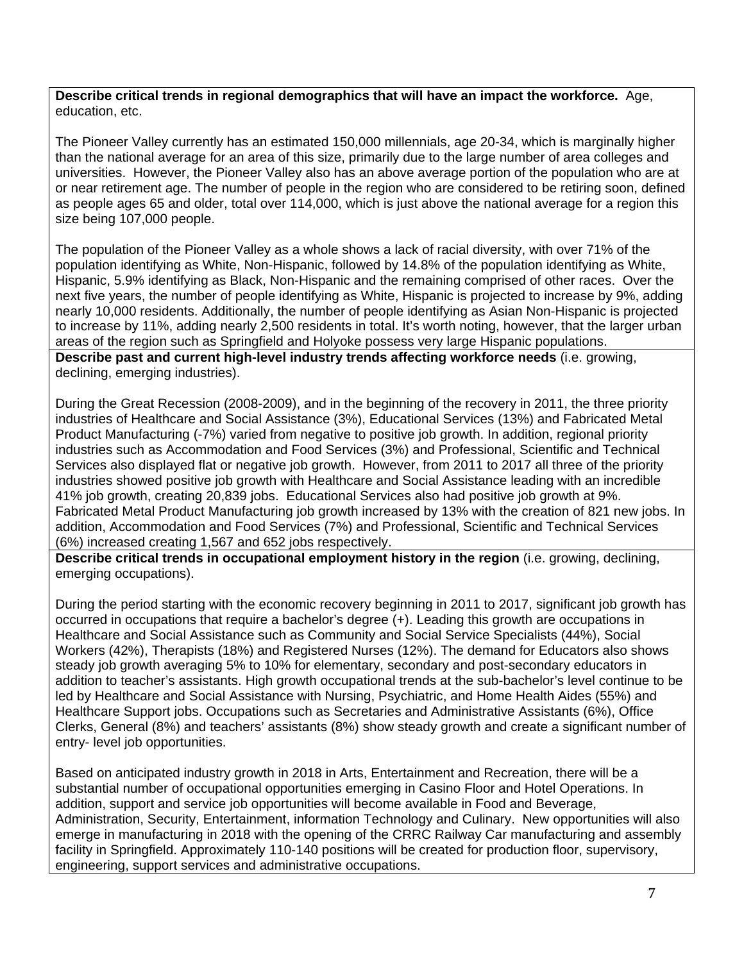#### **Describe critical trends in regional demographics that will have an impact the workforce.** Age, education, etc.

The Pioneer Valley currently has an estimated 150,000 millennials, age 20-34, which is marginally higher than the national average for an area of this size, primarily due to the large number of area colleges and universities. However, the Pioneer Valley also has an above average portion of the population who are at or near retirement age. The number of people in the region who are considered to be retiring soon, defined as people ages 65 and older, total over 114,000, which is just above the national average for a region this size being 107,000 people.

The population of the Pioneer Valley as a whole shows a lack of racial diversity, with over 71% of the population identifying as White, Non-Hispanic, followed by 14.8% of the population identifying as White, Hispanic, 5.9% identifying as Black, Non-Hispanic and the remaining comprised of other races. Over the next five years, the number of people identifying as White, Hispanic is projected to increase by 9%, adding nearly 10,000 residents. Additionally, the number of people identifying as Asian Non-Hispanic is projected to increase by 11%, adding nearly 2,500 residents in total. It's worth noting, however, that the larger urban areas of the region such as Springfield and Holyoke possess very large Hispanic populations. **Describe past and current high-level industry trends affecting workforce needs** (i.e. growing,

declining, emerging industries).

During the Great Recession (2008-2009), and in the beginning of the recovery in 2011, the three priority industries of Healthcare and Social Assistance (3%), Educational Services (13%) and Fabricated Metal Product Manufacturing (-7%) varied from negative to positive job growth. In addition, regional priority industries such as Accommodation and Food Services (3%) and Professional, Scientific and Technical Services also displayed flat or negative job growth. However, from 2011 to 2017 all three of the priority industries showed positive job growth with Healthcare and Social Assistance leading with an incredible 41% job growth, creating 20,839 jobs. Educational Services also had positive job growth at 9%. Fabricated Metal Product Manufacturing job growth increased by 13% with the creation of 821 new jobs. In addition, Accommodation and Food Services (7%) and Professional, Scientific and Technical Services (6%) increased creating 1,567 and 652 jobs respectively.

**Describe critical trends in occupational employment history in the region** (i.e. growing, declining, emerging occupations).

During the period starting with the economic recovery beginning in 2011 to 2017, significant job growth has occurred in occupations that require a bachelor's degree (+). Leading this growth are occupations in Healthcare and Social Assistance such as Community and Social Service Specialists (44%), Social Workers (42%), Therapists (18%) and Registered Nurses (12%). The demand for Educators also shows steady job growth averaging 5% to 10% for elementary, secondary and post-secondary educators in addition to teacher's assistants. High growth occupational trends at the sub-bachelor's level continue to be led by Healthcare and Social Assistance with Nursing, Psychiatric, and Home Health Aides (55%) and Healthcare Support jobs. Occupations such as Secretaries and Administrative Assistants (6%), Office Clerks, General (8%) and teachers' assistants (8%) show steady growth and create a significant number of entry- level job opportunities.

Based on anticipated industry growth in 2018 in Arts, Entertainment and Recreation, there will be a substantial number of occupational opportunities emerging in Casino Floor and Hotel Operations. In addition, support and service job opportunities will become available in Food and Beverage, Administration, Security, Entertainment, information Technology and Culinary. New opportunities will also emerge in manufacturing in 2018 with the opening of the CRRC Railway Car manufacturing and assembly facility in Springfield. Approximately 110-140 positions will be created for production floor, supervisory, engineering, support services and administrative occupations.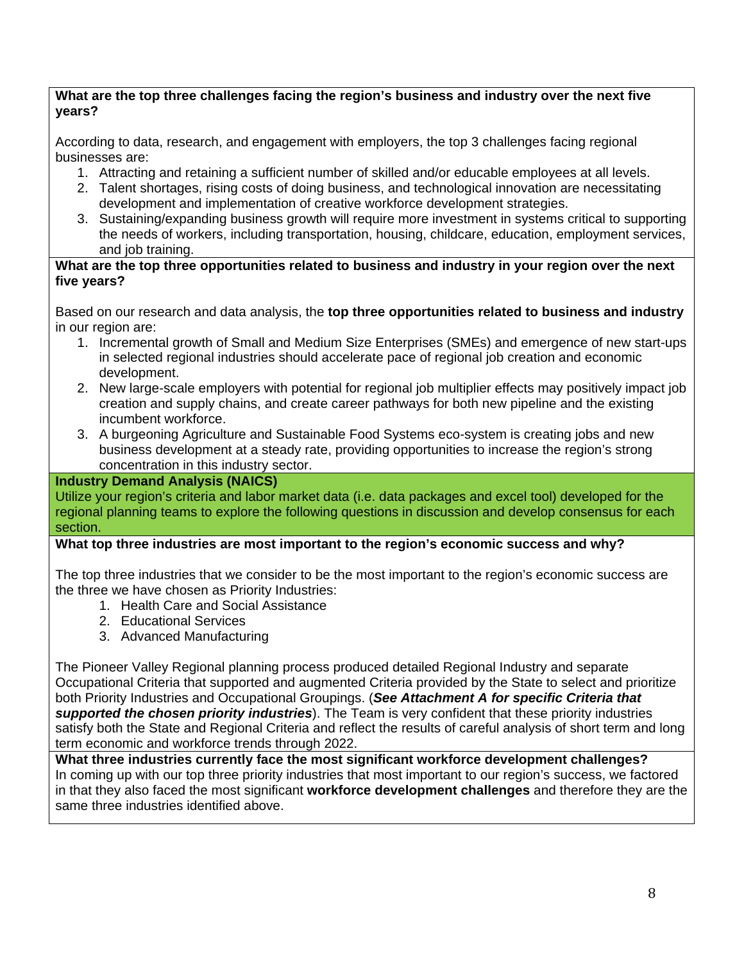#### **What are the top three challenges facing the region's business and industry over the next five years?**

According to data, research, and engagement with employers, the top 3 challenges facing regional businesses are:

- 1. Attracting and retaining a sufficient number of skilled and/or educable employees at all levels.
- 2. Talent shortages, rising costs of doing business, and technological innovation are necessitating development and implementation of creative workforce development strategies.
- 3. Sustaining/expanding business growth will require more investment in systems critical to supporting the needs of workers, including transportation, housing, childcare, education, employment services, and job training.

#### **What are the top three opportunities related to business and industry in your region over the next five years?**

Based on our research and data analysis, the **top three opportunities related to business and industry**  in our region are:

- 1. Incremental growth of Small and Medium Size Enterprises (SMEs) and emergence of new start-ups in selected regional industries should accelerate pace of regional job creation and economic development.
- 2. New large-scale employers with potential for regional job multiplier effects may positively impact job creation and supply chains, and create career pathways for both new pipeline and the existing incumbent workforce.
- 3. A burgeoning Agriculture and Sustainable Food Systems eco-system is creating jobs and new business development at a steady rate, providing opportunities to increase the region's strong concentration in this industry sector.

#### **Industry Demand Analysis (NAICS)**

Utilize your region's criteria and labor market data (i.e. data packages and excel tool) developed for the regional planning teams to explore the following questions in discussion and develop consensus for each section.

#### **What top three industries are most important to the region's economic success and why?**

The top three industries that we consider to be the most important to the region's economic success are the three we have chosen as Priority Industries:

- 1. Health Care and Social Assistance
- 2. Educational Services
- 3. Advanced Manufacturing

The Pioneer Valley Regional planning process produced detailed Regional Industry and separate Occupational Criteria that supported and augmented Criteria provided by the State to select and prioritize both Priority Industries and Occupational Groupings. (*See Attachment A for specific Criteria that supported the chosen priority industries*). The Team is very confident that these priority industries satisfy both the State and Regional Criteria and reflect the results of careful analysis of short term and long term economic and workforce trends through 2022.

**What three industries currently face the most significant workforce development challenges?**  In coming up with our top three priority industries that most important to our region's success, we factored in that they also faced the most significant **workforce development challenges** and therefore they are the same three industries identified above.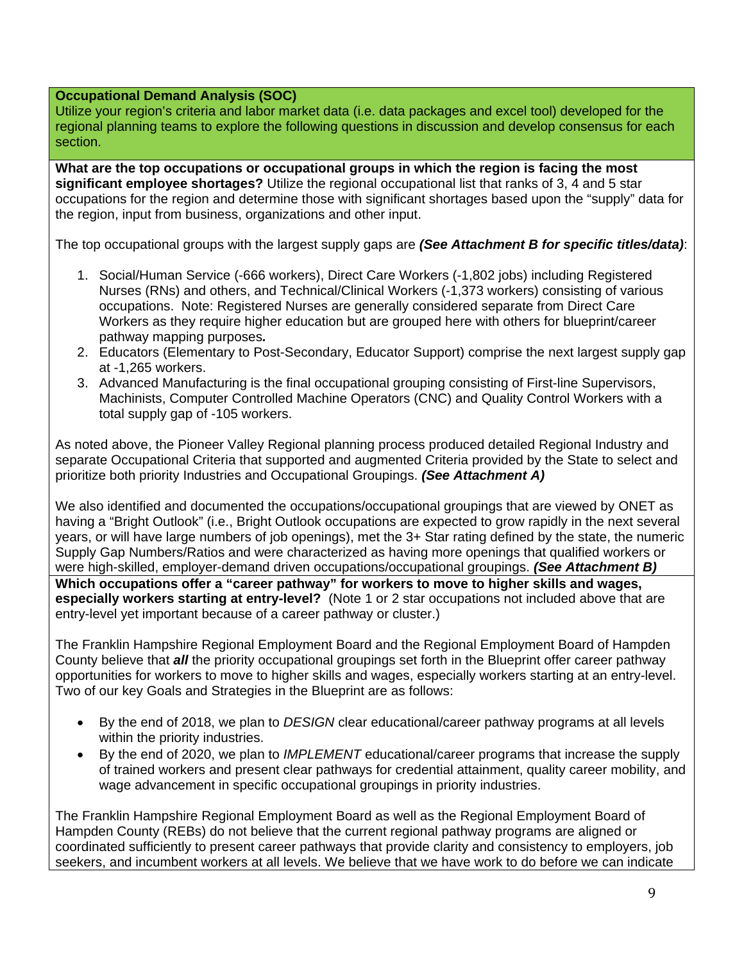#### **Occupational Demand Analysis (SOC)**

Utilize your region's criteria and labor market data (i.e. data packages and excel tool) developed for the regional planning teams to explore the following questions in discussion and develop consensus for each section.

**What are the top occupations or occupational groups in which the region is facing the most significant employee shortages?** Utilize the regional occupational list that ranks of 3, 4 and 5 star occupations for the region and determine those with significant shortages based upon the "supply" data for the region, input from business, organizations and other input.

The top occupational groups with the largest supply gaps are *(See Attachment B for specific titles/data)*:

- 1. Social/Human Service (-666 workers), Direct Care Workers (-1,802 jobs) including Registered Nurses (RNs) and others, and Technical/Clinical Workers (-1,373 workers) consisting of various occupations. Note: Registered Nurses are generally considered separate from Direct Care Workers as they require higher education but are grouped here with others for blueprint/career pathway mapping purposes*.*
- 2. Educators (Elementary to Post-Secondary, Educator Support) comprise the next largest supply gap at -1,265 workers.
- 3. Advanced Manufacturing is the final occupational grouping consisting of First-line Supervisors, Machinists, Computer Controlled Machine Operators (CNC) and Quality Control Workers with a total supply gap of -105 workers.

As noted above, the Pioneer Valley Regional planning process produced detailed Regional Industry and separate Occupational Criteria that supported and augmented Criteria provided by the State to select and prioritize both priority Industries and Occupational Groupings. *(See Attachment A)*

We also identified and documented the occupations/occupational groupings that are viewed by ONET as having a "Bright Outlook" (i.e., Bright Outlook occupations are expected to grow rapidly in the next several years, or will have large numbers of job openings), met the 3+ Star rating defined by the state, the numeric Supply Gap Numbers/Ratios and were characterized as having more openings that qualified workers or were high-skilled, employer-demand driven occupations/occupational groupings. *(See Attachment B)*  **Which occupations offer a "career pathway" for workers to move to higher skills and wages, especially workers starting at entry-level?** (Note 1 or 2 star occupations not included above that are entry-level yet important because of a career pathway or cluster.)

The Franklin Hampshire Regional Employment Board and the Regional Employment Board of Hampden County believe that *all* the priority occupational groupings set forth in the Blueprint offer career pathway opportunities for workers to move to higher skills and wages, especially workers starting at an entry-level. Two of our key Goals and Strategies in the Blueprint are as follows:

- By the end of 2018, we plan to *DESIGN* clear educational/career pathway programs at all levels within the priority industries.
- By the end of 2020, we plan to *IMPLEMENT* educational/career programs that increase the supply of trained workers and present clear pathways for credential attainment, quality career mobility, and wage advancement in specific occupational groupings in priority industries.

The Franklin Hampshire Regional Employment Board as well as the Regional Employment Board of Hampden County (REBs) do not believe that the current regional pathway programs are aligned or coordinated sufficiently to present career pathways that provide clarity and consistency to employers, job seekers, and incumbent workers at all levels. We believe that we have work to do before we can indicate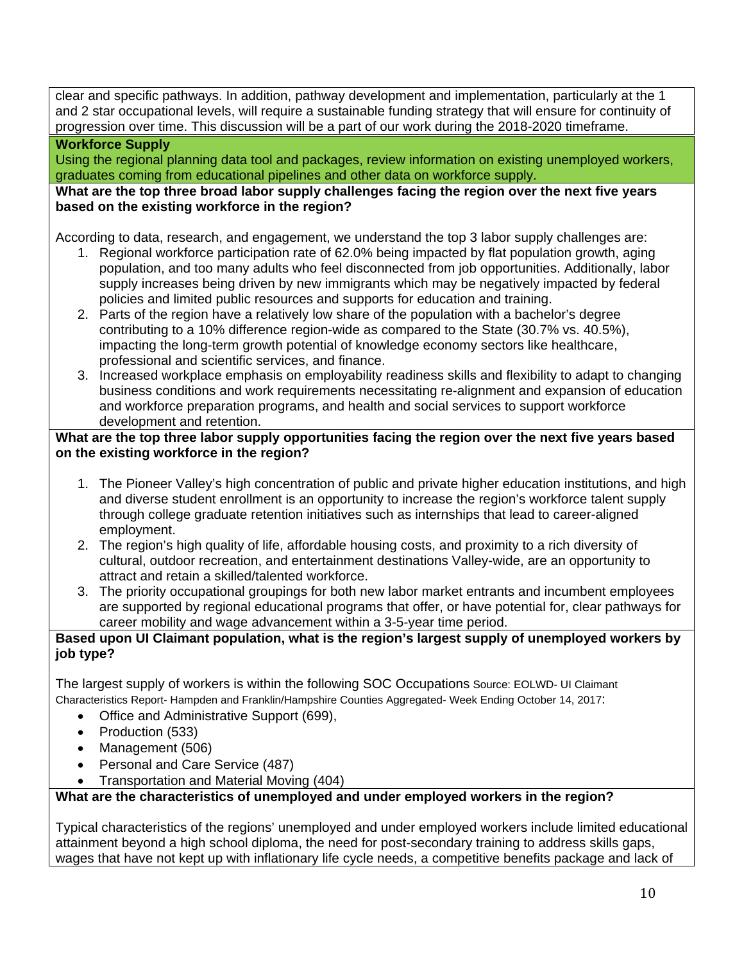clear and specific pathways. In addition, pathway development and implementation, particularly at the 1 and 2 star occupational levels, will require a sustainable funding strategy that will ensure for continuity of progression over time. This discussion will be a part of our work during the 2018-2020 timeframe.

#### **Workforce Supply**

Using the regional planning data tool and packages, review information on existing unemployed workers, graduates coming from educational pipelines and other data on workforce supply.

#### **What are the top three broad labor supply challenges facing the region over the next five years based on the existing workforce in the region?**

According to data, research, and engagement, we understand the top 3 labor supply challenges are:

- 1. Regional workforce participation rate of 62.0% being impacted by flat population growth, aging population, and too many adults who feel disconnected from job opportunities. Additionally, labor supply increases being driven by new immigrants which may be negatively impacted by federal policies and limited public resources and supports for education and training.
- 2. Parts of the region have a relatively low share of the population with a bachelor's degree contributing to a 10% difference region-wide as compared to the State (30.7% vs. 40.5%), impacting the long-term growth potential of knowledge economy sectors like healthcare, professional and scientific services, and finance.
- 3. Increased workplace emphasis on employability readiness skills and flexibility to adapt to changing business conditions and work requirements necessitating re-alignment and expansion of education and workforce preparation programs, and health and social services to support workforce development and retention.

#### **What are the top three labor supply opportunities facing the region over the next five years based on the existing workforce in the region?**

- 1. The Pioneer Valley's high concentration of public and private higher education institutions, and high and diverse student enrollment is an opportunity to increase the region's workforce talent supply through college graduate retention initiatives such as internships that lead to career-aligned employment.
- 2. The region's high quality of life, affordable housing costs, and proximity to a rich diversity of cultural, outdoor recreation, and entertainment destinations Valley-wide, are an opportunity to attract and retain a skilled/talented workforce.
- 3. The priority occupational groupings for both new labor market entrants and incumbent employees are supported by regional educational programs that offer, or have potential for, clear pathways for career mobility and wage advancement within a 3-5-year time period.

#### **Based upon UI Claimant population, what is the region's largest supply of unemployed workers by job type?**

The largest supply of workers is within the following SOC Occupations Source: EOLWD- UI Claimant Characteristics Report- Hampden and Franklin/Hampshire Counties Aggregated- Week Ending October 14, 2017:

- Office and Administrative Support (699),
- Production (533)
- Management (506)
- Personal and Care Service (487)
- Transportation and Material Moving (404)

#### **What are the characteristics of unemployed and under employed workers in the region?**

Typical characteristics of the regions' unemployed and under employed workers include limited educational attainment beyond a high school diploma, the need for post-secondary training to address skills gaps, wages that have not kept up with inflationary life cycle needs, a competitive benefits package and lack of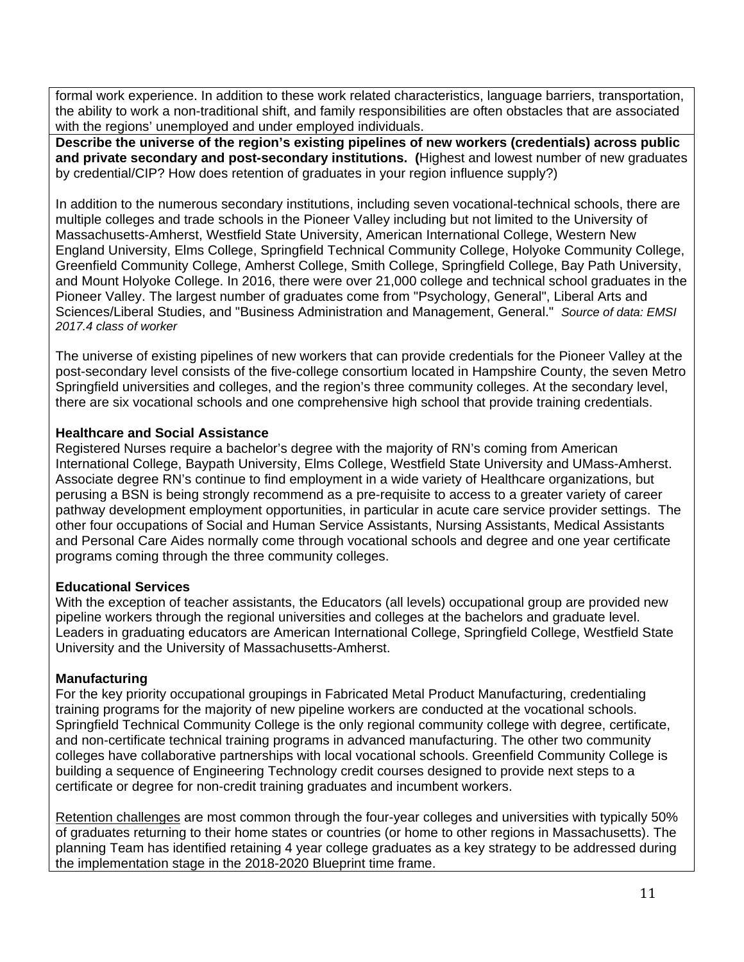formal work experience. In addition to these work related characteristics, language barriers, transportation, the ability to work a non-traditional shift, and family responsibilities are often obstacles that are associated with the regions' unemployed and under employed individuals.

**Describe the universe of the region's existing pipelines of new workers (credentials) across public and private secondary and post-secondary institutions. (**Highest and lowest number of new graduates by credential/CIP? How does retention of graduates in your region influence supply?)

In addition to the numerous secondary institutions, including seven vocational-technical schools, there are multiple colleges and trade schools in the Pioneer Valley including but not limited to the University of Massachusetts-Amherst, Westfield State University, American International College, Western New England University, Elms College, Springfield Technical Community College, Holyoke Community College, Greenfield Community College, Amherst College, Smith College, Springfield College, Bay Path University, and Mount Holyoke College. In 2016, there were over 21,000 college and technical school graduates in the Pioneer Valley. The largest number of graduates come from "Psychology, General", Liberal Arts and Sciences/Liberal Studies, and "Business Administration and Management, General." *Source of data: EMSI 2017.4 class of worker*

The universe of existing pipelines of new workers that can provide credentials for the Pioneer Valley at the post-secondary level consists of the five-college consortium located in Hampshire County, the seven Metro Springfield universities and colleges, and the region's three community colleges. At the secondary level, there are six vocational schools and one comprehensive high school that provide training credentials.

#### **Healthcare and Social Assistance**

Registered Nurses require a bachelor's degree with the majority of RN's coming from American International College, Baypath University, Elms College, Westfield State University and UMass-Amherst. Associate degree RN's continue to find employment in a wide variety of Healthcare organizations, but perusing a BSN is being strongly recommend as a pre-requisite to access to a greater variety of career pathway development employment opportunities, in particular in acute care service provider settings. The other four occupations of Social and Human Service Assistants, Nursing Assistants, Medical Assistants and Personal Care Aides normally come through vocational schools and degree and one year certificate programs coming through the three community colleges.

#### **Educational Services**

With the exception of teacher assistants, the Educators (all levels) occupational group are provided new pipeline workers through the regional universities and colleges at the bachelors and graduate level. Leaders in graduating educators are American International College, Springfield College, Westfield State University and the University of Massachusetts-Amherst.

#### **Manufacturing**

For the key priority occupational groupings in Fabricated Metal Product Manufacturing, credentialing training programs for the majority of new pipeline workers are conducted at the vocational schools. Springfield Technical Community College is the only regional community college with degree, certificate, and non-certificate technical training programs in advanced manufacturing. The other two community colleges have collaborative partnerships with local vocational schools. Greenfield Community College is building a sequence of Engineering Technology credit courses designed to provide next steps to a certificate or degree for non-credit training graduates and incumbent workers.

Retention challenges are most common through the four-year colleges and universities with typically 50% of graduates returning to their home states or countries (or home to other regions in Massachusetts). The planning Team has identified retaining 4 year college graduates as a key strategy to be addressed during the implementation stage in the 2018-2020 Blueprint time frame.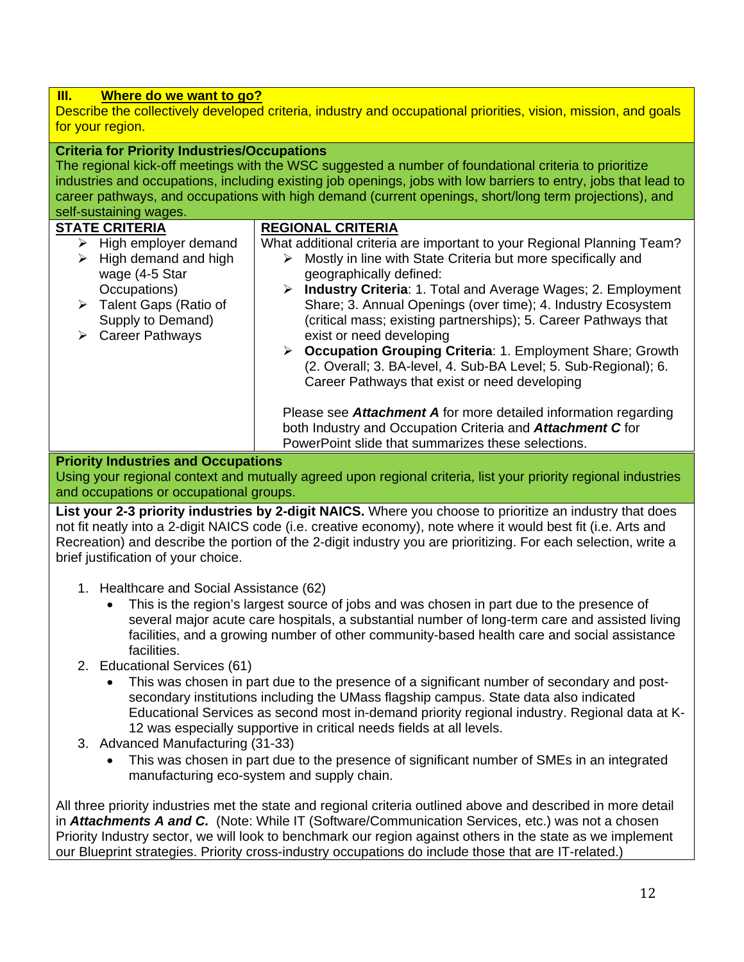#### **III. Where do we want to go?**  Describe the collectively developed criteria, industry and occupational priorities, vision, mission, and goals for your region. **Criteria for Priority Industries/Occupations**  The regional kick-off meetings with the WSC suggested a number of foundational criteria to prioritize industries and occupations, including existing job openings, jobs with low barriers to entry, jobs that lead to career pathways, and occupations with high demand (current openings, short/long term projections), and self-sustaining wages. **STATE CRITERIA**   $\triangleright$  High employer demand  $\triangleright$  High demand and high wage (4-5 Star Occupations) Talent Gaps (Ratio of Supply to Demand) Career Pathways **REGIONAL CRITERIA**  What additional criteria are important to your Regional Planning Team?  $\triangleright$  Mostly in line with State Criteria but more specifically and geographically defined: **Industry Criteria**: 1. Total and Average Wages; 2. Employment Share; 3. Annual Openings (over time); 4. Industry Ecosystem (critical mass; existing partnerships); 5. Career Pathways that exist or need developing **Occupation Grouping Criteria**: 1. Employment Share; Growth (2. Overall; 3. BA-level, 4. Sub-BA Level; 5. Sub-Regional); 6. Career Pathways that exist or need developing Please see *Attachment A* for more detailed information regarding both Industry and Occupation Criteria and *Attachment C* for PowerPoint slide that summarizes these selections.

### **Priority Industries and Occupations**

Using your regional context and mutually agreed upon regional criteria, list your priority regional industries and occupations or occupational groups.

**List your 2-3 priority industries by 2-digit NAICS.** Where you choose to prioritize an industry that does not fit neatly into a 2-digit NAICS code (i.e. creative economy), note where it would best fit (i.e. Arts and Recreation) and describe the portion of the 2-digit industry you are prioritizing. For each selection, write a brief justification of your choice.

- 1. Healthcare and Social Assistance (62)
	- This is the region's largest source of jobs and was chosen in part due to the presence of several major acute care hospitals, a substantial number of long-term care and assisted living facilities, and a growing number of other community-based health care and social assistance facilities.
- 2. Educational Services (61)
	- This was chosen in part due to the presence of a significant number of secondary and postsecondary institutions including the UMass flagship campus. State data also indicated Educational Services as second most in-demand priority regional industry. Regional data at K-12 was especially supportive in critical needs fields at all levels.
- 3. Advanced Manufacturing (31-33)
	- This was chosen in part due to the presence of significant number of SMEs in an integrated manufacturing eco-system and supply chain.

All three priority industries met the state and regional criteria outlined above and described in more detail in *Attachments A and C.* (Note: While IT (Software/Communication Services, etc.) was not a chosen Priority Industry sector, we will look to benchmark our region against others in the state as we implement our Blueprint strategies. Priority cross-industry occupations do include those that are IT-related.)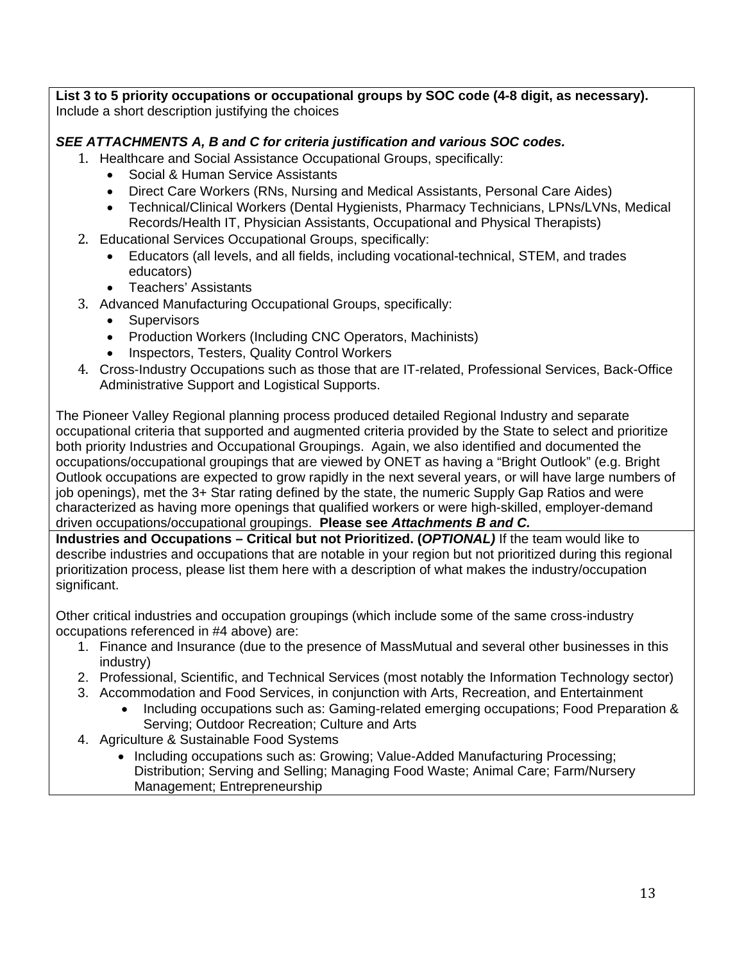**List 3 to 5 priority occupations or occupational groups by SOC code (4-8 digit, as necessary).**  Include a short description justifying the choices

### *SEE ATTACHMENTS A, B and C for criteria justification and various SOC codes.*

- 1. Healthcare and Social Assistance Occupational Groups, specifically:
	- Social & Human Service Assistants
	- Direct Care Workers (RNs, Nursing and Medical Assistants, Personal Care Aides)
	- Technical/Clinical Workers (Dental Hygienists, Pharmacy Technicians, LPNs/LVNs, Medical Records/Health IT, Physician Assistants, Occupational and Physical Therapists)
- 2. Educational Services Occupational Groups, specifically:
	- Educators (all levels, and all fields, including vocational-technical, STEM, and trades educators)
	- Teachers' Assistants
- 3. Advanced Manufacturing Occupational Groups, specifically:
	- Supervisors
	- Production Workers (Including CNC Operators, Machinists)
	- Inspectors, Testers, Quality Control Workers
- 4. Cross-Industry Occupations such as those that are IT-related, Professional Services, Back-Office Administrative Support and Logistical Supports.

The Pioneer Valley Regional planning process produced detailed Regional Industry and separate occupational criteria that supported and augmented criteria provided by the State to select and prioritize both priority Industries and Occupational Groupings. Again, we also identified and documented the occupations/occupational groupings that are viewed by ONET as having a "Bright Outlook" (e.g. Bright Outlook occupations are expected to grow rapidly in the next several years, or will have large numbers of job openings), met the 3+ Star rating defined by the state, the numeric Supply Gap Ratios and were characterized as having more openings that qualified workers or were high-skilled, employer-demand driven occupations/occupational groupings. **Please see** *Attachments B and C.*

**Industries and Occupations – Critical but not Prioritized. (***OPTIONAL)* If the team would like to describe industries and occupations that are notable in your region but not prioritized during this regional prioritization process, please list them here with a description of what makes the industry/occupation significant.

Other critical industries and occupation groupings (which include some of the same cross-industry occupations referenced in #4 above) are:

- 1. Finance and Insurance (due to the presence of MassMutual and several other businesses in this industry)
- 2. Professional, Scientific, and Technical Services (most notably the Information Technology sector)
- 3. Accommodation and Food Services, in conjunction with Arts, Recreation, and Entertainment
	- Including occupations such as: Gaming-related emerging occupations; Food Preparation & Serving; Outdoor Recreation; Culture and Arts
- 4. Agriculture & Sustainable Food Systems
	- Including occupations such as: Growing; Value-Added Manufacturing Processing; Distribution; Serving and Selling; Managing Food Waste; Animal Care; Farm/Nursery Management; Entrepreneurship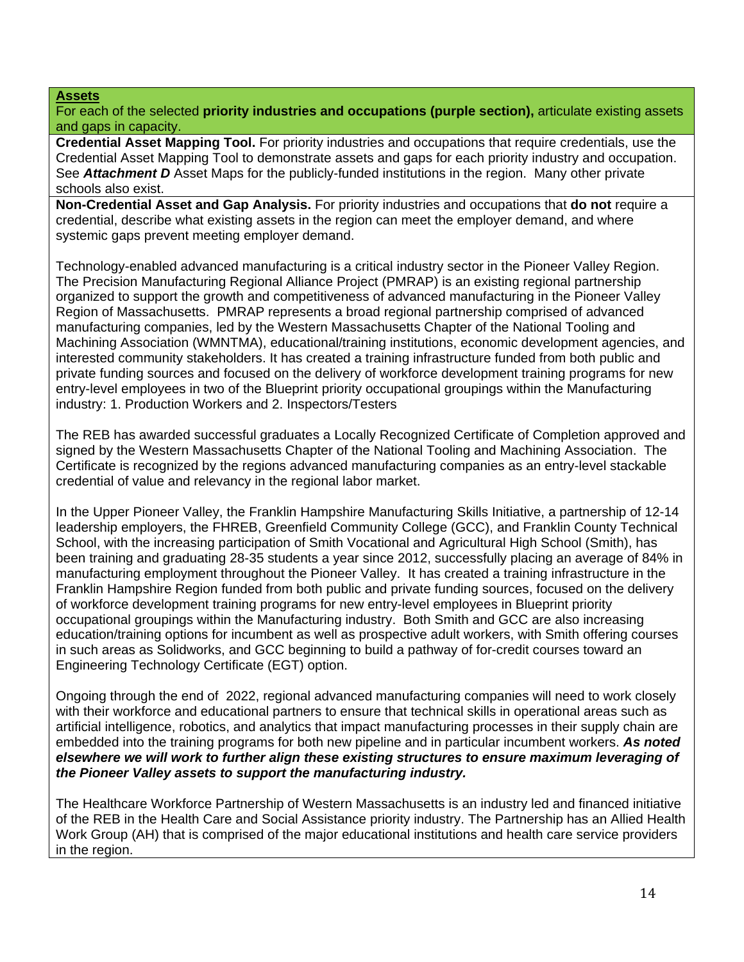#### **Assets**

For each of the selected **priority industries and occupations (purple section),** articulate existing assets and gaps in capacity.

**Credential Asset Mapping Tool.** For priority industries and occupations that require credentials, use the Credential Asset Mapping Tool to demonstrate assets and gaps for each priority industry and occupation. See **Attachment D** Asset Maps for the publicly-funded institutions in the region. Many other private schools also exist.

**Non-Credential Asset and Gap Analysis.** For priority industries and occupations that **do not** require a credential, describe what existing assets in the region can meet the employer demand, and where systemic gaps prevent meeting employer demand.

Technology-enabled advanced manufacturing is a critical industry sector in the Pioneer Valley Region. The Precision Manufacturing Regional Alliance Project (PMRAP) is an existing regional partnership organized to support the growth and competitiveness of advanced manufacturing in the Pioneer Valley Region of Massachusetts. PMRAP represents a broad regional partnership comprised of advanced manufacturing companies, led by the Western Massachusetts Chapter of the National Tooling and Machining Association (WMNTMA), educational/training institutions, economic development agencies, and interested community stakeholders. It has created a training infrastructure funded from both public and private funding sources and focused on the delivery of workforce development training programs for new entry-level employees in two of the Blueprint priority occupational groupings within the Manufacturing industry: 1. Production Workers and 2. Inspectors/Testers

The REB has awarded successful graduates a Locally Recognized Certificate of Completion approved and signed by the Western Massachusetts Chapter of the National Tooling and Machining Association. The Certificate is recognized by the regions advanced manufacturing companies as an entry-level stackable credential of value and relevancy in the regional labor market.

In the Upper Pioneer Valley, the Franklin Hampshire Manufacturing Skills Initiative, a partnership of 12-14 leadership employers, the FHREB, Greenfield Community College (GCC), and Franklin County Technical School, with the increasing participation of Smith Vocational and Agricultural High School (Smith), has been training and graduating 28-35 students a year since 2012, successfully placing an average of 84% in manufacturing employment throughout the Pioneer Valley. It has created a training infrastructure in the Franklin Hampshire Region funded from both public and private funding sources, focused on the delivery of workforce development training programs for new entry-level employees in Blueprint priority occupational groupings within the Manufacturing industry. Both Smith and GCC are also increasing education/training options for incumbent as well as prospective adult workers, with Smith offering courses in such areas as Solidworks, and GCC beginning to build a pathway of for-credit courses toward an Engineering Technology Certificate (EGT) option.

Ongoing through the end of 2022, regional advanced manufacturing companies will need to work closely with their workforce and educational partners to ensure that technical skills in operational areas such as artificial intelligence, robotics, and analytics that impact manufacturing processes in their supply chain are embedded into the training programs for both new pipeline and in particular incumbent workers. *As noted elsewhere we will work to further align these existing structures to ensure maximum leveraging of the Pioneer Valley assets to support the manufacturing industry.* 

The Healthcare Workforce Partnership of Western Massachusetts is an industry led and financed initiative of the REB in the Health Care and Social Assistance priority industry. The Partnership has an Allied Health Work Group (AH) that is comprised of the major educational institutions and health care service providers in the region.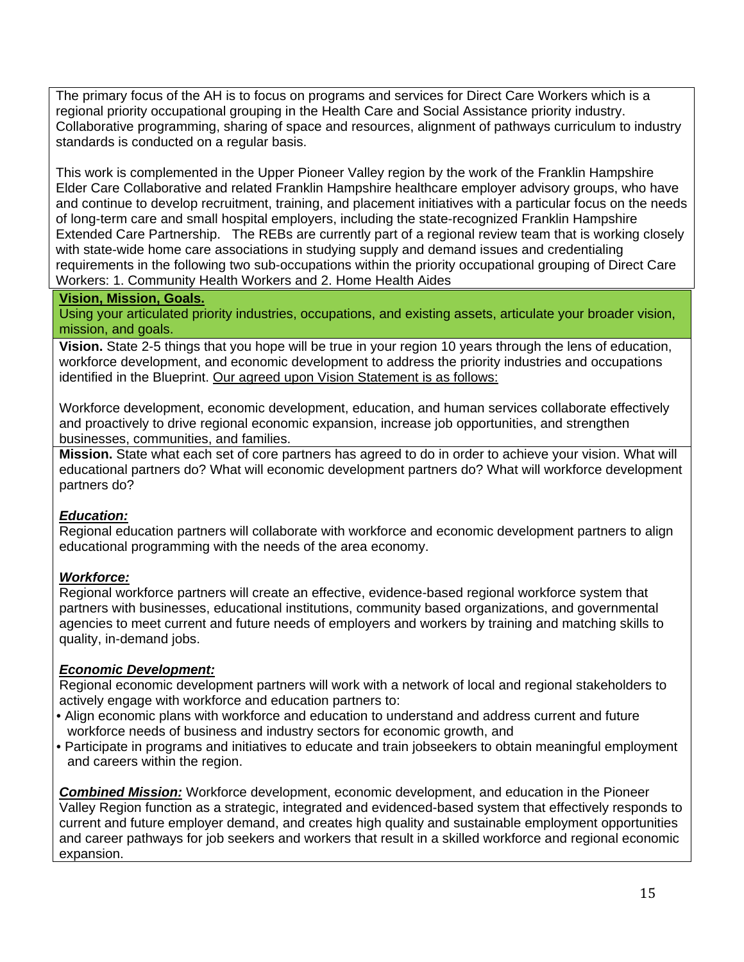The primary focus of the AH is to focus on programs and services for Direct Care Workers which is a regional priority occupational grouping in the Health Care and Social Assistance priority industry. Collaborative programming, sharing of space and resources, alignment of pathways curriculum to industry standards is conducted on a regular basis.

This work is complemented in the Upper Pioneer Valley region by the work of the Franklin Hampshire Elder Care Collaborative and related Franklin Hampshire healthcare employer advisory groups, who have and continue to develop recruitment, training, and placement initiatives with a particular focus on the needs of long-term care and small hospital employers, including the state-recognized Franklin Hampshire Extended Care Partnership. The REBs are currently part of a regional review team that is working closely with state-wide home care associations in studying supply and demand issues and credentialing requirements in the following two sub-occupations within the priority occupational grouping of Direct Care Workers: 1. Community Health Workers and 2. Home Health Aides

#### **Vision, Mission, Goals.**

Using your articulated priority industries, occupations, and existing assets, articulate your broader vision, mission, and goals.

**Vision.** State 2-5 things that you hope will be true in your region 10 years through the lens of education, workforce development, and economic development to address the priority industries and occupations identified in the Blueprint. Our agreed upon Vision Statement is as follows:

Workforce development, economic development, education, and human services collaborate effectively and proactively to drive regional economic expansion, increase job opportunities, and strengthen businesses, communities, and families.

**Mission.** State what each set of core partners has agreed to do in order to achieve your vision. What will educational partners do? What will economic development partners do? What will workforce development partners do?

#### *Education:*

Regional education partners will collaborate with workforce and economic development partners to align educational programming with the needs of the area economy.

#### *Workforce:*

Regional workforce partners will create an effective, evidence-based regional workforce system that partners with businesses, educational institutions, community based organizations, and governmental agencies to meet current and future needs of employers and workers by training and matching skills to quality, in-demand jobs.

#### *Economic Development:*

Regional economic development partners will work with a network of local and regional stakeholders to actively engage with workforce and education partners to:

- Align economic plans with workforce and education to understand and address current and future workforce needs of business and industry sectors for economic growth, and
- Participate in programs and initiatives to educate and train jobseekers to obtain meaningful employment and careers within the region.

*Combined Mission:* Workforce development, economic development, and education in the Pioneer Valley Region function as a strategic, integrated and evidenced-based system that effectively responds to current and future employer demand, and creates high quality and sustainable employment opportunities and career pathways for job seekers and workers that result in a skilled workforce and regional economic expansion.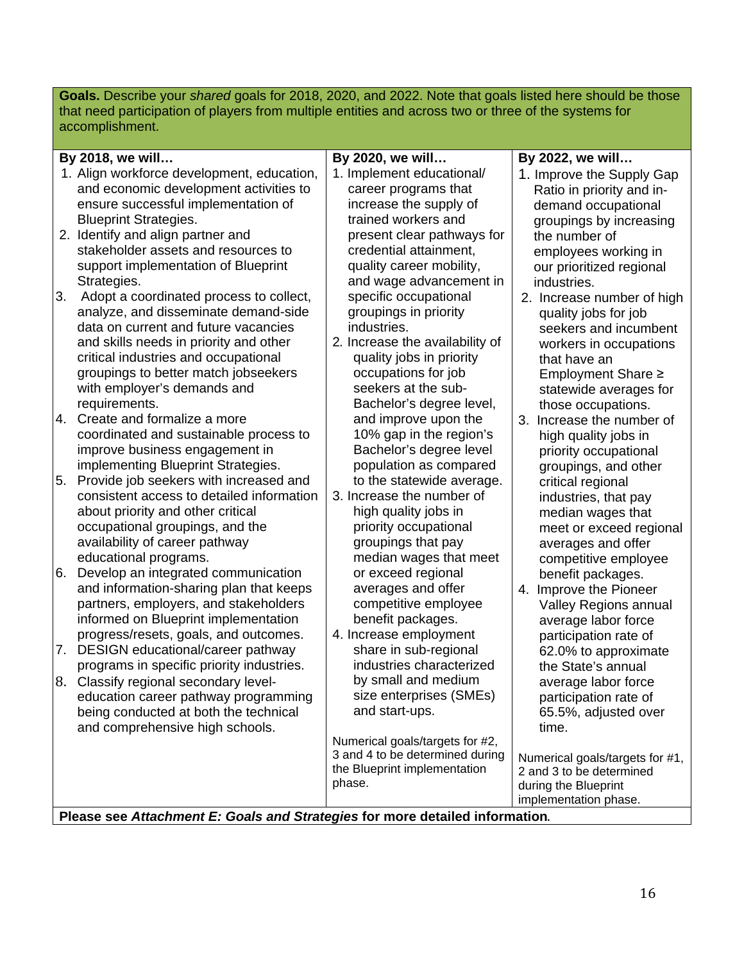**Goals.** Describe your *shared* goals for 2018, 2020, and 2022. Note that goals listed here should be those that need participation of players from multiple entities and across two or three of the systems for accomplishment.

| By 2018, we will<br>By 2020, we will                                         | By 2022, we will                                 |
|------------------------------------------------------------------------------|--------------------------------------------------|
| 1. Align workforce development, education,<br>1. Implement educational/      | 1. Improve the Supply Gap                        |
| and economic development activities to<br>career programs that               | Ratio in priority and in-                        |
| ensure successful implementation of<br>increase the supply of                | demand occupational                              |
| <b>Blueprint Strategies.</b><br>trained workers and                          | groupings by increasing                          |
| 2. Identify and align partner and<br>present clear pathways for              | the number of                                    |
| stakeholder assets and resources to<br>credential attainment,                | employees working in                             |
| support implementation of Blueprint<br>quality career mobility,              | our prioritized regional                         |
| Strategies.<br>and wage advancement in                                       | industries.                                      |
| 3.<br>specific occupational<br>Adopt a coordinated process to collect,       | 2. Increase number of high                       |
| analyze, and disseminate demand-side<br>groupings in priority                | quality jobs for job                             |
| data on current and future vacancies<br>industries.                          | seekers and incumbent                            |
| and skills needs in priority and other<br>2. Increase the availability of    | workers in occupations                           |
| critical industries and occupational<br>quality jobs in priority             | that have an                                     |
| groupings to better match jobseekers<br>occupations for job                  | Employment Share ≥                               |
| seekers at the sub-<br>with employer's demands and                           | statewide averages for                           |
| requirements.<br>Bachelor's degree level,                                    | those occupations.                               |
| 4.<br>Create and formalize a more<br>and improve upon the                    | 3. Increase the number of                        |
| coordinated and sustainable process to<br>10% gap in the region's            | high quality jobs in                             |
| improve business engagement in<br>Bachelor's degree level                    | priority occupational                            |
| implementing Blueprint Strategies.<br>population as compared                 | groupings, and other                             |
| Provide job seekers with increased and<br>to the statewide average.<br>5.    | critical regional                                |
| 3. Increase the number of<br>consistent access to detailed information       | industries, that pay                             |
| about priority and other critical<br>high quality jobs in                    | median wages that                                |
| priority occupational<br>occupational groupings, and the                     | meet or exceed regional                          |
| availability of career pathway<br>groupings that pay                         | averages and offer                               |
| educational programs.<br>median wages that meet                              | competitive employee                             |
| 6.<br>Develop an integrated communication<br>or exceed regional              | benefit packages.                                |
| and information-sharing plan that keeps<br>averages and offer                | 4. Improve the Pioneer                           |
| partners, employers, and stakeholders<br>competitive employee                | Valley Regions annual                            |
| informed on Blueprint implementation<br>benefit packages.                    | average labor force                              |
| 4. Increase employment<br>progress/resets, goals, and outcomes.              | participation rate of                            |
| DESIGN educational/career pathway<br>share in sub-regional<br>7.             | 62.0% to approximate                             |
| industries characterized<br>programs in specific priority industries.        | the State's annual                               |
| by small and medium<br>8. Classify regional secondary level-                 | average labor force                              |
| size enterprises (SMEs)<br>education career pathway programming              | participation rate of                            |
| and start-ups.<br>being conducted at both the technical                      | 65.5%, adjusted over                             |
| and comprehensive high schools.                                              | time.                                            |
| Numerical goals/targets for #2,<br>3 and 4 to be determined during           |                                                  |
| the Blueprint implementation                                                 | Numerical goals/targets for #1,                  |
| phase.                                                                       | 2 and 3 to be determined<br>during the Blueprint |
|                                                                              | implementation phase.                            |
| Please see Attachment E: Goals and Strategies for more detailed information. |                                                  |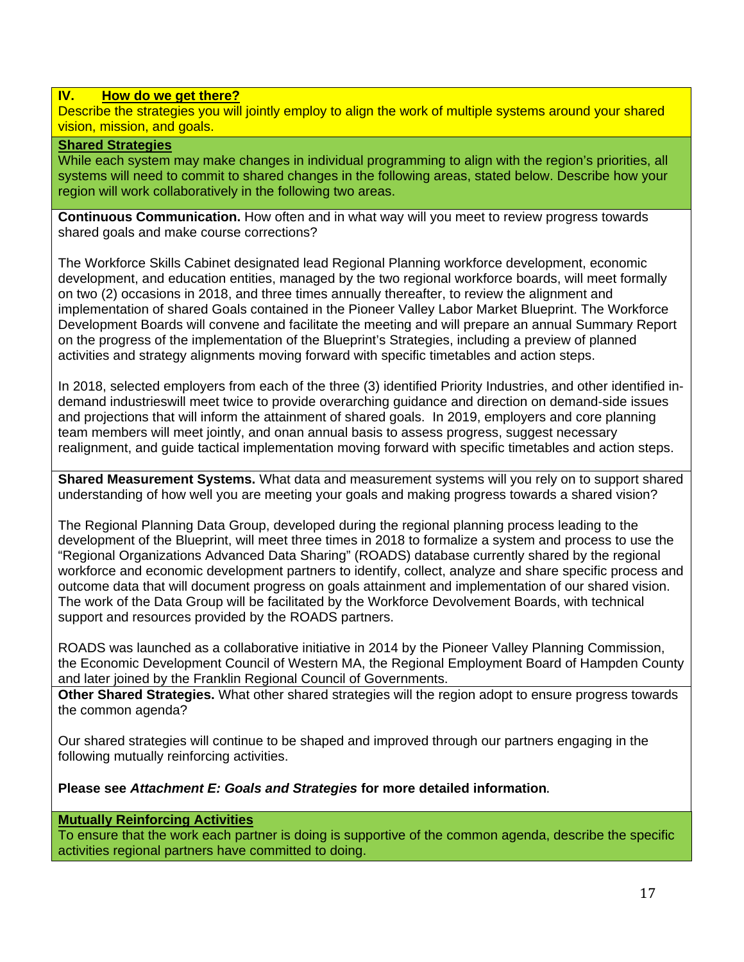#### **IV. How do we get there?**

Describe the strategies you will jointly employ to align the work of multiple systems around your shared vision, mission, and goals.

#### **Shared Strategies**

While each system may make changes in individual programming to align with the region's priorities, all systems will need to commit to shared changes in the following areas, stated below. Describe how your region will work collaboratively in the following two areas.

**Continuous Communication.** How often and in what way will you meet to review progress towards shared goals and make course corrections?

The Workforce Skills Cabinet designated lead Regional Planning workforce development, economic development, and education entities, managed by the two regional workforce boards, will meet formally on two (2) occasions in 2018, and three times annually thereafter, to review the alignment and implementation of shared Goals contained in the Pioneer Valley Labor Market Blueprint. The Workforce Development Boards will convene and facilitate the meeting and will prepare an annual Summary Report on the progress of the implementation of the Blueprint's Strategies, including a preview of planned activities and strategy alignments moving forward with specific timetables and action steps.

In 2018, selected employers from each of the three (3) identified Priority Industries, and other identified indemand industrieswill meet twice to provide overarching guidance and direction on demand-side issues and projections that will inform the attainment of shared goals. In 2019, employers and core planning team members will meet jointly, and onan annual basis to assess progress, suggest necessary realignment, and guide tactical implementation moving forward with specific timetables and action steps.

**Shared Measurement Systems.** What data and measurement systems will you rely on to support shared understanding of how well you are meeting your goals and making progress towards a shared vision?

The Regional Planning Data Group, developed during the regional planning process leading to the development of the Blueprint, will meet three times in 2018 to formalize a system and process to use the "Regional Organizations Advanced Data Sharing" (ROADS) database currently shared by the regional workforce and economic development partners to identify, collect, analyze and share specific process and outcome data that will document progress on goals attainment and implementation of our shared vision. The work of the Data Group will be facilitated by the Workforce Devolvement Boards, with technical support and resources provided by the ROADS partners.

ROADS was launched as a collaborative initiative in 2014 by the Pioneer Valley Planning Commission, the Economic Development Council of Western MA, the Regional Employment Board of Hampden County and later joined by the Franklin Regional Council of Governments.

**Other Shared Strategies.** What other shared strategies will the region adopt to ensure progress towards the common agenda?

Our shared strategies will continue to be shaped and improved through our partners engaging in the following mutually reinforcing activities.

**Please see** *Attachment E: Goals and Strategies* **for more detailed information**. 

#### **Mutually Reinforcing Activities**

To ensure that the work each partner is doing is supportive of the common agenda, describe the specific activities regional partners have committed to doing.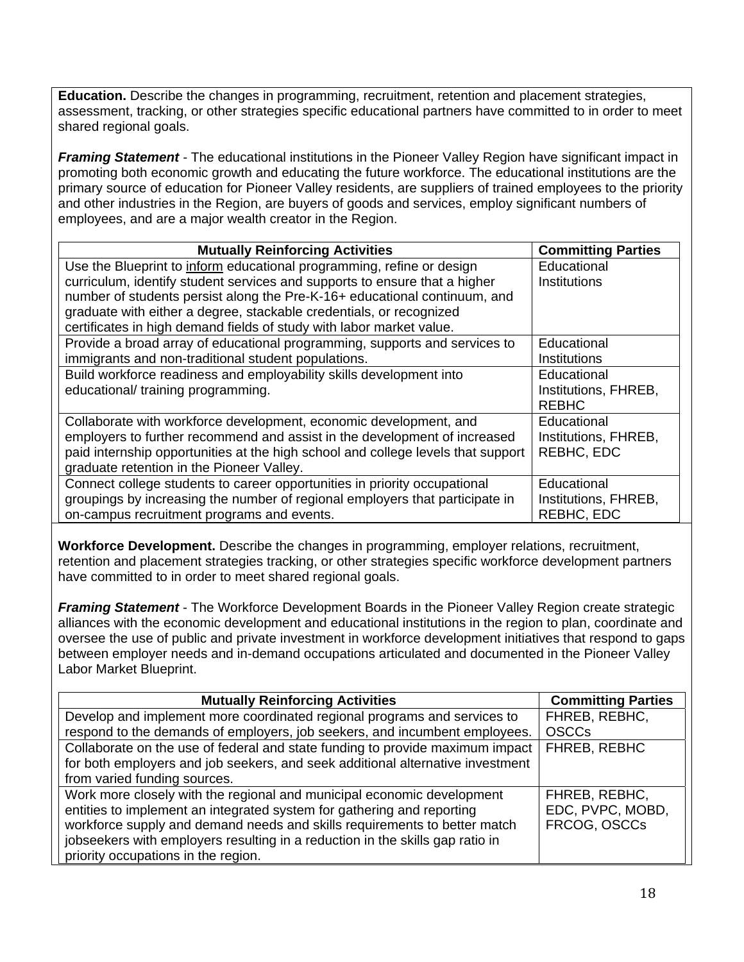**Education.** Describe the changes in programming, recruitment, retention and placement strategies, assessment, tracking, or other strategies specific educational partners have committed to in order to meet shared regional goals.

*Framing Statement -* The educational institutions in the Pioneer Valley Region have significant impact in promoting both economic growth and educating the future workforce. The educational institutions are the primary source of education for Pioneer Valley residents, are suppliers of trained employees to the priority and other industries in the Region, are buyers of goods and services, employ significant numbers of employees, and are a major wealth creator in the Region.

| <b>Mutually Reinforcing Activities</b>                                           | <b>Committing Parties</b> |
|----------------------------------------------------------------------------------|---------------------------|
| Use the Blueprint to inform educational programming, refine or design            | Educational               |
| curriculum, identify student services and supports to ensure that a higher       | Institutions              |
| number of students persist along the Pre-K-16+ educational continuum, and        |                           |
| graduate with either a degree, stackable credentials, or recognized              |                           |
| certificates in high demand fields of study with labor market value.             |                           |
| Provide a broad array of educational programming, supports and services to       | Educational               |
| immigrants and non-traditional student populations.                              | <b>Institutions</b>       |
| Build workforce readiness and employability skills development into              | Educational               |
| educational/training programming.                                                | Institutions, FHREB,      |
|                                                                                  | <b>REBHC</b>              |
| Collaborate with workforce development, economic development, and                | Educational               |
| employers to further recommend and assist in the development of increased        | Institutions, FHREB,      |
| paid internship opportunities at the high school and college levels that support | REBHC, EDC                |
| graduate retention in the Pioneer Valley.                                        |                           |
| Connect college students to career opportunities in priority occupational        | Educational               |
| groupings by increasing the number of regional employers that participate in     | Institutions, FHREB,      |
| on-campus recruitment programs and events.                                       | REBHC, EDC                |

**Workforce Development.** Describe the changes in programming, employer relations, recruitment, retention and placement strategies tracking, or other strategies specific workforce development partners have committed to in order to meet shared regional goals.

**Framing Statement** - The Workforce Development Boards in the Pioneer Valley Region create strategic alliances with the economic development and educational institutions in the region to plan, coordinate and oversee the use of public and private investment in workforce development initiatives that respond to gaps between employer needs and in-demand occupations articulated and documented in the Pioneer Valley Labor Market Blueprint.

| <b>Mutually Reinforcing Activities</b>                                         | <b>Committing Parties</b> |
|--------------------------------------------------------------------------------|---------------------------|
| Develop and implement more coordinated regional programs and services to       | FHREB, REBHC,             |
| respond to the demands of employers, job seekers, and incumbent employees.     | <b>OSCCs</b>              |
| Collaborate on the use of federal and state funding to provide maximum impact  | FHREB, REBHC              |
| for both employers and job seekers, and seek additional alternative investment |                           |
| from varied funding sources.                                                   |                           |
| Work more closely with the regional and municipal economic development         | FHREB, REBHC,             |
| entities to implement an integrated system for gathering and reporting         | EDC, PVPC, MOBD,          |
| workforce supply and demand needs and skills requirements to better match      | FRCOG, OSCCs              |
| jobseekers with employers resulting in a reduction in the skills gap ratio in  |                           |
| priority occupations in the region.                                            |                           |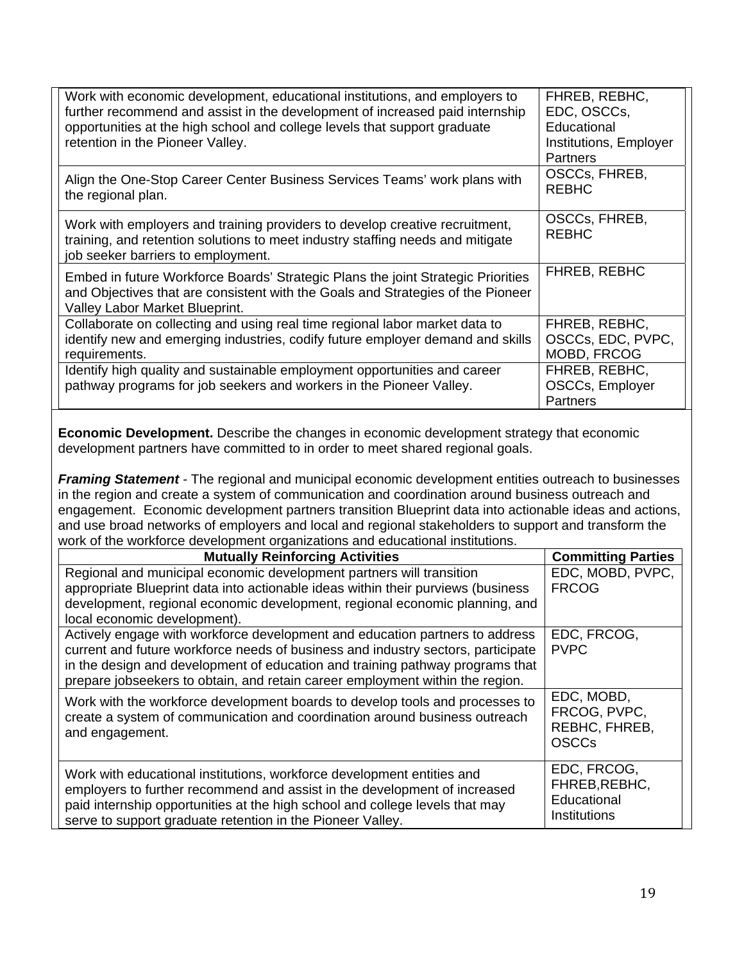| Work with economic development, educational institutions, and employers to<br>further recommend and assist in the development of increased paid internship<br>opportunities at the high school and college levels that support graduate<br>retention in the Pioneer Valley. | FHREB, REBHC,<br>EDC, OSCCs,<br>Educational<br>Institutions, Employer<br><b>Partners</b> |
|-----------------------------------------------------------------------------------------------------------------------------------------------------------------------------------------------------------------------------------------------------------------------------|------------------------------------------------------------------------------------------|
| Align the One-Stop Career Center Business Services Teams' work plans with<br>the regional plan.                                                                                                                                                                             | OSCCs, FHREB,<br><b>REBHC</b>                                                            |
| Work with employers and training providers to develop creative recruitment,<br>training, and retention solutions to meet industry staffing needs and mitigate<br>job seeker barriers to employment.                                                                         | OSCCs, FHREB,<br><b>REBHC</b>                                                            |
| Embed in future Workforce Boards' Strategic Plans the joint Strategic Priorities<br>and Objectives that are consistent with the Goals and Strategies of the Pioneer<br>Valley Labor Market Blueprint.                                                                       | <b>FHREB, REBHC</b>                                                                      |
| Collaborate on collecting and using real time regional labor market data to<br>identify new and emerging industries, codify future employer demand and skills<br>requirements.                                                                                              | FHREB, REBHC,<br>OSCCs, EDC, PVPC,<br>MOBD, FRCOG                                        |
| Identify high quality and sustainable employment opportunities and career<br>pathway programs for job seekers and workers in the Pioneer Valley.                                                                                                                            | FHREB, REBHC,<br>OSCCs, Employer<br><b>Partners</b>                                      |

**Economic Development.** Describe the changes in economic development strategy that economic development partners have committed to in order to meet shared regional goals.

*Framing Statement -* The regional and municipal economic development entities outreach to businesses in the region and create a system of communication and coordination around business outreach and engagement. Economic development partners transition Blueprint data into actionable ideas and actions, and use broad networks of employers and local and regional stakeholders to support and transform the work of the workforce development organizations and educational institutions.

| <b>Mutually Reinforcing Activities</b>                                           | <b>Committing Parties</b>     |
|----------------------------------------------------------------------------------|-------------------------------|
| Regional and municipal economic development partners will transition             | EDC, MOBD, PVPC,              |
| appropriate Blueprint data into actionable ideas within their purviews (business | <b>FRCOG</b>                  |
| development, regional economic development, regional economic planning, and      |                               |
| local economic development).                                                     |                               |
| Actively engage with workforce development and education partners to address     | EDC, FRCOG,                   |
| current and future workforce needs of business and industry sectors, participate | <b>PVPC</b>                   |
| in the design and development of education and training pathway programs that    |                               |
| prepare jobseekers to obtain, and retain career employment within the region.    |                               |
| Work with the workforce development boards to develop tools and processes to     | EDC, MOBD,                    |
| create a system of communication and coordination around business outreach       | FRCOG, PVPC,                  |
| and engagement.                                                                  | REBHC, FHREB,<br><b>OSCCs</b> |
|                                                                                  |                               |
| Work with educational institutions, workforce development entities and           | EDC, FRCOG,                   |
| employers to further recommend and assist in the development of increased        | FHREB, REBHC,                 |
| paid internship opportunities at the high school and college levels that may     | Educational                   |
| serve to support graduate retention in the Pioneer Valley.                       | Institutions                  |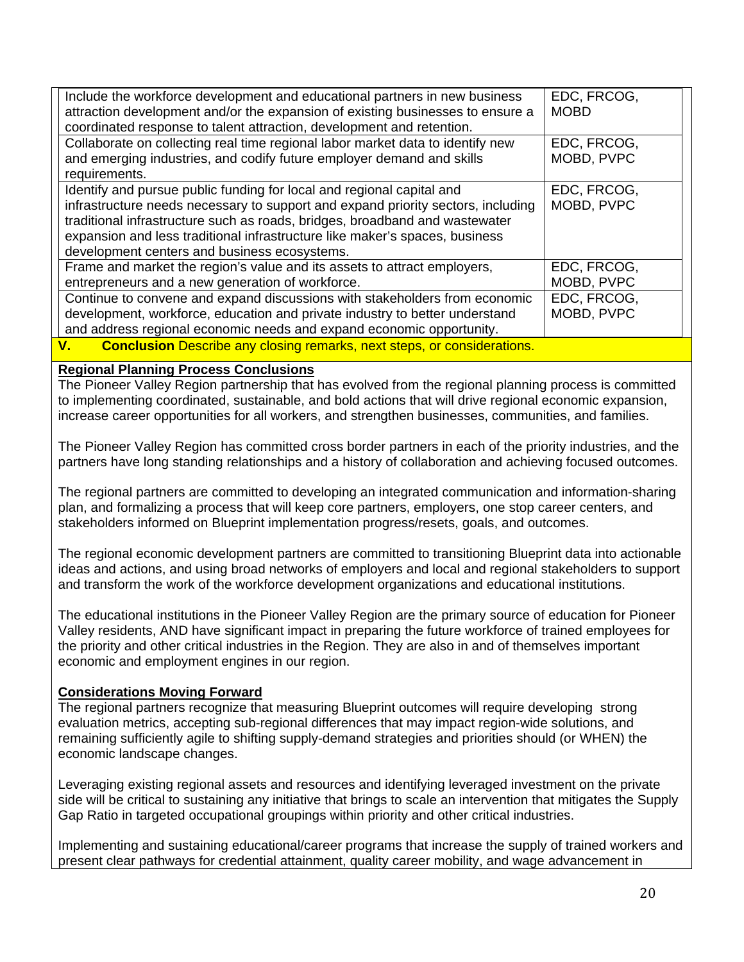| Include the workforce development and educational partners in new business<br>attraction development and/or the expansion of existing businesses to ensure a<br>coordinated response to talent attraction, development and retention.                                                                                                                                   | EDC, FRCOG,<br><b>MOBD</b> |
|-------------------------------------------------------------------------------------------------------------------------------------------------------------------------------------------------------------------------------------------------------------------------------------------------------------------------------------------------------------------------|----------------------------|
| Collaborate on collecting real time regional labor market data to identify new<br>and emerging industries, and codify future employer demand and skills<br>requirements.                                                                                                                                                                                                | EDC, FRCOG,<br>MOBD, PVPC  |
| Identify and pursue public funding for local and regional capital and<br>infrastructure needs necessary to support and expand priority sectors, including<br>traditional infrastructure such as roads, bridges, broadband and wastewater<br>expansion and less traditional infrastructure like maker's spaces, business<br>development centers and business ecosystems. | EDC, FRCOG,<br>MOBD, PVPC  |
| Frame and market the region's value and its assets to attract employers,<br>entrepreneurs and a new generation of workforce.                                                                                                                                                                                                                                            | EDC, FRCOG,<br>MOBD, PVPC  |
| Continue to convene and expand discussions with stakeholders from economic<br>development, workforce, education and private industry to better understand<br>and address regional economic needs and expand economic opportunity.                                                                                                                                       | EDC, FRCOG,<br>MOBD, PVPC  |
| Canalugian Describe any closing remarks, next steps, er considerations<br>$\mathbf{v}$                                                                                                                                                                                                                                                                                  |                            |

**V. Conclusion** Describe any closing remarks, next steps, or considerations.

#### **Regional Planning Process Conclusions**

The Pioneer Valley Region partnership that has evolved from the regional planning process is committed to implementing coordinated, sustainable, and bold actions that will drive regional economic expansion, increase career opportunities for all workers, and strengthen businesses, communities, and families.

The Pioneer Valley Region has committed cross border partners in each of the priority industries, and the partners have long standing relationships and a history of collaboration and achieving focused outcomes.

The regional partners are committed to developing an integrated communication and information-sharing plan, and formalizing a process that will keep core partners, employers, one stop career centers, and stakeholders informed on Blueprint implementation progress/resets, goals, and outcomes.

The regional economic development partners are committed to transitioning Blueprint data into actionable ideas and actions, and using broad networks of employers and local and regional stakeholders to support and transform the work of the workforce development organizations and educational institutions.

The educational institutions in the Pioneer Valley Region are the primary source of education for Pioneer Valley residents, AND have significant impact in preparing the future workforce of trained employees for the priority and other critical industries in the Region. They are also in and of themselves important economic and employment engines in our region.

#### **Considerations Moving Forward**

The regional partners recognize that measuring Blueprint outcomes will require developing strong evaluation metrics, accepting sub-regional differences that may impact region-wide solutions, and remaining sufficiently agile to shifting supply-demand strategies and priorities should (or WHEN) the economic landscape changes.

Leveraging existing regional assets and resources and identifying leveraged investment on the private side will be critical to sustaining any initiative that brings to scale an intervention that mitigates the Supply Gap Ratio in targeted occupational groupings within priority and other critical industries.

Implementing and sustaining educational/career programs that increase the supply of trained workers and present clear pathways for credential attainment, quality career mobility, and wage advancement in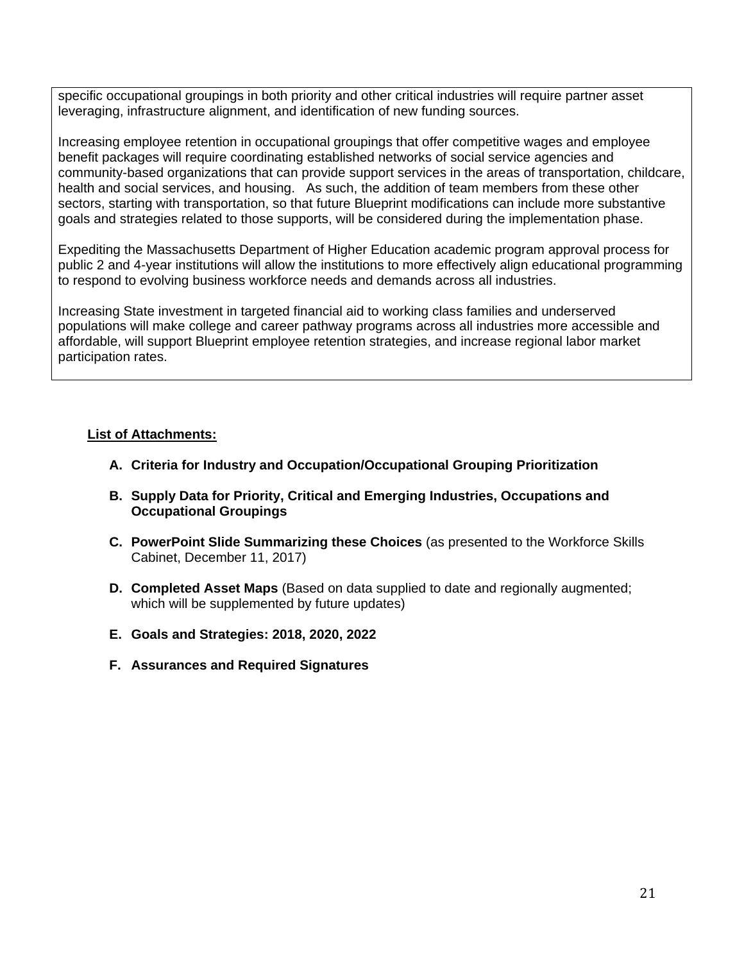specific occupational groupings in both priority and other critical industries will require partner asset leveraging, infrastructure alignment, and identification of new funding sources.

Increasing employee retention in occupational groupings that offer competitive wages and employee benefit packages will require coordinating established networks of social service agencies and community-based organizations that can provide support services in the areas of transportation, childcare, health and social services, and housing. As such, the addition of team members from these other sectors, starting with transportation, so that future Blueprint modifications can include more substantive goals and strategies related to those supports, will be considered during the implementation phase.

Expediting the Massachusetts Department of Higher Education academic program approval process for public 2 and 4-year institutions will allow the institutions to more effectively align educational programming to respond to evolving business workforce needs and demands across all industries.

Increasing State investment in targeted financial aid to working class families and underserved populations will make college and career pathway programs across all industries more accessible and affordable, will support Blueprint employee retention strategies, and increase regional labor market participation rates.

#### **List of Attachments:**

- **A. Criteria for Industry and Occupation/Occupational Grouping Prioritization**
- **B. Supply Data for Priority, Critical and Emerging Industries, Occupations and Occupational Groupings**
- **C. PowerPoint Slide Summarizing these Choices** (as presented to the Workforce Skills Cabinet, December 11, 2017)
- **D. Completed Asset Maps** (Based on data supplied to date and regionally augmented; which will be supplemented by future updates)
- **E. Goals and Strategies: 2018, 2020, 2022**
- **F. Assurances and Required Signatures**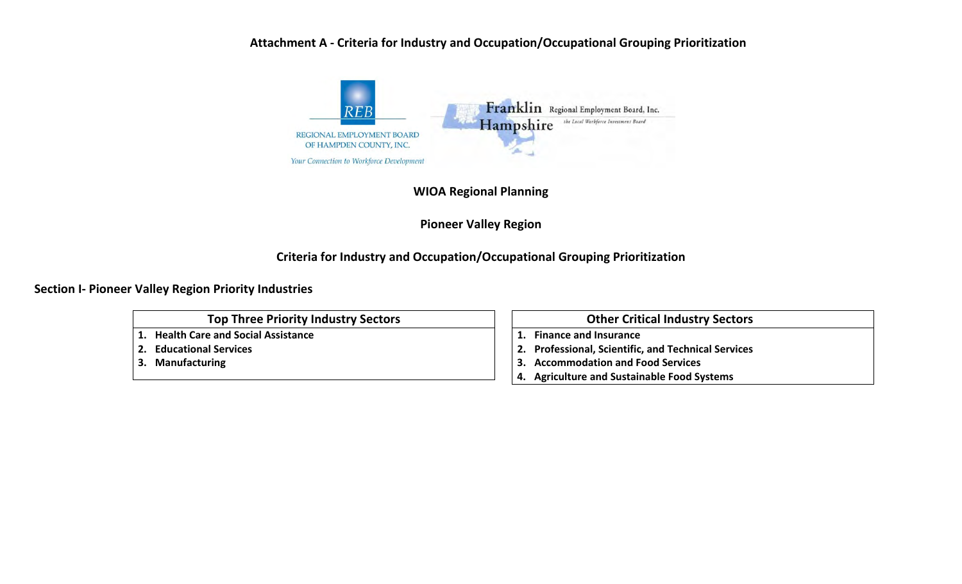### **Attachment A ‐ Criteria for Industry and Occupation/Occupational Grouping Prioritization**



**WIOA Regional Planning**

**Pioneer Valley Region**

## **Criteria for Industry and Occupation/Occupational Grouping Prioritization**

**Section I‐ Pioneer Valley Region Priority Industries**

**Top Three Priority Industry Sectors**

**1. Health Care and Social Assistance**

**2.Educational Services**

**3. Manufacturing**

#### **Other Critical Industry Sectors**

**1.Finance and Insurance**

- **2.Professional, Scientific, and Technical Services**
- **3. Accommodation and Food Services**
- **4. Agriculture and Sustainable Food Systems**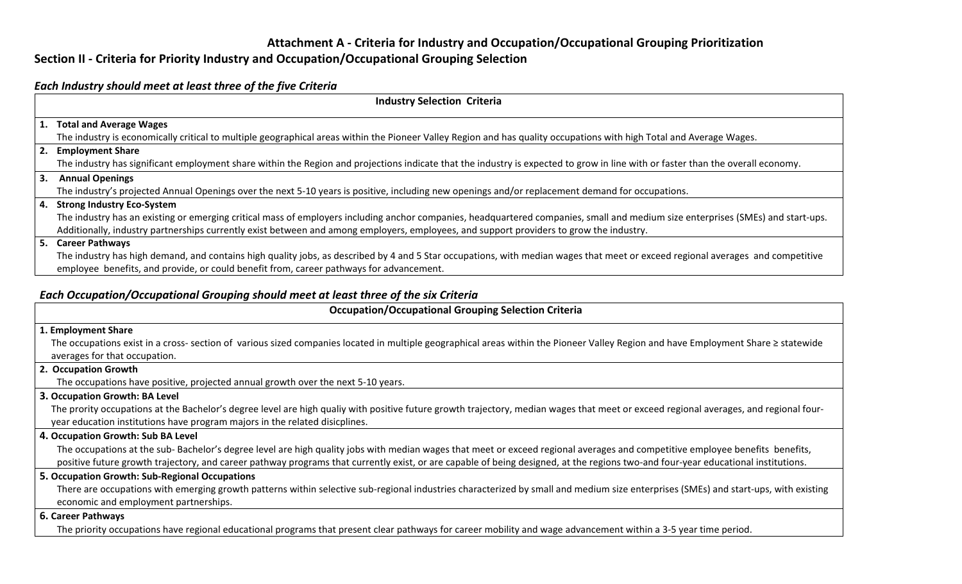## **Attachment A ‐ Criteria for Industry and Occupation/Occupational Grouping Prioritization**

## **Section II ‐ Criteria for Priority Industry and Occupation/Occupational Grouping Selection**

#### *Each Industry should meet at least three of the five Criteria*

| <b>Industry Selection Criteria</b>                                                                                                                                                    |
|---------------------------------------------------------------------------------------------------------------------------------------------------------------------------------------|
| 1. Total and Average Wages                                                                                                                                                            |
| The industry is economically critical to multiple geographical areas within the Pioneer Valley Region and has quality occupations with high Total and Average Wages.                  |
| 2. Employment Share                                                                                                                                                                   |
| The industry has significant employment share within the Region and projections indicate that the industry is expected to grow in line with or faster than the overall economy.       |
| 3. Annual Openings                                                                                                                                                                    |
| The industry's projected Annual Openings over the next 5-10 years is positive, including new openings and/or replacement demand for occupations.                                      |
| 4. Strong Industry Eco-System                                                                                                                                                         |
| The industry has an existing or emerging critical mass of employers including anchor companies, headquartered companies, small and medium size enterprises (SMEs) and start-ups.      |
| Additionally, industry partnerships currently exist between and among employers, employees, and support providers to grow the industry.                                               |
| 5. Career Pathways                                                                                                                                                                    |
| The industry has high demand, and contains high quality jobs, as described by 4 and 5 Star occupations, with median wages that meet or exceed regional averages and competitive       |
| employee benefits, and provide, or could benefit from, career pathways for advancement.                                                                                               |
|                                                                                                                                                                                       |
| Each Occupation/Occupational Grouping should meet at least three of the six Criteria                                                                                                  |
| <b>Occupation/Occupational Grouping Selection Criteria</b>                                                                                                                            |
| 1. Employment Share                                                                                                                                                                   |
| The occupations exist in a cross- section of various sized companies located in multiple geographical areas within the Pioneer Valley Region and have Employment Share ≥ statewide    |
| averages for that occupation.                                                                                                                                                         |
| 2. Occupation Growth                                                                                                                                                                  |
| The occupations have positive, projected annual growth over the next 5-10 years.                                                                                                      |
| 3. Occupation Growth: BA Level                                                                                                                                                        |
| The prority occupations at the Bachelor's degree level are high qualiy with positive future growth trajectory, median wages that meet or exceed regional averages, and regional four- |
| year education institutions have program majors in the related disicplines.                                                                                                           |
| 4. Occupation Growth: Sub BA Level                                                                                                                                                    |
| The occupations at the sub-Bachelor's degree level are high quality jobs with median wages that meet or exceed regional averages and competitive employee benefits benefits,          |
| positive future growth trajectory, and career pathway programs that currently exist, or are capable of being designed, at the regions two-and four-year educational institutions.     |
| 5. Occupation Growth: Sub-Regional Occupations                                                                                                                                        |
| There are occupations with emerging growth patterns within selective sub-regional industries characterized by small and medium size enterprises (SMEs) and start-ups, with existing   |
| economic and employment partnerships.                                                                                                                                                 |
| 6. Career Pathways                                                                                                                                                                    |
| The priority occupations have regional educational programs that present clear pathways for career mobility and wage advancement within a 3-5 year time period.                       |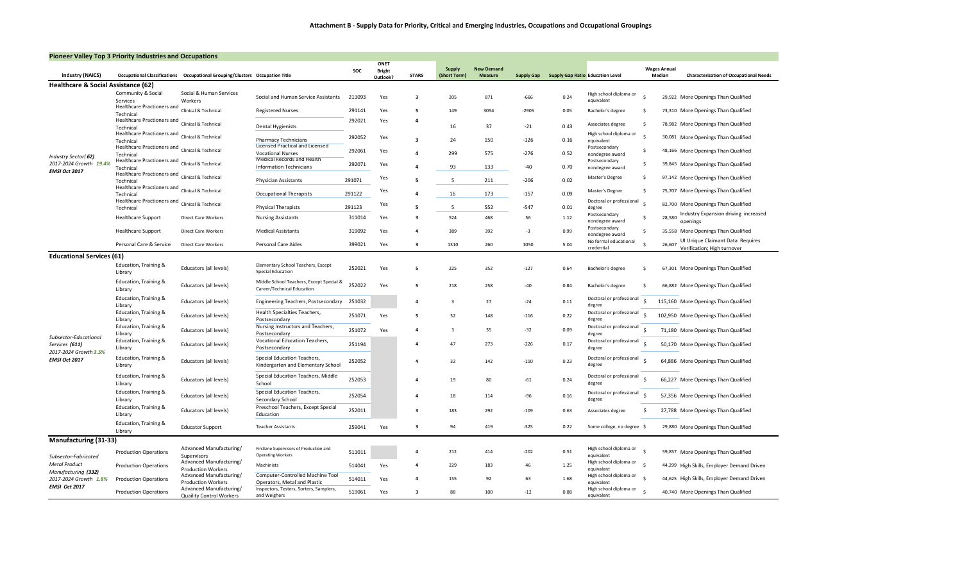|  | <b>Pioneer Valley Top 3 Priority Industries and Occupations</b> |  |
|--|-----------------------------------------------------------------|--|
|  |                                                                 |  |
|  |                                                                 |  |

| <b>Industry (NAICS)</b>                     | <b>Occupational Classifications</b>     | <b>Occupational Grouping/Clusters Occupation Title</b> |                                                                         | SOC    | ONET<br><b>Bright</b><br>Outlook? | <b>STARS</b>            | Supply<br>(Short Term)  | <b>New Demand</b><br><b>Measure</b> | <b>Supply Gap</b> |      | <b>Supply Gap Ratio Education Level</b> |              | <b>Wages Annual</b><br>Median | <b>Characterization of Occupational Needs</b>                   |
|---------------------------------------------|-----------------------------------------|--------------------------------------------------------|-------------------------------------------------------------------------|--------|-----------------------------------|-------------------------|-------------------------|-------------------------------------|-------------------|------|-----------------------------------------|--------------|-------------------------------|-----------------------------------------------------------------|
| Healthcare & Social Assistance (62)         |                                         |                                                        |                                                                         |        |                                   |                         |                         |                                     |                   |      |                                         |              |                               |                                                                 |
|                                             | Community & Social                      | Social & Human Services                                | Social and Human Service Assistants                                     | 211093 | Yes                               | $\overline{\mathbf{3}}$ | 205                     | 871                                 | $-666$            | 0.24 | High school diploma or                  |              |                               | 29,922 More Openings Than Qualified                             |
|                                             | Services<br>Healthcare Practioners and  | Workers                                                |                                                                         |        |                                   |                         |                         |                                     |                   |      | equivalent                              |              |                               |                                                                 |
|                                             | Technical                               | Clinical & Technical                                   | <b>Registered Nurses</b>                                                | 291141 | Yes                               | -5                      | 149                     | 3054                                | $-2905$           | 0.05 | Bachelor's degree                       | -\$          |                               | 73,310 More Openings Than Qualified                             |
|                                             | Healthcare Practioners and              | Clinical & Technical                                   |                                                                         | 292021 | Yes                               | 4                       |                         |                                     |                   |      | Associates degree                       | -\$          |                               | 78,982 More Openings Than Qualified                             |
|                                             | Technical<br>Healthcare Practioners and |                                                        | <b>Dental Hygienists</b>                                                |        |                                   |                         | 16                      | 37                                  | $-21$             | 0.43 |                                         |              |                               |                                                                 |
|                                             | Technical                               | Clinical & Technical                                   | <b>Pharmacy Technicians</b>                                             | 292052 | Yes                               | $\overline{\mathbf{3}}$ | 24                      | 150                                 | $-126$            | 0.16 | High school diploma or<br>equivalent    | $\mathsf{s}$ |                               | 30,081 More Openings Than Qualified                             |
|                                             | Healthcare Practioners and              | Clinical & Technical                                   | Licensed Practical and Licensed                                         | 292061 | Yes                               |                         |                         |                                     |                   |      | Postsecondary                           | -S           |                               | 48,166 More Openings Than Qualified                             |
| Industry Sector(62)                         | Technical<br>Healthcare Practioners and |                                                        | <b>Vocational Nurses</b><br><b>Medical Records and Health</b>           |        |                                   | $\Delta$                | 299                     | 575                                 | -276              | 0.52 | nondegree award                         |              |                               |                                                                 |
| 2017-2024 Growth 19.4%                      | Technical                               | Clinical & Technical                                   | <b>Information Technicians</b>                                          | 292071 | Yes                               | $\Delta$                | 93                      | 133                                 | $-40$             | 0.70 | Postsecondary<br>nondegree award        | -S           |                               | 39,845 More Openings Than Qualified                             |
| EMSI Oct 2017                               | Healthcare Practioners and              | Clinical & Technical                                   |                                                                         |        | Yes                               |                         |                         |                                     |                   |      | Master's Degree                         | S.           |                               | 97,142 More Openings Than Qualified                             |
|                                             | Technical                               |                                                        | <b>Physician Assistants</b>                                             | 291071 |                                   | 5                       | 5                       | 211                                 | $-206$            | 0.02 |                                         |              |                               |                                                                 |
|                                             | Healthcare Practioners and<br>Technical | Clinical & Technical                                   | <b>Occupational Therapists</b>                                          | 291122 | Yes                               |                         | 16                      | 173                                 | $-157$            | 0.09 | Master's Degree                         | -\$          |                               | 75,707 More Openings Than Qualified                             |
|                                             | Healthcare Practioners and              | Clinical & Technical                                   |                                                                         |        | Yes                               |                         |                         |                                     |                   |      | Doctoral or professional                | - Ś          |                               | 82,700 More Openings Than Qualified                             |
|                                             | Technical                               |                                                        | <b>Physical Therapists</b>                                              | 291123 |                                   | 5                       | 5                       | 552                                 | $-547$            | 0.01 | degree                                  |              |                               |                                                                 |
|                                             | <b>Healthcare Support</b>               | <b>Direct Care Workers</b>                             | <b>Nursing Assistants</b>                                               | 311014 | Yes                               | $\overline{\mathbf{3}}$ | 524                     | 468                                 | 56                | 1.12 | Postsecondary<br>nondegree award        | -\$          | 28,580                        | Industry Expansion driving increased<br>openings                |
|                                             |                                         | Direct Care Workers                                    |                                                                         | 319092 |                                   | 4                       | 389                     | 392                                 | -3                | 0.99 | Postsecondary                           | -\$          |                               |                                                                 |
|                                             | <b>Healthcare Support</b>               |                                                        | <b>Medical Assistants</b>                                               |        | Yes                               |                         |                         |                                     |                   |      | nondegree award                         |              |                               | 35,558 More Openings Than Qualified                             |
|                                             | Personal Care & Service                 | Direct Care Workers                                    | Personal Care Aides                                                     | 399021 | Yes                               | $\overline{\mathbf{3}}$ | 1310                    | 260                                 | 1050              | 5.04 | No formal educational<br>credential     | -Ś           | 26,607                        | UI Unique Claimant Data Requires<br>Verification; High turnover |
| <b>Educational Services (61)</b>            |                                         |                                                        |                                                                         |        |                                   |                         |                         |                                     |                   |      |                                         |              |                               |                                                                 |
|                                             | Education, Training &                   |                                                        | Elementary School Teachers, Except                                      |        |                                   |                         |                         |                                     |                   |      |                                         |              |                               |                                                                 |
|                                             | Library                                 | Educators (all levels)                                 | Special Education                                                       | 252021 | Yes                               | -5                      | 225                     | 352                                 | $-127$            | 0.64 | Bachelor's degree                       | - \$         |                               | 67,301 More Openings Than Qualified                             |
|                                             | Education, Training &                   |                                                        | Middle School Teachers, Except Special &                                | 252022 |                                   | 5                       | 218                     |                                     | $-40$             |      |                                         | -\$          |                               |                                                                 |
|                                             | Library                                 | Educators (all levels)                                 | Career/Technical Education                                              |        | Yes                               |                         |                         | 258                                 |                   | 0.84 | Bachelor's degree                       |              |                               | 66,882 More Openings Than Qualified                             |
|                                             | Education, Training &                   | Educators (all levels)                                 | Engineering Teachers, Postsecondary                                     | 251032 |                                   | 4                       | 3                       | 27                                  | $-24$             | 0.11 | Doctoral or professional                |              |                               | 115,160 More Openings Than Qualified                            |
|                                             | Library                                 |                                                        |                                                                         |        |                                   |                         |                         |                                     |                   |      | degree                                  |              |                               |                                                                 |
|                                             | Education, Training &<br>Library        | Educators (all levels)                                 | Health Specialties Teachers,<br>Postsecondary                           | 251071 | Yes                               | - 5                     | 32                      | 148                                 | $-116$            | 0.22 | Doctoral or professional<br>degree      |              |                               | 102,950 More Openings Than Qualified                            |
|                                             | Education, Training &                   |                                                        | Nursing Instructors and Teachers,                                       |        |                                   |                         |                         |                                     |                   |      | Doctoral or professional                |              |                               |                                                                 |
| Subsector-Educational                       | Library                                 | Educators (all levels)                                 | Postsecondary                                                           | 251072 | Yes                               |                         | $\overline{\mathbf{3}}$ | 35                                  | $-32$             | 0.09 | degree                                  |              |                               | 71,180 More Openings Than Qualified                             |
| Services (611)                              | Education, Training &                   | Educators (all levels)                                 | Vocational Education Teachers,                                          | 251194 |                                   | $\mathbf{a}$            | 47                      | 273                                 | $-226$            | 0.17 | Doctoral or professional                |              |                               | 50,170 More Openings Than Qualified                             |
| 2017-2024 Growth 3.5%                       | Library                                 |                                                        | Postsecondary                                                           |        |                                   |                         |                         |                                     |                   |      | degree                                  |              |                               |                                                                 |
| EMSI Oct 2017                               | Education, Training &<br>Library        | Educators (all levels)                                 | Special Education Teachers,<br>Kindergarten and Elementary School       | 252052 |                                   | 4                       | 32                      | 142                                 | $-110$            | 0.23 | Doctoral or professional<br>degree      |              |                               | 64,886 More Openings Than Qualified                             |
|                                             |                                         |                                                        |                                                                         |        |                                   |                         |                         |                                     |                   |      |                                         |              |                               |                                                                 |
|                                             | Education, Training &                   | Educators (all levels)                                 | Special Education Teachers, Middle                                      | 252053 |                                   |                         | 19                      | 80                                  | $-61$             | 0.24 | Doctoral or professional<br>degree      |              |                               | 66,227 More Openings Than Qualified                             |
|                                             | Library                                 |                                                        | School                                                                  |        |                                   |                         |                         |                                     |                   |      |                                         |              |                               |                                                                 |
|                                             | Education, Training &<br>Library        | Educators (all levels)                                 | Special Education Teachers,<br>Secondary School                         | 252054 |                                   | 4                       | 18                      | 114                                 | $-96$             | 0.16 | Doctoral or professional<br>degree      |              |                               | 57,356 More Openings Than Qualified                             |
|                                             | Education, Training &                   |                                                        | Preschool Teachers, Except Special                                      |        |                                   |                         |                         |                                     |                   |      |                                         |              |                               |                                                                 |
|                                             | Library                                 | Educators (all levels)                                 | Education                                                               | 252011 |                                   | $\overline{\mathbf{3}}$ | 183                     | 292                                 | $-109$            | 0.63 | Associates degree                       | .S           |                               | 27,788 More Openings Than Qualified                             |
|                                             | Education, Training &                   | <b>Educator Support</b>                                | <b>Teacher Assistants</b>                                               | 259041 | Yes                               | $\overline{\mathbf{3}}$ | 94                      | 419                                 | $-325$            | 0.22 | Some college, no degree \$              |              |                               | 29,880 More Openings Than Qualified                             |
|                                             | Library                                 |                                                        |                                                                         |        |                                   |                         |                         |                                     |                   |      |                                         |              |                               |                                                                 |
| Manufacturing (31-33)                       |                                         |                                                        |                                                                         |        |                                   |                         |                         |                                     |                   |      |                                         |              |                               |                                                                 |
|                                             | <b>Production Operations</b>            | Advanced Manufacturing/                                | FirstLine Supervisors of Production and                                 | 511011 |                                   |                         | 212                     | 414                                 | $-202$            | 0.51 | High school diploma or                  | -Ś           |                               | 59,857 More Openings Than Qualified                             |
| Subsector-Fabricated                        |                                         | Supervisors<br>Advanced Manufacturing/                 | <b>Operating Workers</b>                                                |        |                                   |                         |                         |                                     |                   |      | equivalent<br>High school diploma or    |              |                               |                                                                 |
| <b>Metal Product</b><br>Manufacturing (332) | <b>Production Operations</b>            | <b>Production Workers</b>                              | Machinists                                                              | 514041 | Yes                               | $\mathbf{a}$            | 229                     | 183                                 | 46                | 1.25 | equivalent                              | $\leq$       |                               | 44,299 High Skills, Employer Demand Driven                      |
| 2017-2024 Growth 1.8%                       | <b>Production Operations</b>            | Advanced Manufacturing/                                | Computer-Controlled Machine Tool                                        | 514011 | Yes                               | $\mathbf{a}$            | 155                     | 92                                  | 63                | 1.68 | High school diploma or                  |              |                               | 44,625 High Skills, Employer Demand Driven                      |
| EMSI Oct 2017                               |                                         | <b>Production Workers</b><br>Advanced Manufacturing/   | Operators, Metal and Plastic<br>Inspectors, Testers, Sorters, Samplers, |        |                                   |                         |                         |                                     |                   |      | equivalent<br>High school diploma or    |              |                               |                                                                 |
|                                             | <b>Production Operations</b>            | Quaility Control Workers                               | and Weighers                                                            | 519061 | Yes                               | -3                      | 88                      | 100                                 | $-12$             | 0.88 | equivalent                              | -Ś           |                               | 40,740 More Openings Than Qualified                             |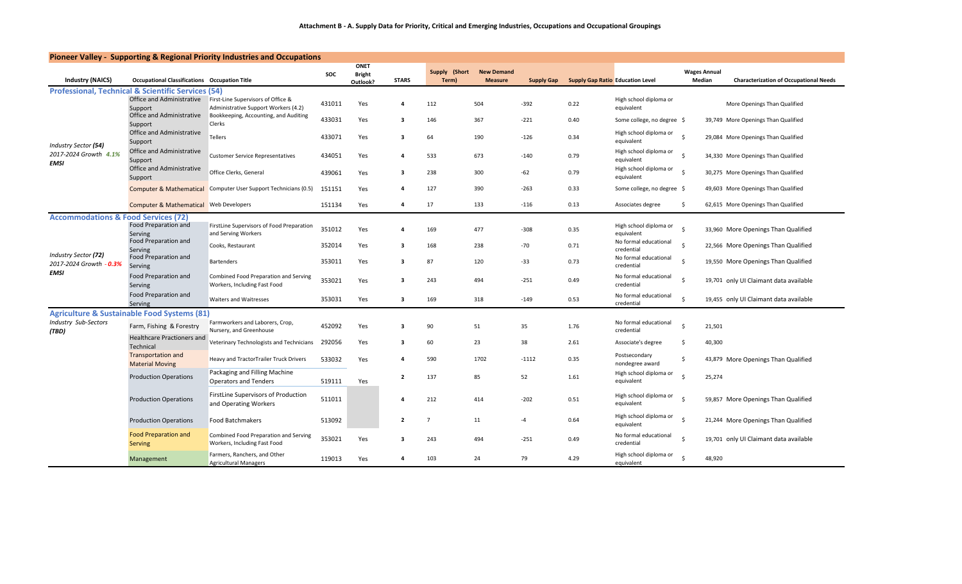| Pioneer Valley - Supporting & Regional Priority Industries and Occupations |                                                               |                                                                            |        |                       |                |                        |                                     |                   |                                         |                                      |                               |                                               |
|----------------------------------------------------------------------------|---------------------------------------------------------------|----------------------------------------------------------------------------|--------|-----------------------|----------------|------------------------|-------------------------------------|-------------------|-----------------------------------------|--------------------------------------|-------------------------------|-----------------------------------------------|
| <b>Industry (NAICS)</b>                                                    | <b>Occupational Classifications Occupation Title</b>          |                                                                            | SOC    | ONET<br><b>Bright</b> | <b>STARS</b>   | Supply (Short<br>Term) | <b>New Demand</b><br><b>Measure</b> | <b>Supply Gap</b> | <b>Supply Gap Ratio Education Level</b> |                                      | <b>Wages Annual</b><br>Median | <b>Characterization of Occupational Needs</b> |
|                                                                            | <b>Professional, Technical &amp; Scientific Services (54)</b> |                                                                            |        | Outlook?              |                |                        |                                     |                   |                                         |                                      |                               |                                               |
|                                                                            | Office and Administrative<br>Support                          | First-Line Supervisors of Office &<br>Administrative Support Workers (4.2) | 431011 | Yes                   | 4              | 112                    | 504                                 | $-392$            | 0.22                                    | High school diploma or<br>equivalent |                               | More Openings Than Qualified                  |
|                                                                            | Office and Administrative<br>Support                          | Bookkeeping, Accounting, and Auditing<br>Clerks                            | 433031 | Yes                   | 3              | 146                    | 367                                 | $-221$            | 0.40                                    | Some college, no degree \$           |                               | 39,749 More Openings Than Qualified           |
| Industry Sector (54)                                                       | Office and Administrative<br>Support                          | <b>Tellers</b>                                                             | 433071 | Yes                   | 3              | 64                     | 190                                 | $-126$            | 0.34                                    | High school diploma or<br>equivalent | -Ś                            | 29,084 More Openings Than Qualified           |
| 2017-2024 Growth 4.1%<br><b>EMSI</b>                                       | Office and Administrative<br>Support                          | <b>Customer Service Representatives</b>                                    | 434051 | Yes                   | 4              | 533                    | 673                                 | $-140$            | 0.79                                    | High school diploma or<br>equivalent | -Ś                            | 34,330 More Openings Than Qualified           |
|                                                                            | Office and Administrative<br>Support                          | Office Clerks, General                                                     | 439061 | Yes                   | 3              | 238                    | 300                                 | $-62$             | 0.79                                    | High school diploma or<br>equivalent | -Ś                            | 30,275 More Openings Than Qualified           |
|                                                                            |                                                               | <b>Computer &amp; Mathematical Computer User Support Technicians (0.5)</b> | 151151 | Yes                   | $\mathbf{a}$   | 127                    | 390                                 | $-263$            | 0.33                                    | Some college, no degree \$           |                               | 49,603 More Openings Than Qualified           |
|                                                                            | <b>Computer &amp; Mathematical Web Developers</b>             |                                                                            | 151134 | Yes                   | $\Delta$       | 17                     | 133                                 | $-116$            | 0.13                                    | Associates degree                    | Ŝ.                            | 62,615 More Openings Than Qualified           |
| <b>Accommodations &amp; Food Services (72)</b>                             |                                                               |                                                                            |        |                       |                |                        |                                     |                   |                                         |                                      |                               |                                               |
|                                                                            | <b>Food Preparation and</b><br>Serving                        | FirstLine Supervisors of Food Preparation<br>and Serving Workers           | 351012 | Yes                   | $\mathbf{a}$   | 169                    | 477                                 | $-308$            | 0.35                                    | High school diploma or<br>equivalent |                               | 33,960 More Openings Than Qualified           |
|                                                                            | Food Preparation and<br>Serving                               | Cooks, Restaurant                                                          | 352014 | Yes                   | 3              | 168                    | 238                                 | $-70$             | 0.71                                    | No formal educational<br>credential  | -S                            | 22,566 More Openings Than Qualified           |
| Industry Sector (72)<br>2017-2024 Growth - 0.3%                            | Food Preparation and<br>Serving                               | Bartenders                                                                 | 353011 | Yes                   | 3              | 87                     | 120                                 | $-33$             | 0.73                                    | No formal educational<br>credential  | -S                            | 19,550 More Openings Than Qualified           |
| <b>EMSI</b>                                                                | Food Preparation and<br>Serving                               | Combined Food Preparation and Serving<br>Workers, Including Fast Food      | 353021 | Yes                   | 3              | 243                    | 494                                 | $-251$            | 0.49                                    | No formal educational<br>credential  |                               | 19,701 only UI Claimant data available        |
|                                                                            | Food Preparation and<br>Serving                               | <b>Waiters and Waitresses</b>                                              | 353031 | Yes                   | 3              | 169                    | 318                                 | $-149$            | 0.53                                    | No formal educational<br>credential  | \$                            | 19,455 only UI Claimant data available        |
|                                                                            | <b>Agriculture &amp; Sustainable Food Systems (81)</b>        |                                                                            |        |                       |                |                        |                                     |                   |                                         |                                      |                               |                                               |
| Industry Sub-Sectors<br>(TBD)                                              | Farm, Fishing & Forestry                                      | Farmworkers and Laborers, Crop,<br>Nursery, and Greenhouse                 | 452092 | Yes                   | 3              | 90                     | 51                                  | 35                | 1.76                                    | No formal educational<br>credential  |                               | 21,501                                        |
|                                                                            | <b>Healthcare Practioners and</b><br>Technical                | Veterinary Technologists and Technicians                                   | 292056 | Yes                   | 3              | 60                     | 23                                  | 38                | 2.61                                    | Associate's degree                   | Ŝ.                            | 40,300                                        |
|                                                                            | <b>Transportation and</b><br><b>Material Moving</b>           | Heavy and TractorTrailer Truck Drivers                                     | 533032 | Yes                   | 4              | 590                    | 1702                                | $-1112$           | 0.35                                    | Postsecondary<br>nondegree award     | Ś                             | 43,879 More Openings Than Qualified           |
|                                                                            | <b>Production Operations</b>                                  | Packaging and Filling Machine<br><b>Operators and Tenders</b>              | 519111 | Yes                   | $\overline{2}$ | 137                    | 85                                  | 52                | 1.61                                    | High school diploma or<br>equivalent |                               | 25,274                                        |
|                                                                            | <b>Production Operations</b>                                  | FirstLine Supervisors of Production<br>and Operating Workers               | 511011 |                       | 4              | 212                    | 414                                 | $-202$            | 0.51                                    | High school diploma or<br>equivalent | -Ś                            | 59,857 More Openings Than Qualified           |
|                                                                            | <b>Production Operations</b>                                  | <b>Food Batchmakers</b>                                                    | 513092 |                       | $\mathbf{2}$   | $\overline{7}$         | 11                                  | -4                | 0.64                                    | High school diploma or<br>equivalent |                               | 21,244 More Openings Than Qualified           |
|                                                                            | <b>Food Preparation and</b><br><b>Serving</b>                 | Combined Food Preparation and Serving<br>Workers, Including Fast Food      | 353021 | Yes                   | 3              | 243                    | 494                                 | $-251$            | 0.49                                    | No formal educational<br>credential  | -Ś                            | 19,701 only UI Claimant data available        |
|                                                                            | Management                                                    | Farmers, Ranchers, and Other<br><b>Agricultural Managers</b>               | 119013 | Yes                   | $\Delta$       | 103                    | 24                                  | 79                | 4.29                                    | High school diploma or<br>equivalent |                               | 48,920                                        |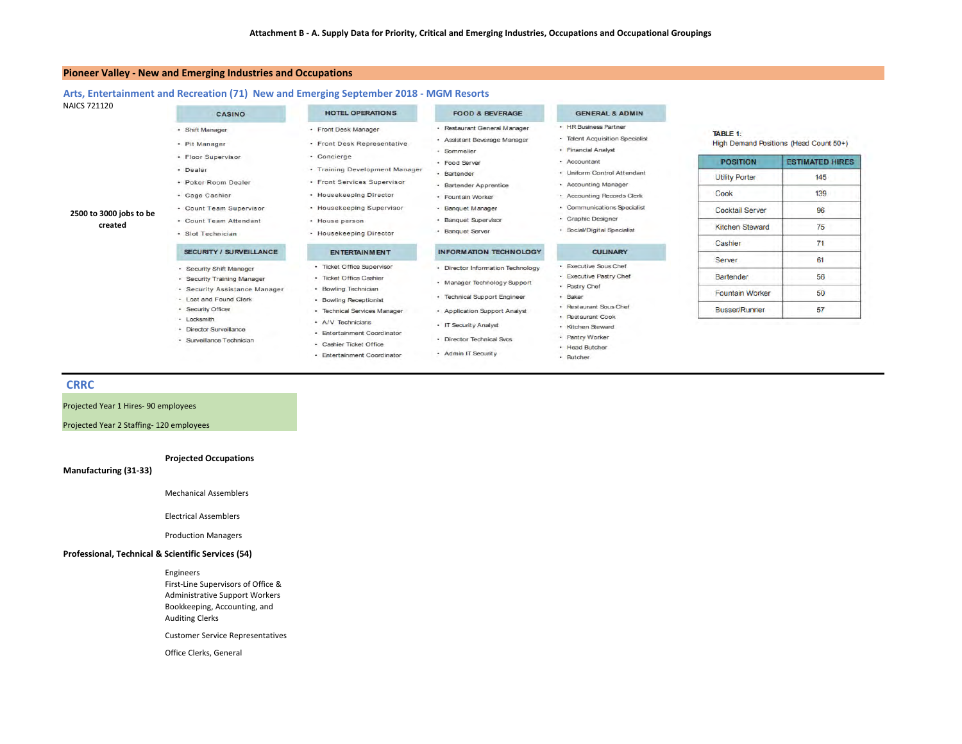#### **Pioneer Valley ‐ New and Emerging Industries and Occupations**

#### **Arts, Entertainment and Recreation (71) New and Emerging September 2018 ‐ MGM Resorts**

| <b>NAICS 721120</b>     | <b>CASINO</b>                                               | <b>HOTEL OPERATIONS</b>                                | <b>FOOD &amp; BEVERAGE</b>                                                                    | <b>GENERAL &amp; ADMIN</b>                                                      |                        |                                        |
|-------------------------|-------------------------------------------------------------|--------------------------------------------------------|-----------------------------------------------------------------------------------------------|---------------------------------------------------------------------------------|------------------------|----------------------------------------|
|                         | · Shift Manager<br>· Pit Manager                            | · Front Desk Manager<br>· Front Desk Representative    | · Restaurant General Manager<br>· Assistant Beverage Manager<br>· Sommelier                   | · HR Business Partner<br>· Talent Acquisition Specialist<br>· Financial Analyst | <b>TABLE 1:</b>        | High Demand Positions (Head Count 50+) |
|                         | · Floor Supervisor                                          | · Concierge                                            | · Food Server                                                                                 | - Accountant                                                                    | <b>POSITION</b>        | <b>ESTIMATED HIRES</b>                 |
|                         | · Dealer                                                    | • Training Development Manager                         | · Bartender                                                                                   | · Uniform Control Attendant                                                     | <b>Utility Porter</b>  | 145                                    |
|                         | · Poker Room Dealer                                         | • Front Services Supervisor                            | · Bartender Apprentice                                                                        | - Accounting Manager                                                            |                        |                                        |
|                         | · Cage Cashier                                              | • Housekeeping Director                                | · Fountain Worker                                                                             | · Accounting Records Clerk                                                      | Cook                   | 139                                    |
| 2500 to 3000 jobs to be | • Count Team Supervisor                                     | • Housekeeping Supervisor                              | · Banquet Manager                                                                             | • Communications Specialist                                                     | <b>Cocktail Server</b> | 96                                     |
| created                 | • Count Team Attendant                                      | · House person                                         | · Graphic Designer<br>· Banquet Supervisor<br>· Social/Digital Specialist<br>· Banquet Server |                                                                                 | <b>Kitchen Steward</b> | 75                                     |
|                         | · Slot Technician                                           | • Housekeeping Director                                |                                                                                               |                                                                                 |                        |                                        |
|                         | SECURITY / SURVEILLANCE                                     | <b>ENTERTAINMENT</b>                                   | <b>INFORMATION TECHNOLOGY</b>                                                                 | <b>CULINARY</b>                                                                 | Cashier<br>Server      | 71<br>61                               |
|                         | - Security Shift Manager                                    | · Ticket Office Supervisor                             | · Director Information Technology                                                             | · Executive Sous Chef                                                           |                        |                                        |
|                         | - Security Training Manager                                 | · Ticket Office Cashier                                | · Manager Technology Support                                                                  | · Executive Pastry Chef                                                         | <b>Bartender</b>       | 56                                     |
|                         | · Security Assistance Manager                               | · Bowling Technician                                   | · Technical Support Engineer                                                                  | · Pastry Chef<br>· Baker                                                        | <b>Fountain Worker</b> | 50                                     |
|                         | - Lost and Found Clerk<br>- Security Officer<br>- Locksmith | · Bowling Receptionist<br>· Technical Services Manager | • Application Support Analyst                                                                 | · Restaurant Sous Chef<br>· Restaurant Cook                                     | <b>Busser/Runner</b>   | 57                                     |
|                         | · Director Surveillance                                     | - A/V Technicians<br>- Entertainment Coordinator       | • IT Security Analyst                                                                         | · Kitchen Steward                                                               |                        |                                        |
|                         | · Surveillance Technician                                   | - Cashier Ticket Office                                | · Director Technical Svcs                                                                     | · Pantry Worker<br>· Head Butcher                                               |                        |                                        |
|                         |                                                             | · Entertainment Coordinator                            | - Admin IT Security                                                                           | · Butcher                                                                       |                        |                                        |

#### **CRRC**

Projected Year 1 Hires‐ 90 employees

Projected Year 2 Staffing‐ 120 employees

#### **Projected Occupations**

**Manufacturing (31‐33)**

Mechanical Assemblers

Electrical Assemblers

Production Managers

#### **Professional, Technical & Scientific Services (54)**

Engineers First‐Line Supervisors of Office & Administrative Support Workers Bookkeeping, Accounting, and Auditing Clerks Customer Service Representatives

Office Clerks, General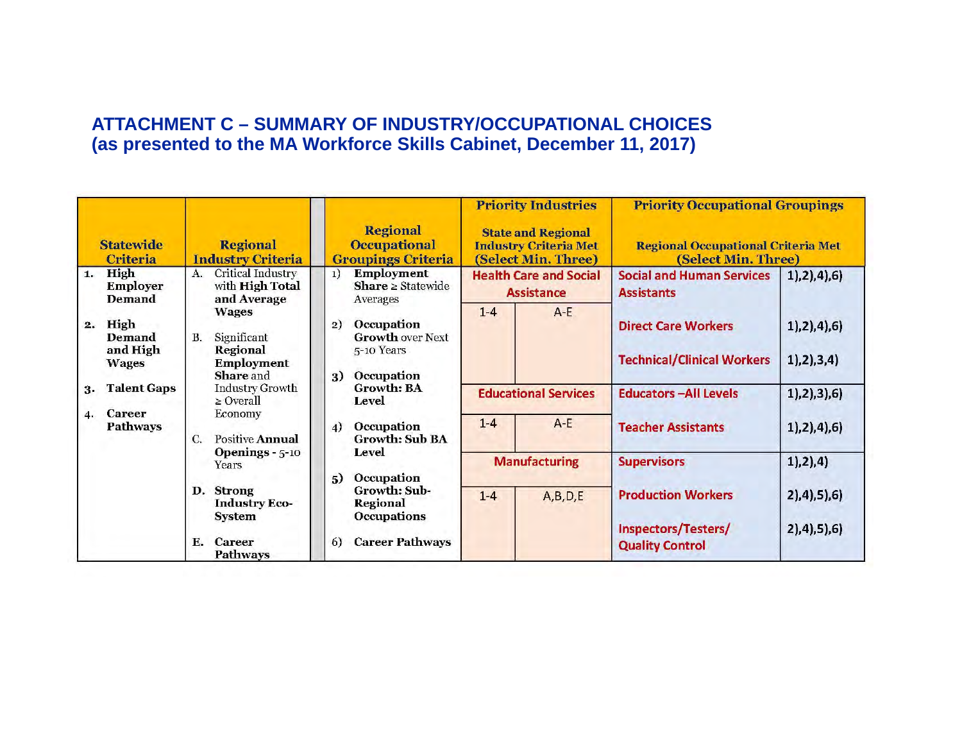## **ATTACHMENT C – SUMMARY OF INDUSTRY/OCCUPATIONAL CHOICES (as presented to the MA Workforce Skills Cabinet, December 11, 2017)**

|    |                                            |                                                                                 |                                                                               |       | <b>Priority Industries</b>                                                       | <b>Priority Occupational Groupings</b>                           |                                  |
|----|--------------------------------------------|---------------------------------------------------------------------------------|-------------------------------------------------------------------------------|-------|----------------------------------------------------------------------------------|------------------------------------------------------------------|----------------------------------|
|    | <b>Statewide</b><br><b>Criteria</b>        | <b>Regional</b><br><b>Industry Criteria</b>                                     | <b>Regional</b><br><b>Occupational</b><br><b>Groupings Criteria</b>           |       | <b>State and Regional</b><br><b>Industry Criteria Met</b><br>(Select Min. Three) | <b>Regional Occupational Criteria Met</b><br>(Select Min. Three) |                                  |
| 1. | High<br><b>Employer</b><br><b>Demand</b>   | Critical Industry<br>A.<br>with <b>High Total</b><br>and Average                | <b>Employment</b><br>1)<br><b>Share</b> $\geq$ Statewide<br>Averages          |       | <b>Health Care and Social</b><br><b>Assistance</b>                               | <b>Social and Human Services</b><br><b>Assistants</b>            | 1, 2, 4, 6                       |
| 2. | High<br>Demand<br>and High<br><b>Wages</b> | <b>Wages</b><br>B.<br>Significant<br>Regional<br><b>Employment</b><br>Share and | Occupation<br>2)<br><b>Growth over Next</b><br>5-10 Years<br>Occupation<br>3) | $1-4$ | $A - E$                                                                          | <b>Direct Care Workers</b><br><b>Technical/Clinical Workers</b>  | 1, 2, 4, 6<br>1, 2, 3, 4)        |
| 3. | <b>Talent Gaps</b>                         | <b>Industry Growth</b><br>$\geq$ Overall                                        | <b>Growth: BA</b><br>Level                                                    |       | <b>Educational Services</b>                                                      | <b>Educators -All Levels</b>                                     | 1), 2), 3), 6)                   |
| 4. | <b>Career</b><br><b>Pathways</b>           | Economy<br><b>Positive Annual</b><br>$\mathcal{C}$ .                            | <b>Occupation</b><br>$\overline{4}$<br><b>Growth: Sub BA</b><br>Level         | $1-4$ | $A - E$                                                                          | <b>Teacher Assistants</b>                                        | 1), 2), 4), 6)                   |
|    |                                            | Openings $-5-10$<br>Years                                                       | Occupation<br>5)                                                              |       | <b>Manufacturing</b>                                                             | <b>Supervisors</b>                                               | 1, 2, 4)                         |
|    |                                            | D. Strong<br><b>Industry Eco-</b><br><b>System</b>                              | Growth: Sub-<br><b>Regional</b><br><b>Occupations</b>                         | $1-4$ | A,B,D,E                                                                          | <b>Production Workers</b><br>Inspectors/Testers/                 | 2), 4), 5), 6)<br>2), 4), 5), 6) |
|    |                                            | $F_{\perp}$<br><b>Career</b><br><b>Pathways</b>                                 | <b>Career Pathways</b><br>6)                                                  |       |                                                                                  | <b>Quality Control</b>                                           |                                  |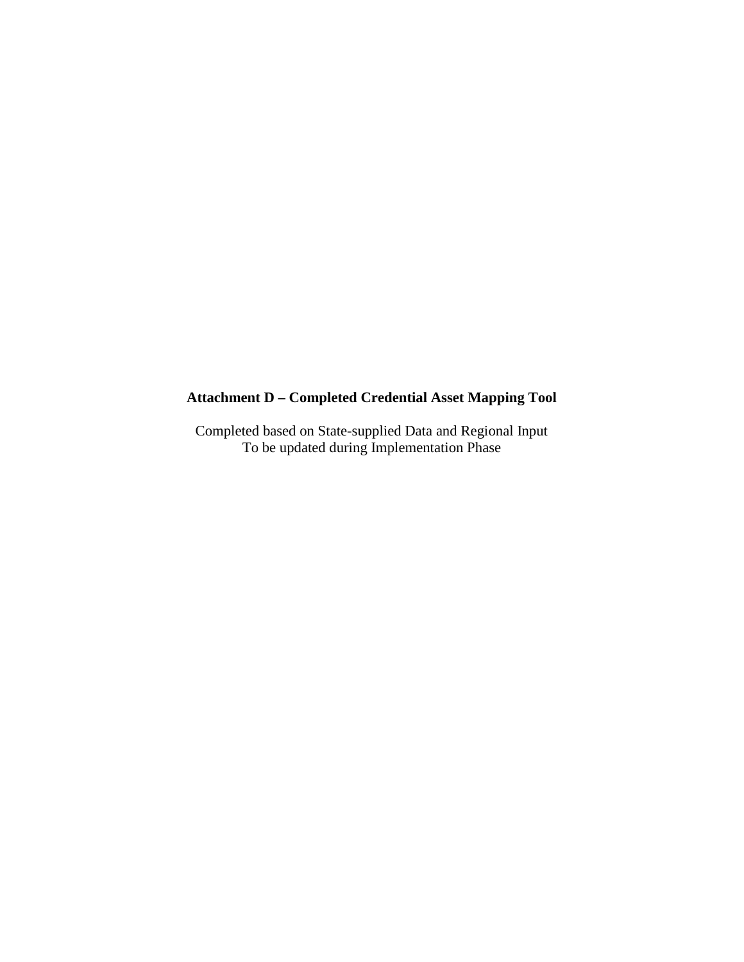## **Attachment D – Completed Credential Asset Mapping Tool**

Completed based on State-supplied Data and Regional Input To be updated during Implementation Phase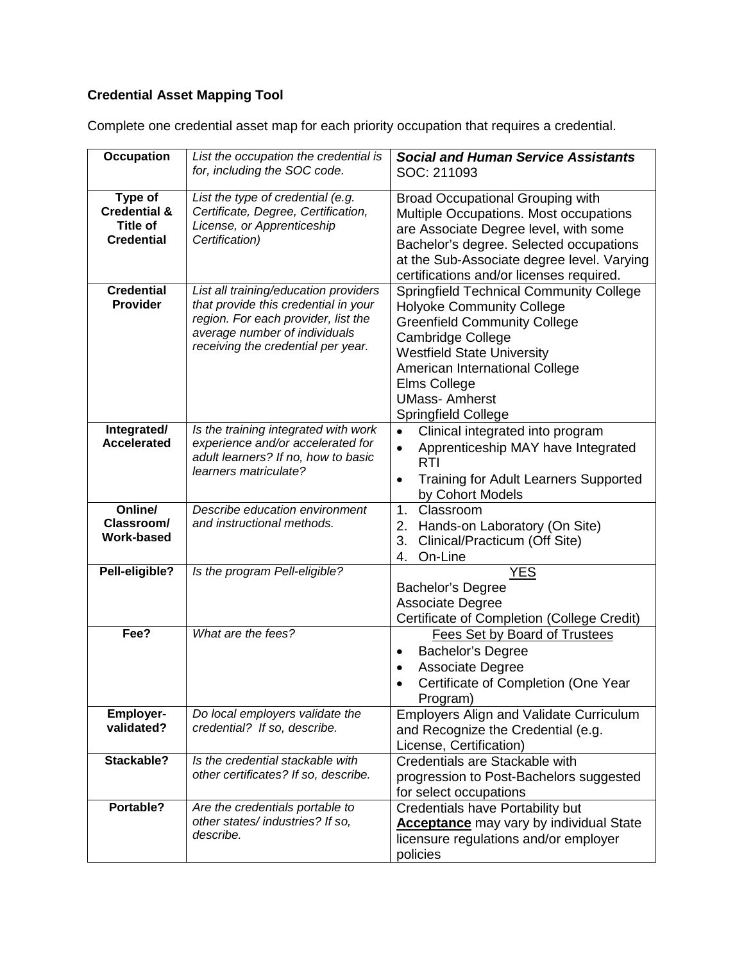| <b>Occupation</b>                                                   | List the occupation the credential is<br>for, including the SOC code.                                                                                                                       | <b>Social and Human Service Assistants</b><br>SOC: 211093                                                                                                                                                                                                                                          |
|---------------------------------------------------------------------|---------------------------------------------------------------------------------------------------------------------------------------------------------------------------------------------|----------------------------------------------------------------------------------------------------------------------------------------------------------------------------------------------------------------------------------------------------------------------------------------------------|
| Type of<br><b>Credential &amp;</b><br>Title of<br><b>Credential</b> | List the type of credential (e.g.<br>Certificate, Degree, Certification,<br>License, or Apprenticeship<br>Certification)                                                                    | <b>Broad Occupational Grouping with</b><br>Multiple Occupations. Most occupations<br>are Associate Degree level, with some<br>Bachelor's degree. Selected occupations<br>at the Sub-Associate degree level. Varying<br>certifications and/or licenses required.                                    |
| <b>Credential</b><br><b>Provider</b>                                | List all training/education providers<br>that provide this credential in your<br>region. For each provider, list the<br>average number of individuals<br>receiving the credential per year. | <b>Springfield Technical Community College</b><br><b>Holyoke Community College</b><br><b>Greenfield Community College</b><br><b>Cambridge College</b><br><b>Westfield State University</b><br>American International College<br>Elms College<br><b>UMass-Amherst</b><br><b>Springfield College</b> |
| Integrated/<br><b>Accelerated</b>                                   | Is the training integrated with work<br>experience and/or accelerated for<br>adult learners? If no, how to basic<br>learners matriculate?                                                   | Clinical integrated into program<br>$\bullet$<br>Apprenticeship MAY have Integrated<br>$\bullet$<br><b>RTI</b><br><b>Training for Adult Learners Supported</b><br>$\bullet$<br>by Cohort Models                                                                                                    |
| Online/<br>Classroom/<br><b>Work-based</b>                          | Describe education environment<br>and instructional methods.                                                                                                                                | 1 <sub>1</sub><br>Classroom<br>Hands-on Laboratory (On Site)<br>2.<br>3.<br>Clinical/Practicum (Off Site)<br>On-Line<br>4.                                                                                                                                                                         |
| Pell-eligible?                                                      | Is the program Pell-eligible?                                                                                                                                                               | <b>YES</b><br><b>Bachelor's Degree</b><br>Associate Degree<br>Certificate of Completion (College Credit)                                                                                                                                                                                           |
| Fee?                                                                | What are the fees?                                                                                                                                                                          | <b>Fees Set by Board of Trustees</b><br><b>Bachelor's Degree</b><br>$\bullet$<br><b>Associate Degree</b><br>$\bullet$<br>Certificate of Completion (One Year<br>Program)                                                                                                                           |
| <b>Employer-</b><br>validated?                                      | Do local employers validate the<br>credential? If so, describe.                                                                                                                             | <b>Employers Align and Validate Curriculum</b><br>and Recognize the Credential (e.g.<br>License, Certification)                                                                                                                                                                                    |
| Stackable?                                                          | Is the credential stackable with<br>other certificates? If so, describe.                                                                                                                    | Credentials are Stackable with<br>progression to Post-Bachelors suggested<br>for select occupations                                                                                                                                                                                                |
| Portable?                                                           | Are the credentials portable to<br>other states/industries? If so,<br>describe.                                                                                                             | <b>Credentials have Portability but</b><br><b>Acceptance</b> may vary by individual State<br>licensure regulations and/or employer<br>policies                                                                                                                                                     |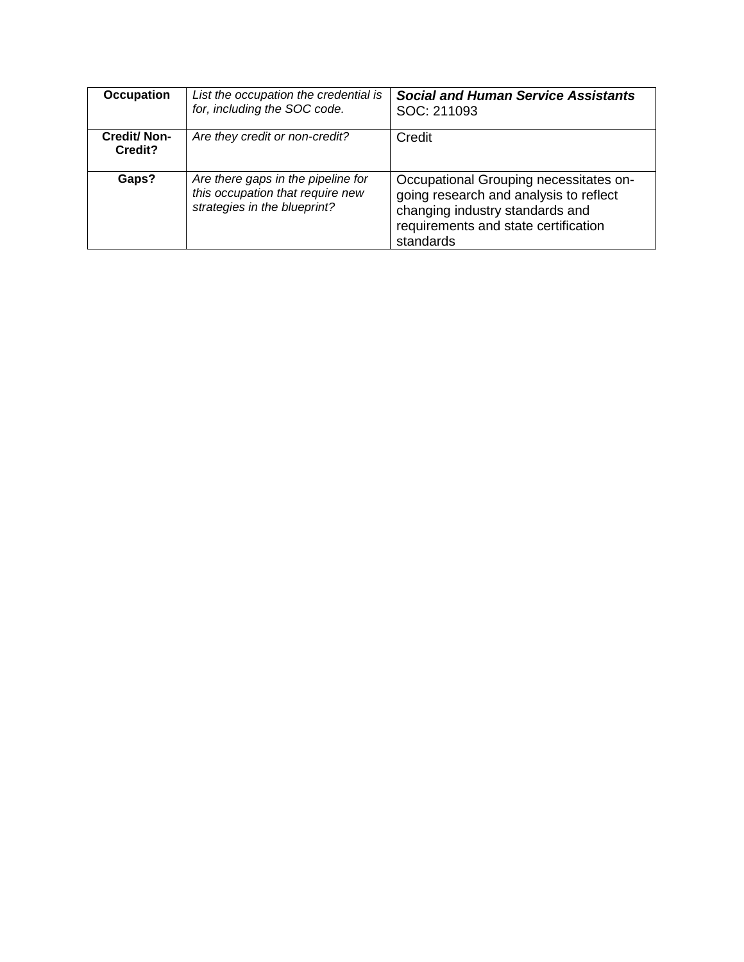| <b>Occupation</b>             | List the occupation the credential is<br>for, including the SOC code.                                  | <b>Social and Human Service Assistants</b><br>SOC: 211093                                                                                                                |
|-------------------------------|--------------------------------------------------------------------------------------------------------|--------------------------------------------------------------------------------------------------------------------------------------------------------------------------|
| <b>Credit/Non-</b><br>Credit? | Are they credit or non-credit?                                                                         | Credit                                                                                                                                                                   |
| Gaps?                         | Are there gaps in the pipeline for<br>this occupation that require new<br>strategies in the blueprint? | Occupational Grouping necessitates on-<br>going research and analysis to reflect<br>changing industry standards and<br>requirements and state certification<br>standards |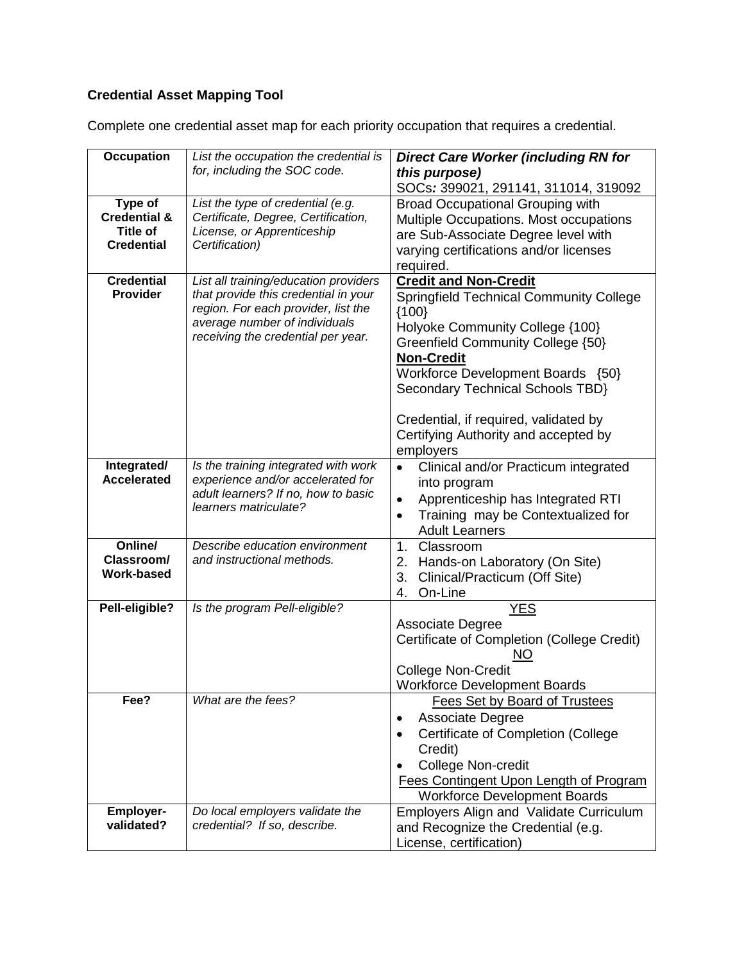| <b>Occupation</b>                                                          | List the occupation the credential is<br>for, including the SOC code.                                                                                                                       | <b>Direct Care Worker (including RN for</b><br>this purpose)                                                                                                                                                                                                                                                                                                  |
|----------------------------------------------------------------------------|---------------------------------------------------------------------------------------------------------------------------------------------------------------------------------------------|---------------------------------------------------------------------------------------------------------------------------------------------------------------------------------------------------------------------------------------------------------------------------------------------------------------------------------------------------------------|
|                                                                            |                                                                                                                                                                                             | SOCs: 399021, 291141, 311014, 319092                                                                                                                                                                                                                                                                                                                          |
| Type of<br><b>Credential &amp;</b><br><b>Title of</b><br><b>Credential</b> | List the type of credential (e.g.<br>Certificate, Degree, Certification,<br>License, or Apprenticeship<br>Certification)                                                                    | <b>Broad Occupational Grouping with</b><br>Multiple Occupations. Most occupations<br>are Sub-Associate Degree level with<br>varying certifications and/or licenses<br>required.                                                                                                                                                                               |
| <b>Credential</b><br>Provider                                              | List all training/education providers<br>that provide this credential in your<br>region. For each provider, list the<br>average number of individuals<br>receiving the credential per year. | <b>Credit and Non-Credit</b><br><b>Springfield Technical Community College</b><br>${100}$<br>Holyoke Community College {100}<br>Greenfield Community College {50}<br><b>Non-Credit</b><br>Workforce Development Boards {50}<br>Secondary Technical Schools TBD}<br>Credential, if required, validated by<br>Certifying Authority and accepted by<br>employers |
| Integrated/<br><b>Accelerated</b>                                          | Is the training integrated with work<br>experience and/or accelerated for<br>adult learners? If no, how to basic<br>learners matriculate?                                                   | Clinical and/or Practicum integrated<br>into program<br>Apprenticeship has Integrated RTI<br>$\bullet$<br>Training may be Contextualized for<br>$\bullet$<br><b>Adult Learners</b>                                                                                                                                                                            |
| Online/<br>Classroom/<br><b>Work-based</b>                                 | Describe education environment<br>and instructional methods.                                                                                                                                | 1.<br>Classroom<br>Hands-on Laboratory (On Site)<br>2.<br>Clinical/Practicum (Off Site)<br>3.<br>On-Line<br>4.                                                                                                                                                                                                                                                |
| Pell-eligible?                                                             | Is the program Pell-eligible?                                                                                                                                                               | <b>YES</b><br>Associate Degree<br>Certificate of Completion (College Credit)<br>NO<br><b>College Non-Credit</b><br><b>Workforce Development Boards</b>                                                                                                                                                                                                        |
| Fee?                                                                       | What are the fees?                                                                                                                                                                          | <b>Fees Set by Board of Trustees</b><br>Associate Degree<br>Certificate of Completion (College<br>Credit)<br>College Non-credit<br><b>Fees Contingent Upon Length of Program</b><br><b>Workforce Development Boards</b>                                                                                                                                       |
| Employer-<br>validated?                                                    | Do local employers validate the<br>credential? If so, describe.                                                                                                                             | Employers Align and Validate Curriculum<br>and Recognize the Credential (e.g.<br>License, certification)                                                                                                                                                                                                                                                      |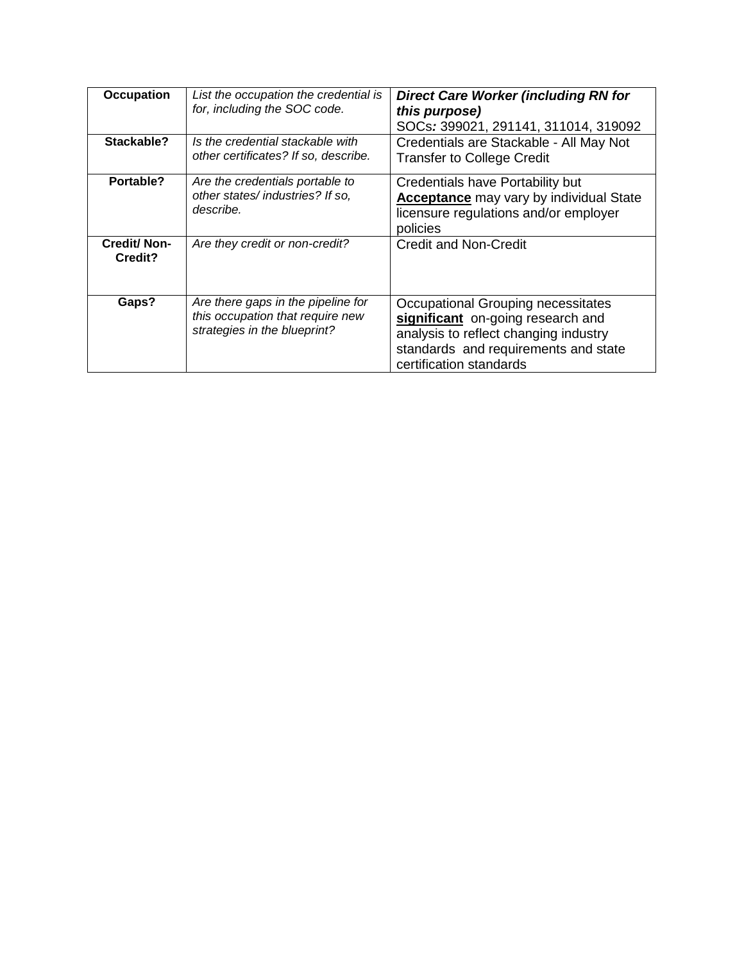| <b>Occupation</b>             | List the occupation the credential is<br>for, including the SOC code.                                  | <b>Direct Care Worker (including RN for</b><br>this purpose)<br>SOCs: 399021, 291141, 311014, 319092                                                                                |
|-------------------------------|--------------------------------------------------------------------------------------------------------|-------------------------------------------------------------------------------------------------------------------------------------------------------------------------------------|
| Stackable?                    | Is the credential stackable with<br>other certificates? If so, describe.                               | Credentials are Stackable - All May Not<br><b>Transfer to College Credit</b>                                                                                                        |
| Portable?                     | Are the credentials portable to<br>other states/industries? If so,<br>describe.                        | Credentials have Portability but<br><b>Acceptance</b> may vary by individual State<br>licensure regulations and/or employer<br>policies                                             |
| <b>Credit/Non-</b><br>Credit? | Are they credit or non-credit?                                                                         | Credit and Non-Credit                                                                                                                                                               |
| Gaps?                         | Are there gaps in the pipeline for<br>this occupation that require new<br>strategies in the blueprint? | Occupational Grouping necessitates<br>significant on-going research and<br>analysis to reflect changing industry<br>standards and requirements and state<br>certification standards |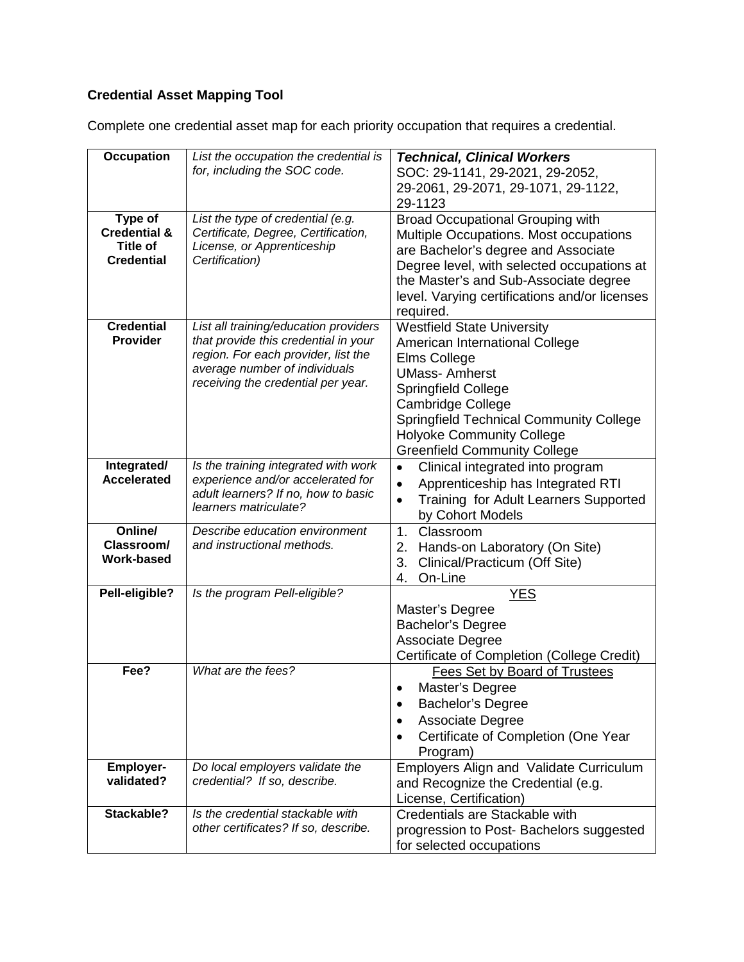| <b>Occupation</b>                          | List the occupation the credential is<br>for, including the SOC code.    | <b>Technical, Clinical Workers</b>                                                  |
|--------------------------------------------|--------------------------------------------------------------------------|-------------------------------------------------------------------------------------|
|                                            |                                                                          | SOC: 29-1141, 29-2021, 29-2052,<br>29-2061, 29-2071, 29-1071, 29-1122,              |
|                                            |                                                                          | 29-1123                                                                             |
| Type of                                    | List the type of credential (e.g.                                        | <b>Broad Occupational Grouping with</b>                                             |
| <b>Credential &amp;</b><br><b>Title of</b> | Certificate, Degree, Certification,<br>License, or Apprenticeship        | Multiple Occupations. Most occupations                                              |
| <b>Credential</b>                          | Certification)                                                           | are Bachelor's degree and Associate                                                 |
|                                            |                                                                          | Degree level, with selected occupations at<br>the Master's and Sub-Associate degree |
|                                            |                                                                          | level. Varying certifications and/or licenses                                       |
|                                            |                                                                          | required.                                                                           |
| <b>Credential</b>                          | List all training/education providers                                    | <b>Westfield State University</b>                                                   |
| <b>Provider</b>                            | that provide this credential in your                                     | American International College                                                      |
|                                            | region. For each provider, list the<br>average number of individuals     | Elms College                                                                        |
|                                            | receiving the credential per year.                                       | <b>UMass-Amherst</b><br><b>Springfield College</b>                                  |
|                                            |                                                                          | <b>Cambridge College</b>                                                            |
|                                            |                                                                          | <b>Springfield Technical Community College</b>                                      |
|                                            |                                                                          | <b>Holyoke Community College</b>                                                    |
|                                            |                                                                          | <b>Greenfield Community College</b>                                                 |
| Integrated/                                | Is the training integrated with work                                     | Clinical integrated into program<br>$\bullet$                                       |
| <b>Accelerated</b>                         | experience and/or accelerated for<br>adult learners? If no, how to basic | Apprenticeship has Integrated RTI<br>$\bullet$                                      |
|                                            | learners matriculate?                                                    | Training for Adult Learners Supported<br>$\bullet$                                  |
| Online/                                    | Describe education environment                                           | by Cohort Models<br>1 <sub>1</sub><br>Classroom                                     |
| Classroom/                                 | and instructional methods.                                               | Hands-on Laboratory (On Site)<br>2.                                                 |
| Work-based                                 |                                                                          | Clinical/Practicum (Off Site)<br>3.                                                 |
|                                            |                                                                          | On-Line<br>4.                                                                       |
| Pell-eligible?                             | Is the program Pell-eligible?                                            | <b>YES</b>                                                                          |
|                                            |                                                                          | Master's Degree                                                                     |
|                                            |                                                                          | <b>Bachelor's Degree</b><br><b>Associate Degree</b>                                 |
|                                            |                                                                          | Certificate of Completion (College Credit)                                          |
| Fee?                                       | What are the fees?                                                       | Fees Set by Board of Trustees                                                       |
|                                            |                                                                          | Master's Degree                                                                     |
|                                            |                                                                          | <b>Bachelor's Degree</b><br>$\bullet$                                               |
|                                            |                                                                          | Associate Degree<br>$\bullet$                                                       |
|                                            |                                                                          | Certificate of Completion (One Year                                                 |
|                                            |                                                                          | Program)                                                                            |
| <b>Employer-</b><br>validated?             | Do local employers validate the<br>credential? If so, describe.          | Employers Align and Validate Curriculum                                             |
|                                            |                                                                          | and Recognize the Credential (e.g.<br>License, Certification)                       |
| Stackable?                                 | Is the credential stackable with                                         | Credentials are Stackable with                                                      |
|                                            | other certificates? If so, describe.                                     | progression to Post- Bachelors suggested                                            |
|                                            |                                                                          | for selected occupations                                                            |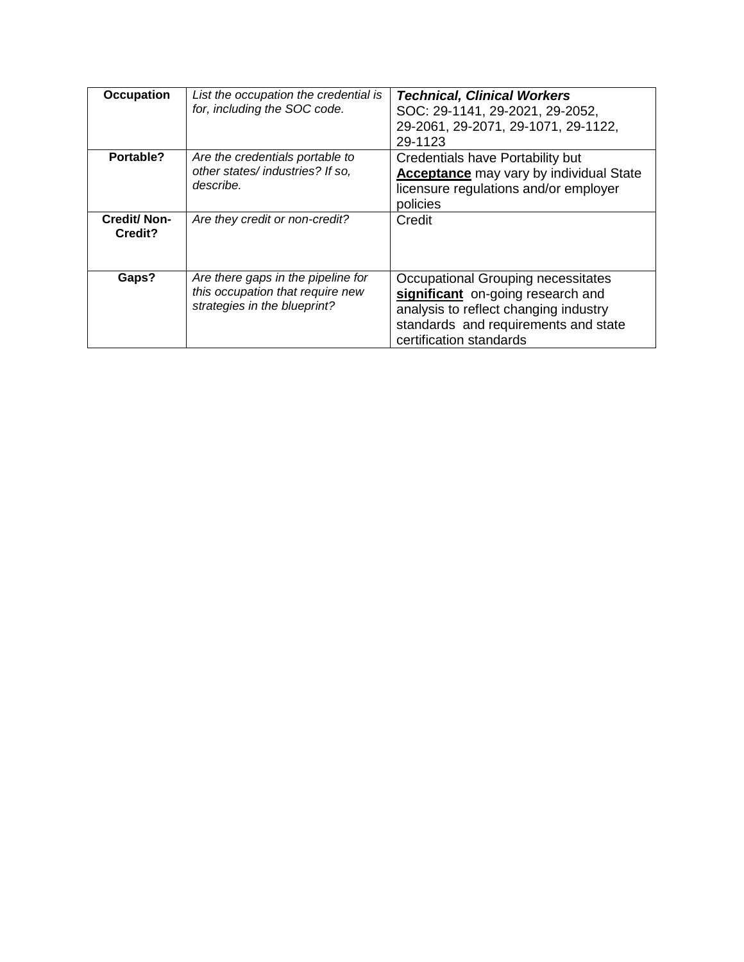| <b>Occupation</b>             | List the occupation the credential is<br>for, including the SOC code.                                  | <b>Technical, Clinical Workers</b><br>SOC: 29-1141, 29-2021, 29-2052,<br>29-2061, 29-2071, 29-1071, 29-1122,<br>29-1123                                                             |
|-------------------------------|--------------------------------------------------------------------------------------------------------|-------------------------------------------------------------------------------------------------------------------------------------------------------------------------------------|
| Portable?                     | Are the credentials portable to<br>other states/industries? If so,<br>describe.                        | Credentials have Portability but<br><b>Acceptance</b> may vary by individual State<br>licensure regulations and/or employer<br>policies                                             |
| <b>Credit/Non-</b><br>Credit? | Are they credit or non-credit?                                                                         | Credit                                                                                                                                                                              |
| Gaps?                         | Are there gaps in the pipeline for<br>this occupation that require new<br>strategies in the blueprint? | Occupational Grouping necessitates<br>significant on-going research and<br>analysis to reflect changing industry<br>standards and requirements and state<br>certification standards |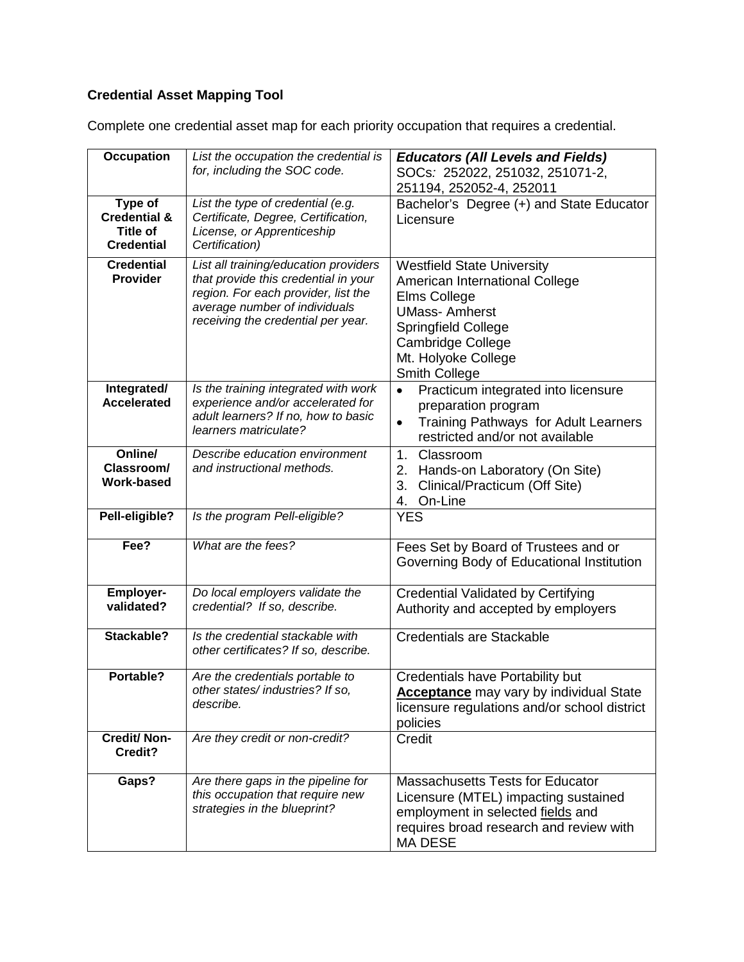| <b>Occupation</b>                                                          | List the occupation the credential is<br>for, including the SOC code.                                                                                                                       | <b>Educators (All Levels and Fields)</b><br>SOCs: 252022, 251032, 251071-2,<br>251194, 252052-4, 252011                                                                                                       |
|----------------------------------------------------------------------------|---------------------------------------------------------------------------------------------------------------------------------------------------------------------------------------------|---------------------------------------------------------------------------------------------------------------------------------------------------------------------------------------------------------------|
| Type of<br><b>Credential &amp;</b><br><b>Title of</b><br><b>Credential</b> | List the type of credential (e.g.<br>Certificate, Degree, Certification,<br>License, or Apprenticeship<br>Certification)                                                                    | Bachelor's Degree (+) and State Educator<br>Licensure                                                                                                                                                         |
| <b>Credential</b><br><b>Provider</b>                                       | List all training/education providers<br>that provide this credential in your<br>region. For each provider, list the<br>average number of individuals<br>receiving the credential per year. | <b>Westfield State University</b><br>American International College<br>Elms College<br><b>UMass-Amherst</b><br>Springfield College<br><b>Cambridge College</b><br>Mt. Holyoke College<br><b>Smith College</b> |
| Integrated/<br><b>Accelerated</b>                                          | Is the training integrated with work<br>experience and/or accelerated for<br>adult learners? If no, how to basic<br>learners matriculate?                                                   | Practicum integrated into licensure<br>$\bullet$<br>preparation program<br>Training Pathways for Adult Learners<br>$\bullet$<br>restricted and/or not available                                               |
| Online/<br>Classroom/<br><b>Work-based</b>                                 | Describe education environment<br>and instructional methods.                                                                                                                                | 1.<br>Classroom<br>Hands-on Laboratory (On Site)<br>2.<br>3.<br>Clinical/Practicum (Off Site)<br>On-Line<br>4.                                                                                                |
| Pell-eligible?                                                             | Is the program Pell-eligible?                                                                                                                                                               | <b>YES</b>                                                                                                                                                                                                    |
| Fee?                                                                       | What are the fees?                                                                                                                                                                          | Fees Set by Board of Trustees and or<br>Governing Body of Educational Institution                                                                                                                             |
| <b>Employer-</b><br>validated?                                             | Do local employers validate the<br>credential? If so, describe.                                                                                                                             | <b>Credential Validated by Certifying</b><br>Authority and accepted by employers                                                                                                                              |
| Stackable?                                                                 | Is the credential stackable with<br>other certificates? If so, describe.                                                                                                                    | Credentials are Stackable                                                                                                                                                                                     |
| Portable?                                                                  | Are the credentials portable to<br>other states/industries? If so,<br>describe.                                                                                                             | <b>Credentials have Portability but</b><br>Acceptance may vary by individual State<br>licensure regulations and/or school district<br>policies                                                                |
| <b>Credit/Non-</b><br>Credit?                                              | Are they credit or non-credit?                                                                                                                                                              | Credit                                                                                                                                                                                                        |
| Gaps?                                                                      | Are there gaps in the pipeline for<br>this occupation that require new<br>strategies in the blueprint?                                                                                      | <b>Massachusetts Tests for Educator</b><br>Licensure (MTEL) impacting sustained<br>employment in selected fields and<br>requires broad research and review with<br><b>MA DESE</b>                             |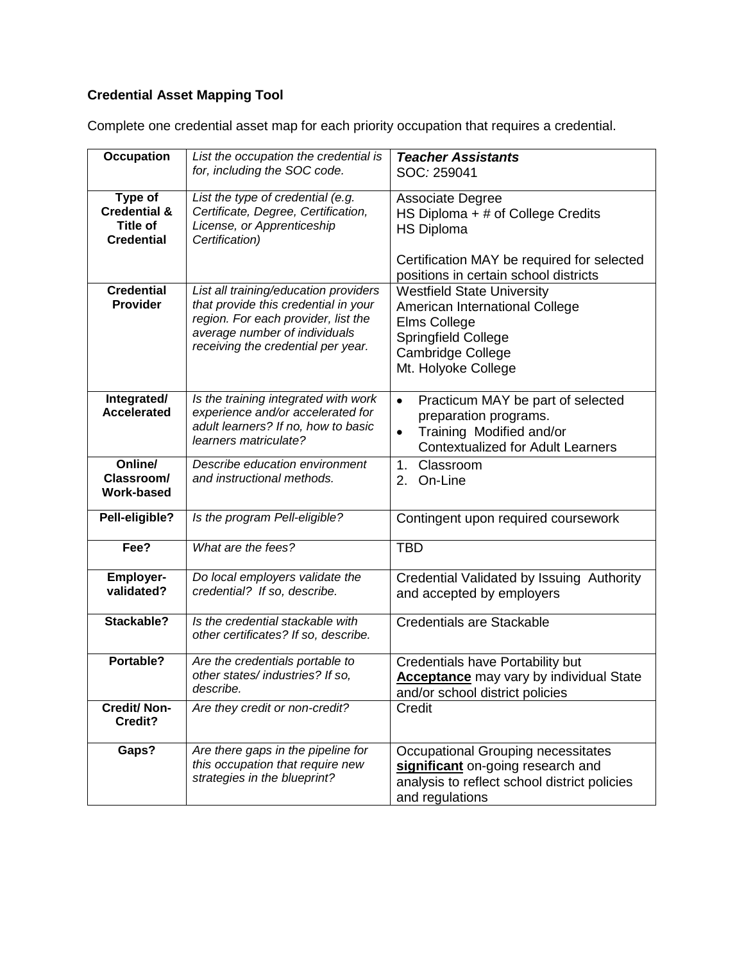| <b>Occupation</b>                                                   | List the occupation the credential is<br>for, including the SOC code.                                                                                                                       | <b>Teacher Assistants</b><br>SOC: 259041                                                                                                                             |
|---------------------------------------------------------------------|---------------------------------------------------------------------------------------------------------------------------------------------------------------------------------------------|----------------------------------------------------------------------------------------------------------------------------------------------------------------------|
|                                                                     |                                                                                                                                                                                             |                                                                                                                                                                      |
| Type of<br><b>Credential &amp;</b><br>Title of<br><b>Credential</b> | List the type of credential (e.g.<br>Certificate, Degree, Certification,<br>License, or Apprenticeship<br>Certification)                                                                    | Associate Degree<br>HS Diploma + # of College Credits<br><b>HS Diploma</b>                                                                                           |
|                                                                     |                                                                                                                                                                                             | Certification MAY be required for selected<br>positions in certain school districts                                                                                  |
| <b>Credential</b><br><b>Provider</b>                                | List all training/education providers<br>that provide this credential in your<br>region. For each provider, list the<br>average number of individuals<br>receiving the credential per year. | <b>Westfield State University</b><br>American International College<br>Elms College<br><b>Springfield College</b><br><b>Cambridge College</b><br>Mt. Holyoke College |
| Integrated/<br><b>Accelerated</b>                                   | Is the training integrated with work<br>experience and/or accelerated for<br>adult learners? If no, how to basic<br>learners matriculate?                                                   | Practicum MAY be part of selected<br>$\bullet$<br>preparation programs.<br>Training Modified and/or<br>$\bullet$<br><b>Contextualized for Adult Learners</b>         |
| Online/<br>Classroom/<br><b>Work-based</b>                          | Describe education environment<br>and instructional methods.                                                                                                                                | Classroom<br>1 <sub>1</sub><br>On-Line<br>2.                                                                                                                         |
| Pell-eligible?                                                      | Is the program Pell-eligible?                                                                                                                                                               | Contingent upon required coursework                                                                                                                                  |
| Fee?                                                                | What are the fees?                                                                                                                                                                          | <b>TBD</b>                                                                                                                                                           |
| <b>Employer-</b><br>validated?                                      | Do local employers validate the<br>credential? If so, describe.                                                                                                                             | Credential Validated by Issuing Authority<br>and accepted by employers                                                                                               |
| Stackable?                                                          | Is the credential stackable with<br>other certificates? If so, describe.                                                                                                                    | <b>Credentials are Stackable</b>                                                                                                                                     |
| Portable?                                                           | Are the credentials portable to<br>other states/industries? If so.<br>describe.                                                                                                             | <b>Credentials have Portability but</b><br><b>Acceptance</b> may vary by individual State<br>and/or school district policies                                         |
| <b>Credit/Non-</b><br>Credit?                                       | Are they credit or non-credit?                                                                                                                                                              | Credit                                                                                                                                                               |
| Gaps?                                                               | Are there gaps in the pipeline for<br>this occupation that require new<br>strategies in the blueprint?                                                                                      | Occupational Grouping necessitates<br>significant on-going research and<br>analysis to reflect school district policies<br>and regulations                           |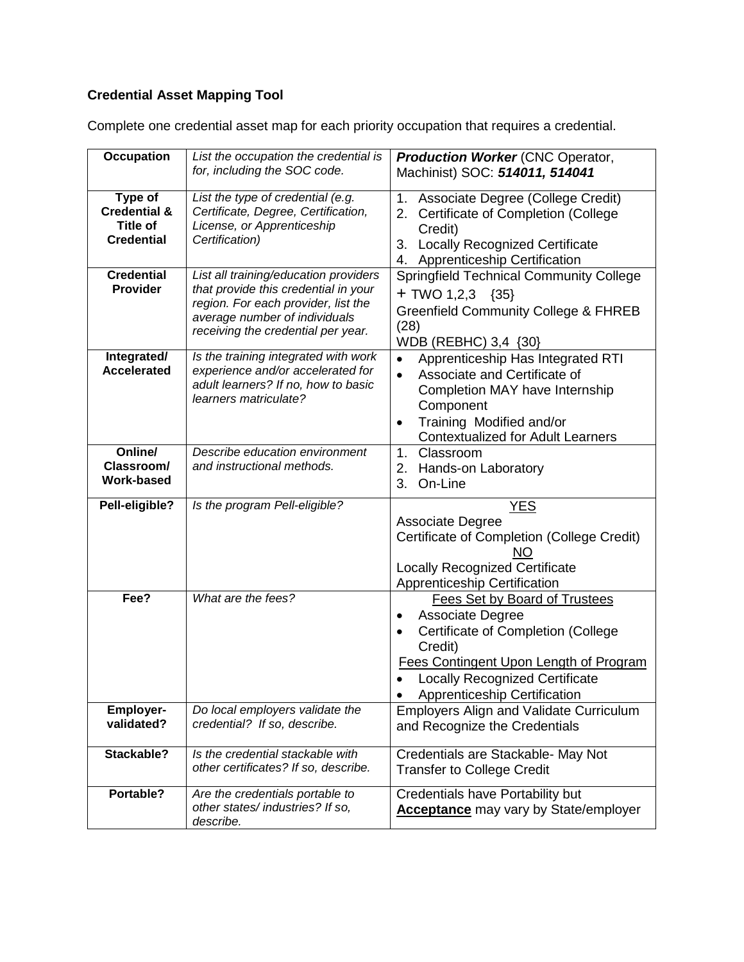| <b>Occupation</b>                                                          | List the occupation the credential is<br>for, including the SOC code.                                                                                                                       | <b>Production Worker (CNC Operator,</b><br>Machinist) SOC: 514011, 514041                                                                                                                                                                      |
|----------------------------------------------------------------------------|---------------------------------------------------------------------------------------------------------------------------------------------------------------------------------------------|------------------------------------------------------------------------------------------------------------------------------------------------------------------------------------------------------------------------------------------------|
| Type of<br><b>Credential &amp;</b><br><b>Title of</b><br><b>Credential</b> | List the type of credential (e.g.<br>Certificate, Degree, Certification,<br>License, or Apprenticeship<br>Certification)                                                                    | Associate Degree (College Credit)<br>1.<br>Certificate of Completion (College<br>2.<br>Credit)<br><b>Locally Recognized Certificate</b><br>3.<br>4. Apprenticeship Certification                                                               |
| <b>Credential</b><br><b>Provider</b>                                       | List all training/education providers<br>that provide this credential in your<br>region. For each provider, list the<br>average number of individuals<br>receiving the credential per year. | <b>Springfield Technical Community College</b><br>+ TWO 1,2,3 $\{35\}$<br><b>Greenfield Community College &amp; FHREB</b><br>(28)<br>WDB (REBHC) 3,4 {30}                                                                                      |
| Integrated/<br><b>Accelerated</b>                                          | Is the training integrated with work<br>experience and/or accelerated for<br>adult learners? If no, how to basic<br>learners matriculate?                                                   | Apprenticeship Has Integrated RTI<br>Associate and Certificate of<br>$\bullet$<br>Completion MAY have Internship<br>Component<br>Training Modified and/or<br>٠<br><b>Contextualized for Adult Learners</b>                                     |
| Online/<br>Classroom/<br><b>Work-based</b>                                 | Describe education environment<br>and instructional methods.                                                                                                                                | 1.<br>Classroom<br>Hands-on Laboratory<br>2.<br>3.<br>On-Line                                                                                                                                                                                  |
| Pell-eligible?                                                             | Is the program Pell-eligible?                                                                                                                                                               | <b>YES</b><br><b>Associate Degree</b><br>Certificate of Completion (College Credit)<br>NO<br><b>Locally Recognized Certificate</b><br><b>Apprenticeship Certification</b>                                                                      |
| Fee?                                                                       | What are the fees?                                                                                                                                                                          | Fees Set by Board of Trustees<br>Associate Degree<br>٠<br>Certificate of Completion (College<br>$\bullet$<br>Credit)<br><b>Fees Contingent Upon Length of Program</b><br><b>Locally Recognized Certificate</b><br>Apprenticeship Certification |
| <b>Employer-</b><br>validated?                                             | Do local employers validate the<br>credential? If so, describe.                                                                                                                             | <b>Employers Align and Validate Curriculum</b><br>and Recognize the Credentials                                                                                                                                                                |
| Stackable?                                                                 | Is the credential stackable with<br>other certificates? If so, describe.                                                                                                                    | Credentials are Stackable- May Not<br><b>Transfer to College Credit</b>                                                                                                                                                                        |
| Portable?                                                                  | Are the credentials portable to                                                                                                                                                             | <b>Credentials have Portability but</b>                                                                                                                                                                                                        |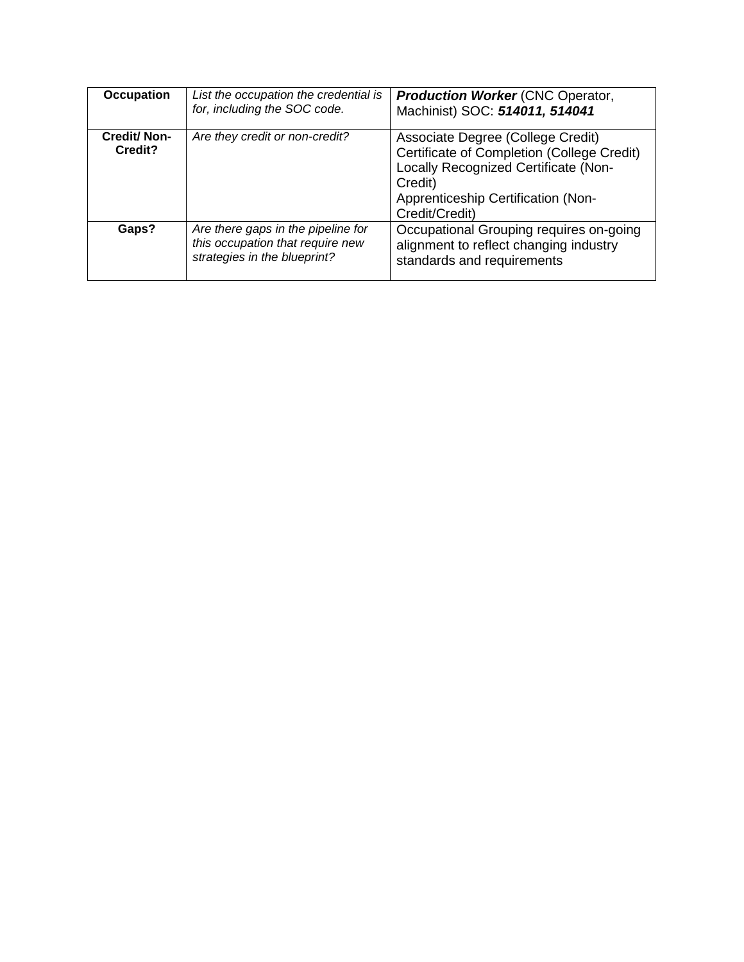| <b>Occupation</b>             | List the occupation the credential is<br>for, including the SOC code.                                  | <b>Production Worker (CNC Operator,</b><br>Machinist) SOC: 514011, 514041                                                                                                                  |
|-------------------------------|--------------------------------------------------------------------------------------------------------|--------------------------------------------------------------------------------------------------------------------------------------------------------------------------------------------|
| <b>Credit/Non-</b><br>Credit? | Are they credit or non-credit?                                                                         | Associate Degree (College Credit)<br>Certificate of Completion (College Credit)<br>Locally Recognized Certificate (Non-<br>Credit)<br>Apprenticeship Certification (Non-<br>Credit/Credit) |
| Gaps?                         | Are there gaps in the pipeline for<br>this occupation that require new<br>strategies in the blueprint? | Occupational Grouping requires on-going<br>alignment to reflect changing industry<br>standards and requirements                                                                            |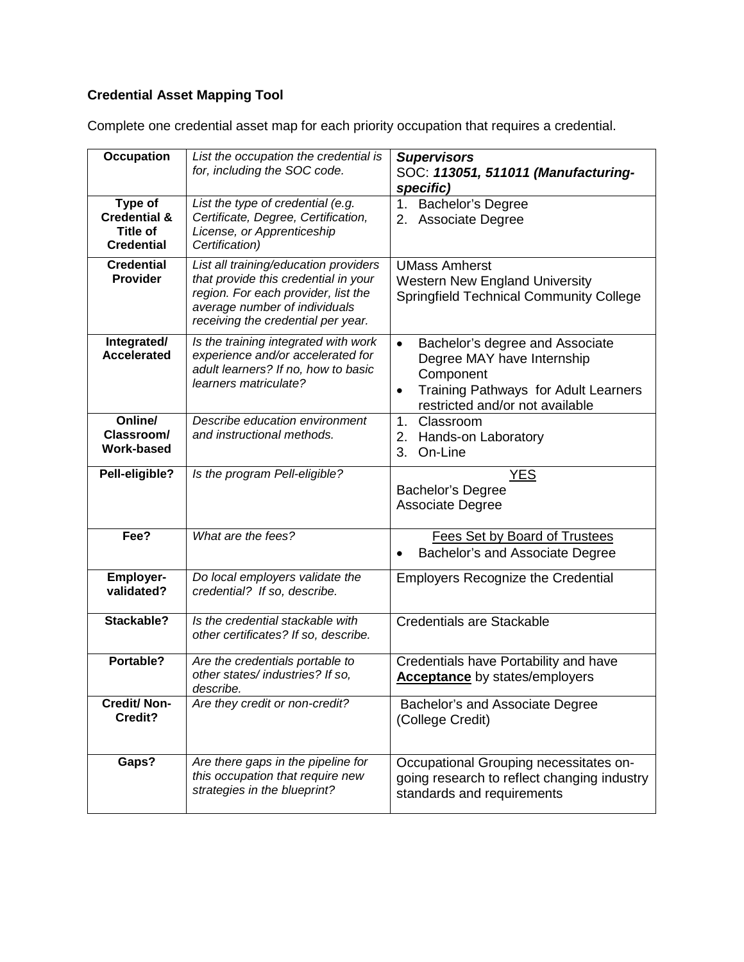| <b>Occupation</b>                                                   | List the occupation the credential is<br>for, including the SOC code.                                                                                                                       | <b>Supervisors</b><br>SOC: 113051, 511011 (Manufacturing-<br>specific)                                                                                                          |
|---------------------------------------------------------------------|---------------------------------------------------------------------------------------------------------------------------------------------------------------------------------------------|---------------------------------------------------------------------------------------------------------------------------------------------------------------------------------|
| Type of<br><b>Credential &amp;</b><br>Title of<br><b>Credential</b> | List the type of credential (e.g.<br>Certificate, Degree, Certification,<br>License, or Apprenticeship<br>Certification)                                                                    | 1. Bachelor's Degree<br>2. Associate Degree                                                                                                                                     |
| <b>Credential</b><br><b>Provider</b>                                | List all training/education providers<br>that provide this credential in your<br>region. For each provider, list the<br>average number of individuals<br>receiving the credential per year. | <b>UMass Amherst</b><br><b>Western New England University</b><br><b>Springfield Technical Community College</b>                                                                 |
| Integrated/<br><b>Accelerated</b>                                   | Is the training integrated with work<br>experience and/or accelerated for<br>adult learners? If no, how to basic<br>learners matriculate?                                                   | Bachelor's degree and Associate<br>$\bullet$<br>Degree MAY have Internship<br>Component<br>Training Pathways for Adult Learners<br>$\bullet$<br>restricted and/or not available |
| Online/<br>Classroom/<br>Work-based                                 | Describe education environment<br>and instructional methods.                                                                                                                                | 1.<br>Classroom<br>2.<br>Hands-on Laboratory<br>3.<br>On-Line                                                                                                                   |
| Pell-eligible?                                                      | Is the program Pell-eligible?                                                                                                                                                               | <u>YES</u><br><b>Bachelor's Degree</b><br><b>Associate Degree</b>                                                                                                               |
| Fee?                                                                | What are the fees?                                                                                                                                                                          | Fees Set by Board of Trustees<br>Bachelor's and Associate Degree                                                                                                                |
| <b>Employer-</b><br>validated?                                      | Do local employers validate the<br>credential? If so, describe.                                                                                                                             | <b>Employers Recognize the Credential</b>                                                                                                                                       |
| Stackable?                                                          | Is the credential stackable with<br>other certificates? If so, describe.                                                                                                                    | <b>Credentials are Stackable</b>                                                                                                                                                |
| Portable?                                                           | Are the credentials portable to<br>other states/industries? If so,<br>describe.                                                                                                             | Credentials have Portability and have<br><b>Acceptance</b> by states/employers                                                                                                  |
| <b>Credit/Non-</b><br>Credit?                                       | Are they credit or non-credit?                                                                                                                                                              | Bachelor's and Associate Degree<br>(College Credit)                                                                                                                             |
| Gaps?                                                               | Are there gaps in the pipeline for<br>this occupation that require new<br>strategies in the blueprint?                                                                                      | Occupational Grouping necessitates on-<br>going research to reflect changing industry<br>standards and requirements                                                             |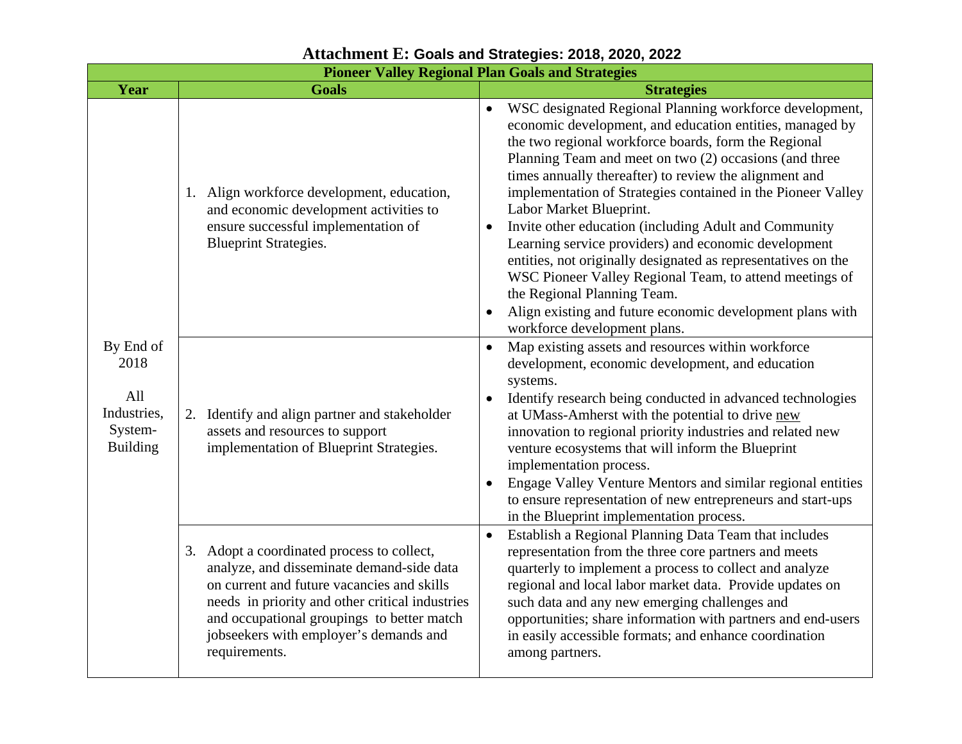|                                                                       |                                                                                                                                                                                                                                                                                                   | <b>Pioneer Valley Regional Plan Goals and Strategies</b>                                                                                                                                                                                                                                                                                                                                                                                                                                                                                                                                                                                                                                                                                                                         |
|-----------------------------------------------------------------------|---------------------------------------------------------------------------------------------------------------------------------------------------------------------------------------------------------------------------------------------------------------------------------------------------|----------------------------------------------------------------------------------------------------------------------------------------------------------------------------------------------------------------------------------------------------------------------------------------------------------------------------------------------------------------------------------------------------------------------------------------------------------------------------------------------------------------------------------------------------------------------------------------------------------------------------------------------------------------------------------------------------------------------------------------------------------------------------------|
| Year                                                                  | <b>Goals</b>                                                                                                                                                                                                                                                                                      | <b>Strategies</b>                                                                                                                                                                                                                                                                                                                                                                                                                                                                                                                                                                                                                                                                                                                                                                |
| By End of<br>2018<br>All<br>Industries,<br>System-<br><b>Building</b> | 1. Align workforce development, education,<br>and economic development activities to<br>ensure successful implementation of<br><b>Blueprint Strategies.</b>                                                                                                                                       | WSC designated Regional Planning workforce development,<br>economic development, and education entities, managed by<br>the two regional workforce boards, form the Regional<br>Planning Team and meet on two (2) occasions (and three<br>times annually thereafter) to review the alignment and<br>implementation of Strategies contained in the Pioneer Valley<br>Labor Market Blueprint.<br>Invite other education (including Adult and Community<br>$\bullet$<br>Learning service providers) and economic development<br>entities, not originally designated as representatives on the<br>WSC Pioneer Valley Regional Team, to attend meetings of<br>the Regional Planning Team.<br>Align existing and future economic development plans with<br>workforce development plans. |
|                                                                       | 2. Identify and align partner and stakeholder<br>assets and resources to support<br>implementation of Blueprint Strategies.                                                                                                                                                                       | Map existing assets and resources within workforce<br>$\bullet$<br>development, economic development, and education<br>systems.<br>Identify research being conducted in advanced technologies<br>at UMass-Amherst with the potential to drive new<br>innovation to regional priority industries and related new<br>venture ecosystems that will inform the Blueprint<br>implementation process.<br>Engage Valley Venture Mentors and similar regional entities<br>$\bullet$<br>to ensure representation of new entrepreneurs and start-ups<br>in the Blueprint implementation process.                                                                                                                                                                                           |
|                                                                       | 3. Adopt a coordinated process to collect,<br>analyze, and disseminate demand-side data<br>on current and future vacancies and skills<br>needs in priority and other critical industries<br>and occupational groupings to better match<br>jobseekers with employer's demands and<br>requirements. | Establish a Regional Planning Data Team that includes<br>$\bullet$<br>representation from the three core partners and meets<br>quarterly to implement a process to collect and analyze<br>regional and local labor market data. Provide updates on<br>such data and any new emerging challenges and<br>opportunities; share information with partners and end-users<br>in easily accessible formats; and enhance coordination<br>among partners.                                                                                                                                                                                                                                                                                                                                 |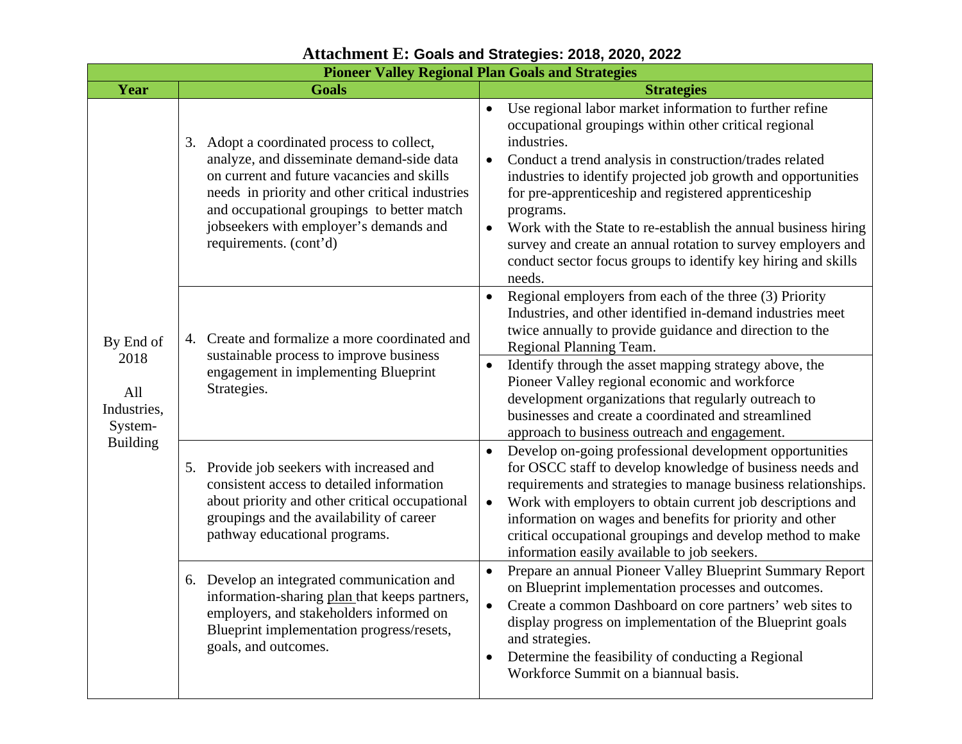|                                                                       | <b>Pioneer Valley Regional Plan Goals and Strategies</b>                                                                                                                                                                                                                                                   |                                                                                                                                                                                                                                                                                                                                                                                                                                                                                                                                                                         |  |  |
|-----------------------------------------------------------------------|------------------------------------------------------------------------------------------------------------------------------------------------------------------------------------------------------------------------------------------------------------------------------------------------------------|-------------------------------------------------------------------------------------------------------------------------------------------------------------------------------------------------------------------------------------------------------------------------------------------------------------------------------------------------------------------------------------------------------------------------------------------------------------------------------------------------------------------------------------------------------------------------|--|--|
| Year                                                                  | <b>Goals</b>                                                                                                                                                                                                                                                                                               | <b>Strategies</b>                                                                                                                                                                                                                                                                                                                                                                                                                                                                                                                                                       |  |  |
| By End of<br>2018<br>All<br>Industries,<br>System-<br><b>Building</b> | 3. Adopt a coordinated process to collect,<br>analyze, and disseminate demand-side data<br>on current and future vacancies and skills<br>needs in priority and other critical industries<br>and occupational groupings to better match<br>jobseekers with employer's demands and<br>requirements. (cont'd) | Use regional labor market information to further refine<br>occupational groupings within other critical regional<br>industries.<br>Conduct a trend analysis in construction/trades related<br>$\bullet$<br>industries to identify projected job growth and opportunities<br>for pre-apprenticeship and registered apprenticeship<br>programs.<br>Work with the State to re-establish the annual business hiring<br>$\bullet$<br>survey and create an annual rotation to survey employers and<br>conduct sector focus groups to identify key hiring and skills<br>needs. |  |  |
|                                                                       | 4. Create and formalize a more coordinated and<br>sustainable process to improve business<br>engagement in implementing Blueprint<br>Strategies.                                                                                                                                                           | Regional employers from each of the three (3) Priority<br>$\bullet$<br>Industries, and other identified in-demand industries meet<br>twice annually to provide guidance and direction to the<br>Regional Planning Team.<br>Identify through the asset mapping strategy above, the<br>$\bullet$<br>Pioneer Valley regional economic and workforce<br>development organizations that regularly outreach to<br>businesses and create a coordinated and streamlined<br>approach to business outreach and engagement.                                                        |  |  |
|                                                                       | 5. Provide job seekers with increased and<br>consistent access to detailed information<br>about priority and other critical occupational<br>groupings and the availability of career<br>pathway educational programs.                                                                                      | Develop on-going professional development opportunities<br>$\bullet$<br>for OSCC staff to develop knowledge of business needs and<br>requirements and strategies to manage business relationships.<br>Work with employers to obtain current job descriptions and<br>$\bullet$<br>information on wages and benefits for priority and other<br>critical occupational groupings and develop method to make<br>information easily available to job seekers.                                                                                                                 |  |  |
|                                                                       | 6. Develop an integrated communication and<br>information-sharing plan that keeps partners,<br>employers, and stakeholders informed on<br>Blueprint implementation progress/resets,<br>goals, and outcomes.                                                                                                | Prepare an annual Pioneer Valley Blueprint Summary Report<br>$\bullet$<br>on Blueprint implementation processes and outcomes.<br>Create a common Dashboard on core partners' web sites to<br>$\bullet$<br>display progress on implementation of the Blueprint goals<br>and strategies.<br>Determine the feasibility of conducting a Regional<br>$\bullet$<br>Workforce Summit on a biannual basis.                                                                                                                                                                      |  |  |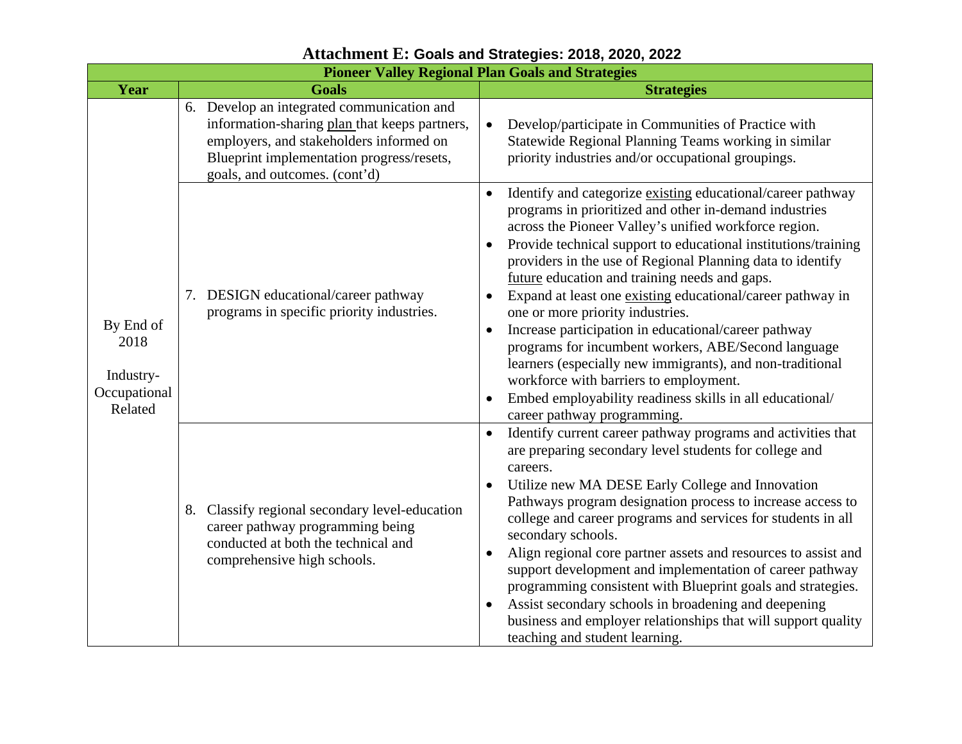|                                                           | <b>Pioneer Valley Regional Plan Goals and Strategies</b>                                                                                                                                                             |                                                                                                                                                                                                                                                                                                                                                                                                                                                                                                                                                                                                                                                                                                                                                                                                 |  |  |
|-----------------------------------------------------------|----------------------------------------------------------------------------------------------------------------------------------------------------------------------------------------------------------------------|-------------------------------------------------------------------------------------------------------------------------------------------------------------------------------------------------------------------------------------------------------------------------------------------------------------------------------------------------------------------------------------------------------------------------------------------------------------------------------------------------------------------------------------------------------------------------------------------------------------------------------------------------------------------------------------------------------------------------------------------------------------------------------------------------|--|--|
| Year                                                      | <b>Goals</b>                                                                                                                                                                                                         | <b>Strategies</b>                                                                                                                                                                                                                                                                                                                                                                                                                                                                                                                                                                                                                                                                                                                                                                               |  |  |
| By End of<br>2018<br>Industry-<br>Occupational<br>Related | 6. Develop an integrated communication and<br>information-sharing plan that keeps partners,<br>employers, and stakeholders informed on<br>Blueprint implementation progress/resets,<br>goals, and outcomes. (cont'd) | Develop/participate in Communities of Practice with<br>Statewide Regional Planning Teams working in similar<br>priority industries and/or occupational groupings.                                                                                                                                                                                                                                                                                                                                                                                                                                                                                                                                                                                                                               |  |  |
|                                                           | 7. DESIGN educational/career pathway<br>programs in specific priority industries.                                                                                                                                    | Identify and categorize existing educational/career pathway<br>programs in prioritized and other in-demand industries<br>across the Pioneer Valley's unified workforce region.<br>Provide technical support to educational institutions/training<br>providers in the use of Regional Planning data to identify<br>future education and training needs and gaps.<br>Expand at least one existing educational/career pathway in<br>$\bullet$<br>one or more priority industries.<br>Increase participation in educational/career pathway<br>programs for incumbent workers, ABE/Second language<br>learners (especially new immigrants), and non-traditional<br>workforce with barriers to employment.<br>Embed employability readiness skills in all educational/<br>career pathway programming. |  |  |
|                                                           | 8. Classify regional secondary level-education<br>career pathway programming being<br>conducted at both the technical and<br>comprehensive high schools.                                                             | Identify current career pathway programs and activities that<br>are preparing secondary level students for college and<br>careers.<br>Utilize new MA DESE Early College and Innovation<br>Pathways program designation process to increase access to<br>college and career programs and services for students in all<br>secondary schools.<br>Align regional core partner assets and resources to assist and<br>$\bullet$<br>support development and implementation of career pathway<br>programming consistent with Blueprint goals and strategies.<br>Assist secondary schools in broadening and deepening<br>business and employer relationships that will support quality<br>teaching and student learning.                                                                                 |  |  |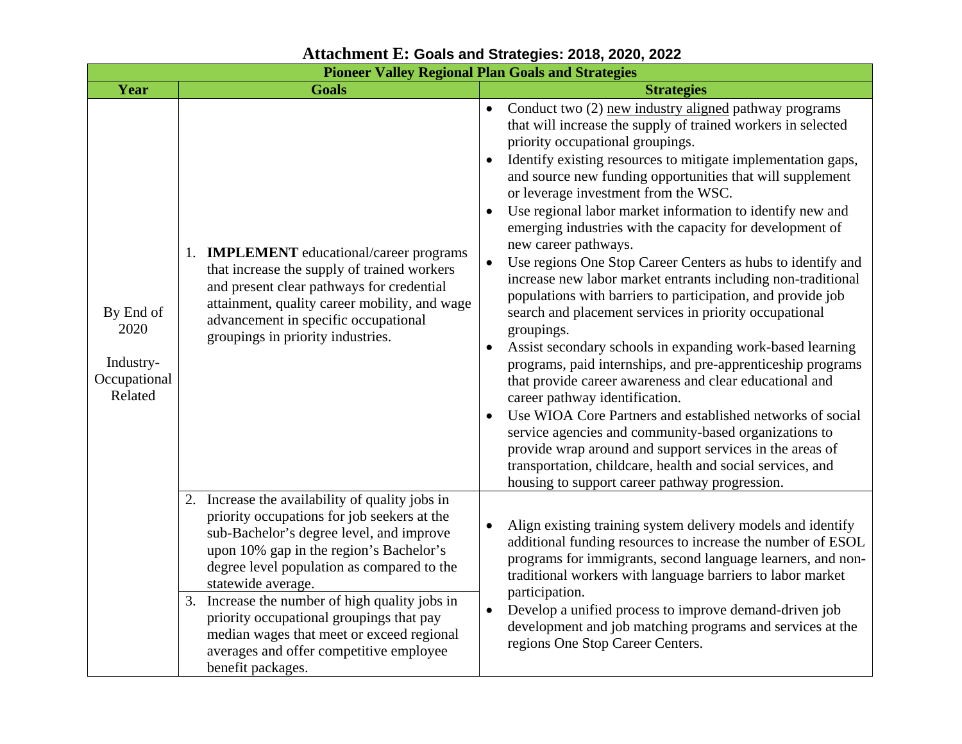|                                                           |                                                                                                                                                                                                                                                                           | <b>Pioneer Valley Regional Plan Goals and Strategies</b>                                                                                                                                                                                                                                                                                                                                                                                                                                                                                                                                                                                                                                                                                                                                                                                                                                                                                                                                                                                                                                                                                                                                                                                                                                                                |  |
|-----------------------------------------------------------|---------------------------------------------------------------------------------------------------------------------------------------------------------------------------------------------------------------------------------------------------------------------------|-------------------------------------------------------------------------------------------------------------------------------------------------------------------------------------------------------------------------------------------------------------------------------------------------------------------------------------------------------------------------------------------------------------------------------------------------------------------------------------------------------------------------------------------------------------------------------------------------------------------------------------------------------------------------------------------------------------------------------------------------------------------------------------------------------------------------------------------------------------------------------------------------------------------------------------------------------------------------------------------------------------------------------------------------------------------------------------------------------------------------------------------------------------------------------------------------------------------------------------------------------------------------------------------------------------------------|--|
| Year                                                      | <b>Goals</b>                                                                                                                                                                                                                                                              | <b>Strategies</b>                                                                                                                                                                                                                                                                                                                                                                                                                                                                                                                                                                                                                                                                                                                                                                                                                                                                                                                                                                                                                                                                                                                                                                                                                                                                                                       |  |
| By End of<br>2020<br>Industry-<br>Occupational<br>Related | 1. <b>IMPLEMENT</b> educational/career programs<br>that increase the supply of trained workers<br>and present clear pathways for credential<br>attainment, quality career mobility, and wage<br>advancement in specific occupational<br>groupings in priority industries. | Conduct two (2) new industry aligned pathway programs<br>that will increase the supply of trained workers in selected<br>priority occupational groupings.<br>Identify existing resources to mitigate implementation gaps,<br>and source new funding opportunities that will supplement<br>or leverage investment from the WSC.<br>Use regional labor market information to identify new and<br>$\bullet$<br>emerging industries with the capacity for development of<br>new career pathways.<br>Use regions One Stop Career Centers as hubs to identify and<br>$\bullet$<br>increase new labor market entrants including non-traditional<br>populations with barriers to participation, and provide job<br>search and placement services in priority occupational<br>groupings.<br>Assist secondary schools in expanding work-based learning<br>$\bullet$<br>programs, paid internships, and pre-apprenticeship programs<br>that provide career awareness and clear educational and<br>career pathway identification.<br>Use WIOA Core Partners and established networks of social<br>service agencies and community-based organizations to<br>provide wrap around and support services in the areas of<br>transportation, childcare, health and social services, and<br>housing to support career pathway progression. |  |
|                                                           | 2. Increase the availability of quality jobs in<br>priority occupations for job seekers at the<br>sub-Bachelor's degree level, and improve<br>upon 10% gap in the region's Bachelor's<br>degree level population as compared to the<br>statewide average.                 | Align existing training system delivery models and identify<br>additional funding resources to increase the number of ESOL<br>programs for immigrants, second language learners, and non-<br>traditional workers with language barriers to labor market<br>participation.                                                                                                                                                                                                                                                                                                                                                                                                                                                                                                                                                                                                                                                                                                                                                                                                                                                                                                                                                                                                                                               |  |
|                                                           | 3. Increase the number of high quality jobs in<br>priority occupational groupings that pay<br>median wages that meet or exceed regional<br>averages and offer competitive employee<br>benefit packages.                                                                   | Develop a unified process to improve demand-driven job<br>$\bullet$<br>development and job matching programs and services at the<br>regions One Stop Career Centers.                                                                                                                                                                                                                                                                                                                                                                                                                                                                                                                                                                                                                                                                                                                                                                                                                                                                                                                                                                                                                                                                                                                                                    |  |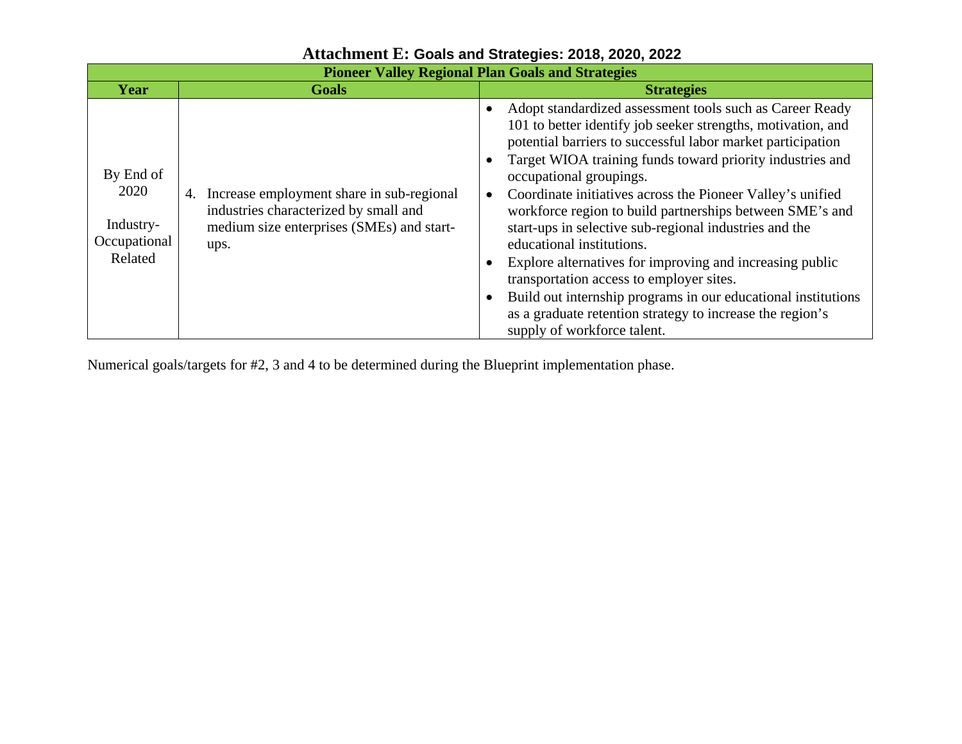| <b>Pioneer Valley Regional Plan Goals and Strategies</b>  |                                                                                                                                            |                                                                                                                                                                                                                                                                                                                                                                                                                                                                                                                                                                                                                                                                                                                                                                                                 |  |
|-----------------------------------------------------------|--------------------------------------------------------------------------------------------------------------------------------------------|-------------------------------------------------------------------------------------------------------------------------------------------------------------------------------------------------------------------------------------------------------------------------------------------------------------------------------------------------------------------------------------------------------------------------------------------------------------------------------------------------------------------------------------------------------------------------------------------------------------------------------------------------------------------------------------------------------------------------------------------------------------------------------------------------|--|
| Year                                                      | <b>Goals</b>                                                                                                                               | <b>Strategies</b>                                                                                                                                                                                                                                                                                                                                                                                                                                                                                                                                                                                                                                                                                                                                                                               |  |
| By End of<br>2020<br>Industry-<br>Occupational<br>Related | 4. Increase employment share in sub-regional<br>industries characterized by small and<br>medium size enterprises (SMEs) and start-<br>ups. | Adopt standardized assessment tools such as Career Ready<br>$\bullet$<br>101 to better identify job seeker strengths, motivation, and<br>potential barriers to successful labor market participation<br>Target WIOA training funds toward priority industries and<br>occupational groupings.<br>Coordinate initiatives across the Pioneer Valley's unified<br>$\bullet$<br>workforce region to build partnerships between SME's and<br>start-ups in selective sub-regional industries and the<br>educational institutions.<br>Explore alternatives for improving and increasing public<br>transportation access to employer sites.<br>Build out internship programs in our educational institutions<br>as a graduate retention strategy to increase the region's<br>supply of workforce talent. |  |

Numerical goals/targets for #2, 3 and 4 to be determined during the Blueprint implementation phase.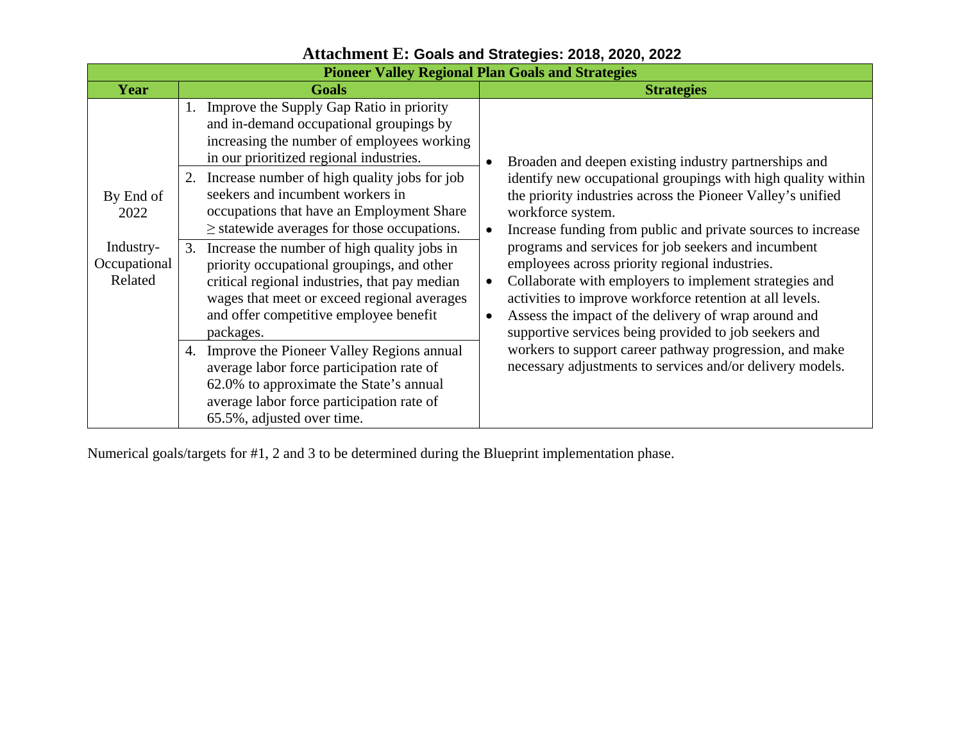| <b>Pioneer Valley Regional Plan Goals and Strategies</b> |    |                                                                                                                                                                                                                                                  |                        |                                                                                                                                                                                                                                                                                                                                              |
|----------------------------------------------------------|----|--------------------------------------------------------------------------------------------------------------------------------------------------------------------------------------------------------------------------------------------------|------------------------|----------------------------------------------------------------------------------------------------------------------------------------------------------------------------------------------------------------------------------------------------------------------------------------------------------------------------------------------|
| Year                                                     |    | <b>Goals</b>                                                                                                                                                                                                                                     |                        | <b>Strategies</b>                                                                                                                                                                                                                                                                                                                            |
|                                                          |    | 1. Improve the Supply Gap Ratio in priority<br>and in-demand occupational groupings by<br>increasing the number of employees working<br>in our prioritized regional industries.                                                                  |                        | Broaden and deepen existing industry partnerships and                                                                                                                                                                                                                                                                                        |
| By End of<br>2022                                        |    | 2. Increase number of high quality jobs for job<br>seekers and incumbent workers in<br>occupations that have an Employment Share<br>$\ge$ statewide averages for those occupations.                                                              | $\bullet$              | identify new occupational groupings with high quality within<br>the priority industries across the Pioneer Valley's unified<br>workforce system.<br>Increase funding from public and private sources to increase                                                                                                                             |
| Industry-<br>Occupational<br>Related                     | 3. | Increase the number of high quality jobs in<br>priority occupational groupings, and other<br>critical regional industries, that pay median<br>wages that meet or exceed regional averages<br>and offer competitive employee benefit<br>packages. | $\bullet$<br>$\bullet$ | programs and services for job seekers and incumbent<br>employees across priority regional industries.<br>Collaborate with employers to implement strategies and<br>activities to improve workforce retention at all levels.<br>Assess the impact of the delivery of wrap around and<br>supportive services being provided to job seekers and |
|                                                          | 4. | Improve the Pioneer Valley Regions annual<br>average labor force participation rate of<br>62.0% to approximate the State's annual<br>average labor force participation rate of<br>65.5%, adjusted over time.                                     |                        | workers to support career pathway progression, and make<br>necessary adjustments to services and/or delivery models.                                                                                                                                                                                                                         |

Numerical goals/targets for #1, 2 and 3 to be determined during the Blueprint implementation phase.